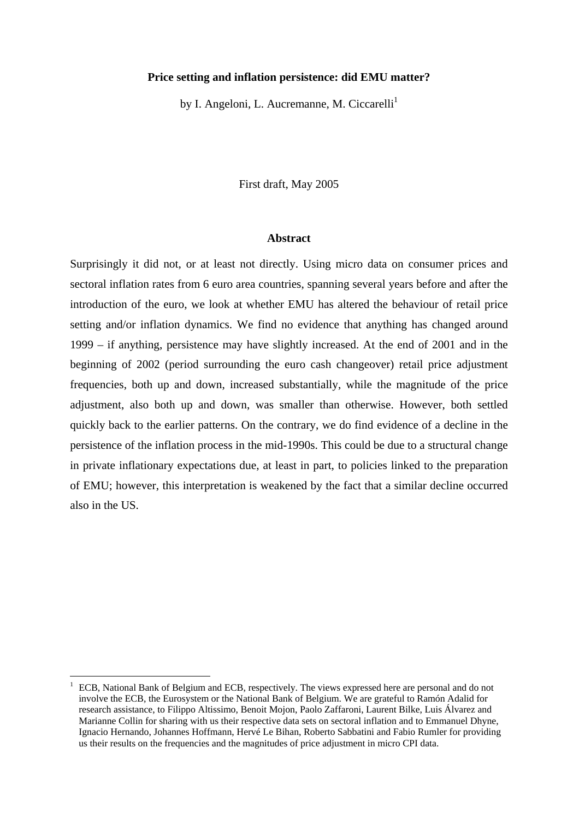### **Price setting and inflation persistence: did EMU matter?**

by I. Angeloni, L. Aucremanne, M. Ciccarelli<sup>1</sup>

First draft, May 2005

#### **Abstract**

Surprisingly it did not, or at least not directly. Using micro data on consumer prices and sectoral inflation rates from 6 euro area countries, spanning several years before and after the introduction of the euro, we look at whether EMU has altered the behaviour of retail price setting and/or inflation dynamics. We find no evidence that anything has changed around 1999 – if anything, persistence may have slightly increased. At the end of 2001 and in the beginning of 2002 (period surrounding the euro cash changeover) retail price adjustment frequencies, both up and down, increased substantially, while the magnitude of the price adjustment, also both up and down, was smaller than otherwise. However, both settled quickly back to the earlier patterns. On the contrary, we do find evidence of a decline in the persistence of the inflation process in the mid-1990s. This could be due to a structural change in private inflationary expectations due, at least in part, to policies linked to the preparation of EMU; however, this interpretation is weakened by the fact that a similar decline occurred also in the US.

 $\overline{a}$ 

<span id="page-0-0"></span><sup>1</sup> ECB, National Bank of Belgium and ECB, respectively. The views expressed here are personal and do not involve the ECB, the Eurosystem or the National Bank of Belgium. We are grateful to Ramón Adalid for research assistance, to Filippo Altissimo, Benoit Mojon, Paolo Zaffaroni, Laurent Bilke, Luis Álvarez and Marianne Collin for sharing with us their respective data sets on sectoral inflation and to Emmanuel Dhyne, Ignacio Hernando, Johannes Hoffmann, Hervé Le Bihan, Roberto Sabbatini and Fabio Rumler for providing us their results on the frequencies and the magnitudes of price adjustment in micro CPI data.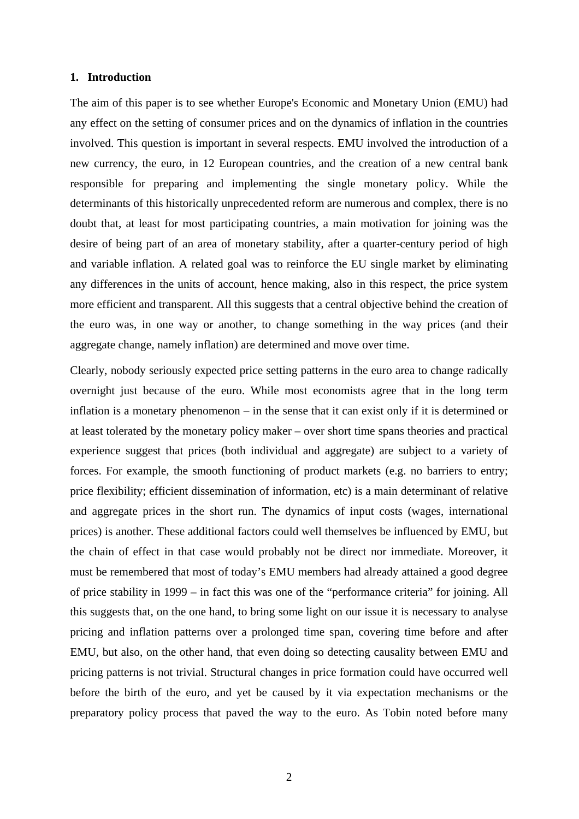### **1. Introduction**

The aim of this paper is to see whether Europe's Economic and Monetary Union (EMU) had any effect on the setting of consumer prices and on the dynamics of inflation in the countries involved. This question is important in several respects. EMU involved the introduction of a new currency, the euro, in 12 European countries, and the creation of a new central bank responsible for preparing and implementing the single monetary policy. While the determinants of this historically unprecedented reform are numerous and complex, there is no doubt that, at least for most participating countries, a main motivation for joining was the desire of being part of an area of monetary stability, after a quarter-century period of high and variable inflation. A related goal was to reinforce the EU single market by eliminating any differences in the units of account, hence making, also in this respect, the price system more efficient and transparent. All this suggests that a central objective behind the creation of the euro was, in one way or another, to change something in the way prices (and their aggregate change, namely inflation) are determined and move over time.

Clearly, nobody seriously expected price setting patterns in the euro area to change radically overnight just because of the euro. While most economists agree that in the long term inflation is a monetary phenomenon – in the sense that it can exist only if it is determined or at least tolerated by the monetary policy maker – over short time spans theories and practical experience suggest that prices (both individual and aggregate) are subject to a variety of forces. For example, the smooth functioning of product markets (e.g. no barriers to entry; price flexibility; efficient dissemination of information, etc) is a main determinant of relative and aggregate prices in the short run. The dynamics of input costs (wages, international prices) is another. These additional factors could well themselves be influenced by EMU, but the chain of effect in that case would probably not be direct nor immediate. Moreover, it must be remembered that most of today's EMU members had already attained a good degree of price stability in 1999 – in fact this was one of the "performance criteria" for joining. All this suggests that, on the one hand, to bring some light on our issue it is necessary to analyse pricing and inflation patterns over a prolonged time span, covering time before and after EMU, but also, on the other hand, that even doing so detecting causality between EMU and pricing patterns is not trivial. Structural changes in price formation could have occurred well before the birth of the euro, and yet be caused by it via expectation mechanisms or the preparatory policy process that paved the way to the euro. As Tobin noted before many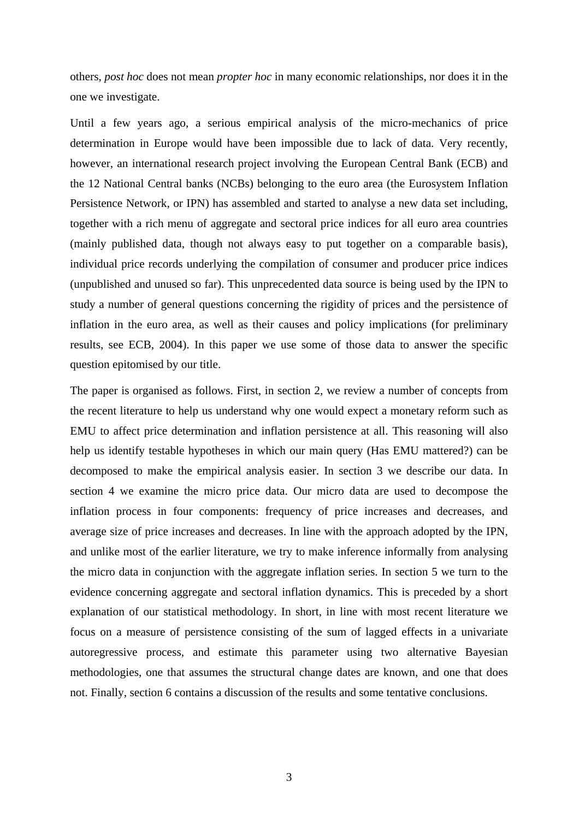others, *post hoc* does not mean *propter hoc* in many economic relationships, nor does it in the one we investigate.

Until a few years ago, a serious empirical analysis of the micro-mechanics of price determination in Europe would have been impossible due to lack of data. Very recently, however, an international research project involving the European Central Bank (ECB) and the 12 National Central banks (NCBs) belonging to the euro area (the Eurosystem Inflation Persistence Network, or IPN) has assembled and started to analyse a new data set including, together with a rich menu of aggregate and sectoral price indices for all euro area countries (mainly published data, though not always easy to put together on a comparable basis), individual price records underlying the compilation of consumer and producer price indices (unpublished and unused so far). This unprecedented data source is being used by the IPN to study a number of general questions concerning the rigidity of prices and the persistence of inflation in the euro area, as well as their causes and policy implications (for preliminary results, see ECB, 2004). In this paper we use some of those data to answer the specific question epitomised by our title.

The paper is organised as follows. First, in section 2, we review a number of concepts from the recent literature to help us understand why one would expect a monetary reform such as EMU to affect price determination and inflation persistence at all. This reasoning will also help us identify testable hypotheses in which our main query (Has EMU mattered?) can be decomposed to make the empirical analysis easier. In section 3 we describe our data. In section 4 we examine the micro price data. Our micro data are used to decompose the inflation process in four components: frequency of price increases and decreases, and average size of price increases and decreases. In line with the approach adopted by the IPN, and unlike most of the earlier literature, we try to make inference informally from analysing the micro data in conjunction with the aggregate inflation series. In section 5 we turn to the evidence concerning aggregate and sectoral inflation dynamics. This is preceded by a short explanation of our statistical methodology. In short, in line with most recent literature we focus on a measure of persistence consisting of the sum of lagged effects in a univariate autoregressive process, and estimate this parameter using two alternative Bayesian methodologies, one that assumes the structural change dates are known, and one that does not. Finally, section 6 contains a discussion of the results and some tentative conclusions.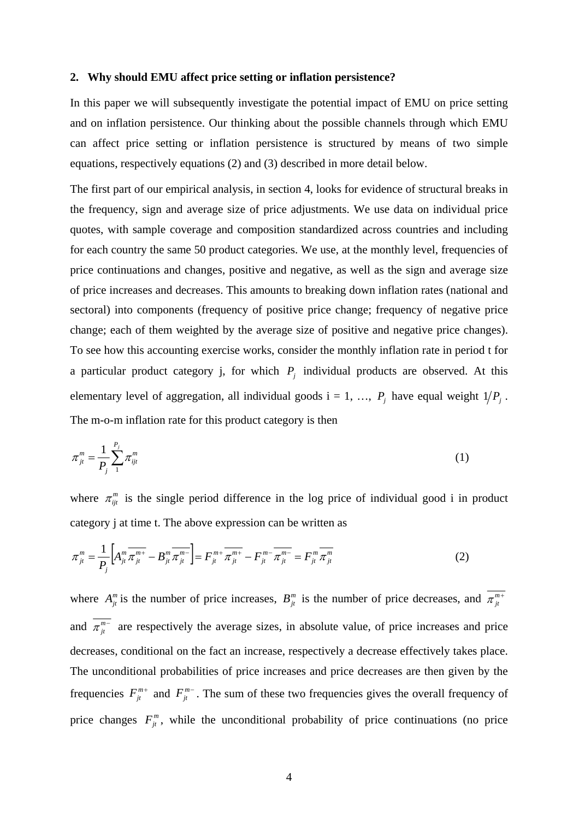### **2. Why should EMU affect price setting or inflation persistence?**

In this paper we will subsequently investigate the potential impact of EMU on price setting and on inflation persistence. Our thinking about the possible channels through which EMU can affect price setting or inflation persistence is structured by means of two simple equations, respectively equations (2) and (3) described in more detail below.

The first part of our empirical analysis, in section 4, looks for evidence of structural breaks in the frequency, sign and average size of price adjustments. We use data on individual price quotes, with sample coverage and composition standardized across countries and including for each country the same 50 product categories. We use, at the monthly level, frequencies of price continuations and changes, positive and negative, as well as the sign and average size of price increases and decreases. This amounts to breaking down inflation rates (national and sectoral) into components (frequency of positive price change; frequency of negative price change; each of them weighted by the average size of positive and negative price changes). To see how this accounting exercise works, consider the monthly inflation rate in period t for a particular product category j, for which  $P_j$  individual products are observed. At this elementary level of aggregation, all individual goods  $i = 1, ..., P_j$  have equal weight  $1/P_j$ . The m-o-m inflation rate for this product category is then

$$
\pi_{jt}^{m} = \frac{1}{P_j} \sum_{1}^{P_j} \pi_{ijt}^{m} \tag{1}
$$

where  $\pi_{ij}^m$  is the single period difference in the log price of individual good i in product category j at time t. The above expression can be written as

$$
\pi_{ji}^{m} = \frac{1}{P_j} \left[ A_{ji}^{m} \overline{\pi_{ji}^{m+}} - B_{ji}^{m} \overline{\pi_{ji}^{m-}} \right] = F_{ji}^{m+} \overline{\pi_{ji}^{m+}} - F_{ji}^{m-} \overline{\pi_{ji}^{m-}} = F_{ji}^{m} \overline{\pi_{ji}^{m}}
$$
(2)

where  $A_{ji}^m$  is the number of price increases,  $B_{ji}^m$  is the number of price decreases, and  $\pi_{ji}^{m+1}$ and  $\overline{\pi_{ji}^{m-}}$  are respectively the average sizes, in absolute value, of price increases and price decreases, conditional on the fact an increase, respectively a decrease effectively takes place. The unconditional probabilities of price increases and price decreases are then given by the frequencies  $F_{ji}^{m+}$  and  $F_{ji}^{m-}$ . The sum of these two frequencies gives the overall frequency of price changes  $F_{jt}^m$ , while the unconditional probability of price continuations (no price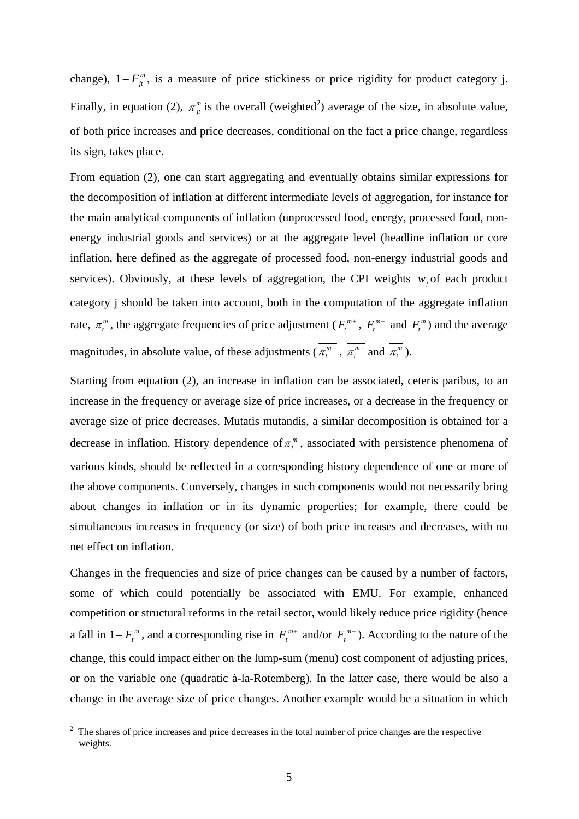change),  $1 - F_{ji}^{m}$ , is a measure of price stickiness or price rigidity for product category j. Finally, in equation ([2](#page-4-0)),  $\overline{\pi_{ji}^m}$  is the overall (weighted<sup>2</sup>) average of the size, in absolute value, of both price increases and price decreases, conditional on the fact a price change, regardless its sign, takes place.

From equation (2), one can start aggregating and eventually obtains similar expressions for the decomposition of inflation at different intermediate levels of aggregation, for instance for the main analytical components of inflation (unprocessed food, energy, processed food, nonenergy industrial goods and services) or at the aggregate level (headline inflation or core inflation, here defined as the aggregate of processed food, non-energy industrial goods and services). Obviously, at these levels of aggregation, the CPI weights  $w_j$  of each product category j should be taken into account, both in the computation of the aggregate inflation rate,  $\pi_i^m$ , the aggregate frequencies of price adjustment ( $F_i^{m+}$ ,  $F_i^{m-}$  and  $F_i^{m}$ ) and the average magnitudes, in absolute value, of these adjustments ( $\pi_t^{m+}$ ,  $\pi_t^{m-}$  and  $\pi_t^m$ ).

Starting from equation (2), an increase in inflation can be associated, ceteris paribus, to an increase in the frequency or average size of price increases, or a decrease in the frequency or average size of price decreases. Mutatis mutandis, a similar decomposition is obtained for a decrease in inflation. History dependence of  $\pi_t^m$ , associated with persistence phenomena of various kinds, should be reflected in a corresponding history dependence of one or more of the above components. Conversely, changes in such components would not necessarily bring about changes in inflation or in its dynamic properties; for example, there could be simultaneous increases in frequency (or size) of both price increases and decreases, with no net effect on inflation.

Changes in the frequencies and size of price changes can be caused by a number of factors, some of which could potentially be associated with EMU. For example, enhanced competition or structural reforms in the retail sector, would likely reduce price rigidity (hence a fall in  $1 - F_t^m$ , and a corresponding rise in  $F_t^{m+}$  and/or  $F_t^{m-}$ ). According to the nature of the change, this could impact either on the lump-sum (menu) cost component of adjusting prices, or on the variable one (quadratic à-la-Rotemberg). In the latter case, there would be also a change in the average size of price changes. Another example would be a situation in which

<span id="page-4-0"></span><sup>&</sup>lt;sup>2</sup> The shares of price increases and price decreases in the total number of price changes are the respective weights.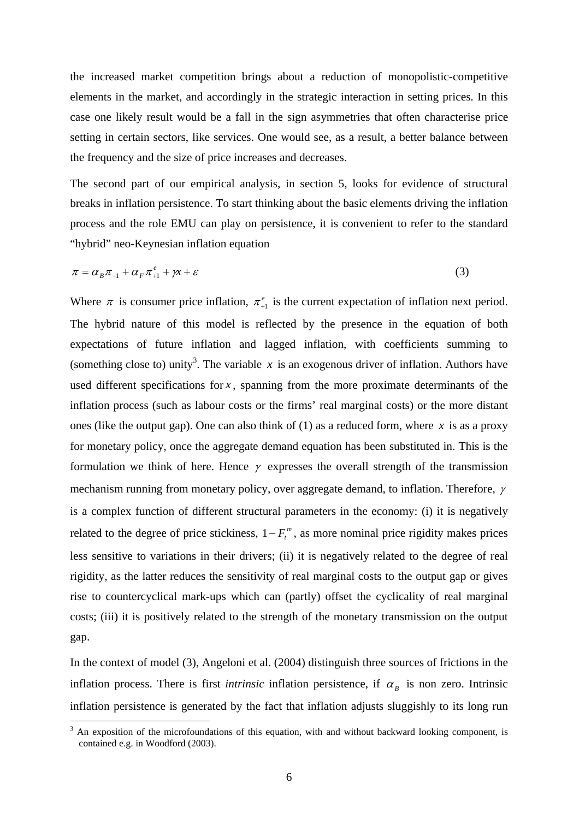the increased market competition brings about a reduction of monopolistic-competitive elements in the market, and accordingly in the strategic interaction in setting prices. In this case one likely result would be a fall in the sign asymmetries that often characterise price setting in certain sectors, like services. One would see, as a result, a better balance between the frequency and the size of price increases and decreases.

The second part of our empirical analysis, in section 5, looks for evidence of structural breaks in inflation persistence. To start thinking about the basic elements driving the inflation process and the role EMU can play on persistence, it is convenient to refer to the standard "hybrid" neo-Keynesian inflation equation

$$
\pi = \alpha_{B}\pi_{-1} + \alpha_{F}\pi_{+1}^{e} + \gamma x + \varepsilon
$$
\n(3)

Where  $\pi$  is consumer price inflation,  $\pi_{+1}^e$  is the current expectation of inflation next period. The hybrid nature of this model is reflected by the presence in the equation of both expectations of future inflation and lagged inflation, with coefficients summing to (something close to) unity<sup>[3](#page-5-0)</sup>. The variable x is an exogenous driver of inflation. Authors have used different specifications for  $x$ , spanning from the more proximate determinants of the inflation process (such as labour costs or the firms' real marginal costs) or the more distant ones (like the output gap). One can also think of  $(1)$  as a reduced form, where x is as a proxy for monetary policy, once the aggregate demand equation has been substituted in. This is the formulation we think of here. Hence  $\gamma$  expresses the overall strength of the transmission mechanism running from monetary policy, over aggregate demand, to inflation. Therefore, <sup>γ</sup> is a complex function of different structural parameters in the economy: (i) it is negatively related to the degree of price stickiness,  $1 - F_t^m$ , as more nominal price rigidity makes prices less sensitive to variations in their drivers; (ii) it is negatively related to the degree of real rigidity, as the latter reduces the sensitivity of real marginal costs to the output gap or gives rise to countercyclical mark-ups which can (partly) offset the cyclicality of real marginal costs; (iii) it is positively related to the strength of the monetary transmission on the output gap.

In the context of model (3), Angeloni et al. (2004) distinguish three sources of frictions in the inflation process. There is first *intrinsic* inflation persistence, if  $\alpha_B$  is non zero. Intrinsic inflation persistence is generated by the fact that inflation adjusts sluggishly to its long run

 $\overline{a}$ 

<span id="page-5-0"></span> $3$  An exposition of the microfoundations of this equation, with and without backward looking component, is contained e.g. in Woodford (2003).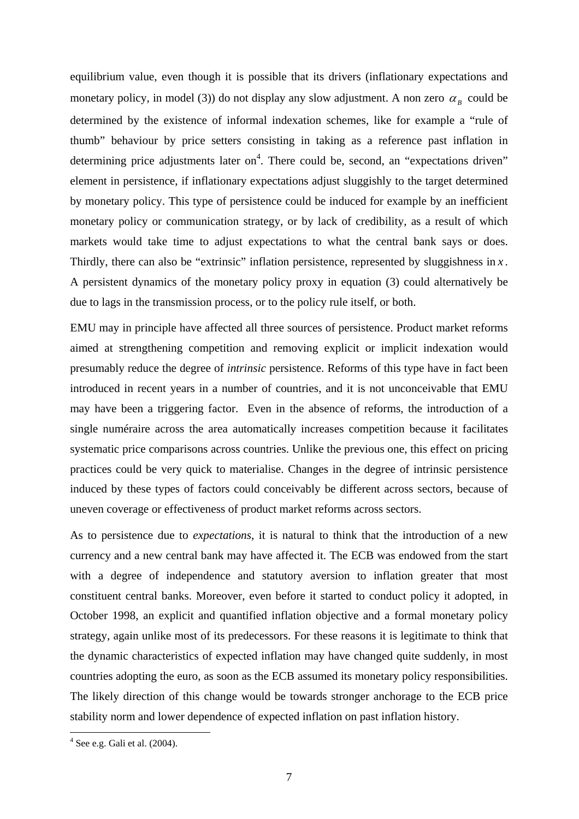equilibrium value, even though it is possible that its drivers (inflationary expectations and monetary policy, in model (3)) do not display any slow adjustment. A non zero  $\alpha_B$  could be determined by the existence of informal indexation schemes, like for example a "rule of thumb" behaviour by price setters consisting in taking as a reference past inflation in determining price adjustments later on<sup>[4](#page-6-0)</sup>. There could be, second, an "expectations driven" element in persistence, if inflationary expectations adjust sluggishly to the target determined by monetary policy. This type of persistence could be induced for example by an inefficient monetary policy or communication strategy, or by lack of credibility, as a result of which markets would take time to adjust expectations to what the central bank says or does. Thirdly, there can also be "extrinsic" inflation persistence, represented by sluggishness in  $x$ . A persistent dynamics of the monetary policy proxy in equation (3) could alternatively be due to lags in the transmission process, or to the policy rule itself, or both.

EMU may in principle have affected all three sources of persistence. Product market reforms aimed at strengthening competition and removing explicit or implicit indexation would presumably reduce the degree of *intrinsic* persistence. Reforms of this type have in fact been introduced in recent years in a number of countries, and it is not unconceivable that EMU may have been a triggering factor. Even in the absence of reforms, the introduction of a single numéraire across the area automatically increases competition because it facilitates systematic price comparisons across countries. Unlike the previous one, this effect on pricing practices could be very quick to materialise. Changes in the degree of intrinsic persistence induced by these types of factors could conceivably be different across sectors, because of uneven coverage or effectiveness of product market reforms across sectors.

As to persistence due to *expectations*, it is natural to think that the introduction of a new stability norm and lower dependence of expected inflation on past inflation history. currency and a new central bank may have affected it. The ECB was endowed from the start with a degree of independence and statutory aversion to inflation greater that most constituent central banks. Moreover, even before it started to conduct policy it adopted, in October 1998, an explicit and quantified inflation objective and a formal monetary policy strategy, again unlike most of its predecessors. For these reasons it is legitimate to think that the dynamic characteristics of expected inflation may have changed quite suddenly, in most countries adopting the euro, as soon as the ECB assumed its monetary policy responsibilities. The likely direction of this change would be towards stronger anchorage to the ECB price

<span id="page-6-0"></span> 4 See e.g. Gali et al. (2004).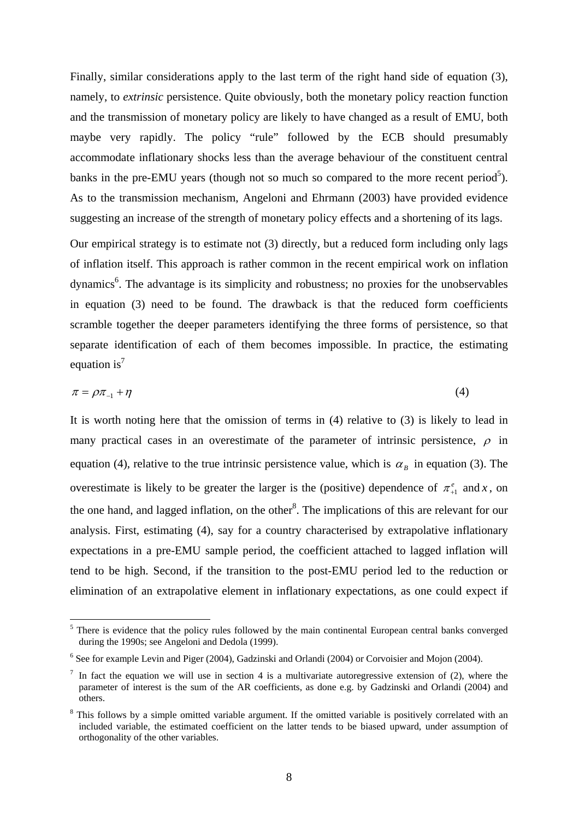Finally, similar considerations apply to the last term of the right hand side of equation (3), namely, to *extrinsic* persistence. Quite obviously, both the monetary policy reaction function and the transmission of monetary policy are likely to have changed as a result of EMU, both maybe very rapidly. The policy "rule" followed by the ECB should presumably accommodate inflationary shocks less than the average behaviour of the constituent central banks in the pre-EMU years (though not so much so compared to the more recent period<sup>[5](#page-7-0)</sup>). As to the transmission mechanism, Angeloni and Ehrmann (2003) have provided evidence suggesting an increase of the strength of monetary policy effects and a shortening of its lags.

Our empirical strategy is to estimate not (3) directly, but a reduced form including only lags of inflation itself. This approach is rather common in the recent empirical work on inflation dynamics<sup>[6](#page-7-1)</sup>. The advantage is its simplicity and robustness; no proxies for the unobservables in equation (3) need to be found. The drawback is that the reduced form coefficients scramble together the deeper parameters identifying the three forms of persistence, so that separate identification of each of them becomes impossible. In practice, the estimating equation is<sup>[7](#page-7-2)</sup>

$$
\pi = \rho \pi_{-1} + \eta \tag{4}
$$

It is worth noting here that the omission of terms in (4) relative to (3) is likely to lead in many practical cases in an overestimate of the parameter of intrinsic persistence,  $\rho$  in equation (4), relative to the true intrinsic persistence value, which is  $\alpha_{\rm B}$  in equation (3). The overestimate is likely to be greater the larger is the (positive) dependence of  $\pi^e_{+1}$  and *x*, on the one hand, and lagged inflation, on the other<sup>[8](#page-7-3)</sup>. The implications of this are relevant for our analysis. First, estimating (4), say for a country characterised by extrapolative inflationary expectations in a pre-EMU sample period, the coefficient attached to lagged inflation will tend to be high. Second, if the transition to the post-EMU period led to the reduction or elimination of an extrapolative element in inflationary expectations, as one could expect if

 $\overline{a}$ 

<span id="page-7-0"></span><sup>&</sup>lt;sup>5</sup> There is evidence that the policy rules followed by the main continental European central banks converged during the 1990s; see Angeloni and Dedola (1999).

<span id="page-7-1"></span><sup>&</sup>lt;sup>6</sup> See for example Levin and Piger (2004), Gadzinski and Orlandi (2004) or Corvoisier and Mojon (2004).

<span id="page-7-2"></span> $\frac{7}{1}$  In fact the equation we will use in section 4 is a multivariate autoregressive extension of (2), where the parameter of interest is the sum of the AR coefficients, as done e.g. by Gadzinski and Orlandi (2004) and others.

<span id="page-7-3"></span><sup>&</sup>lt;sup>8</sup> This follows by a simple omitted variable argument. If the omitted variable is positively correlated with an included variable, the estimated coefficient on the latter tends to be biased upward, under assumption of orthogonality of the other variables.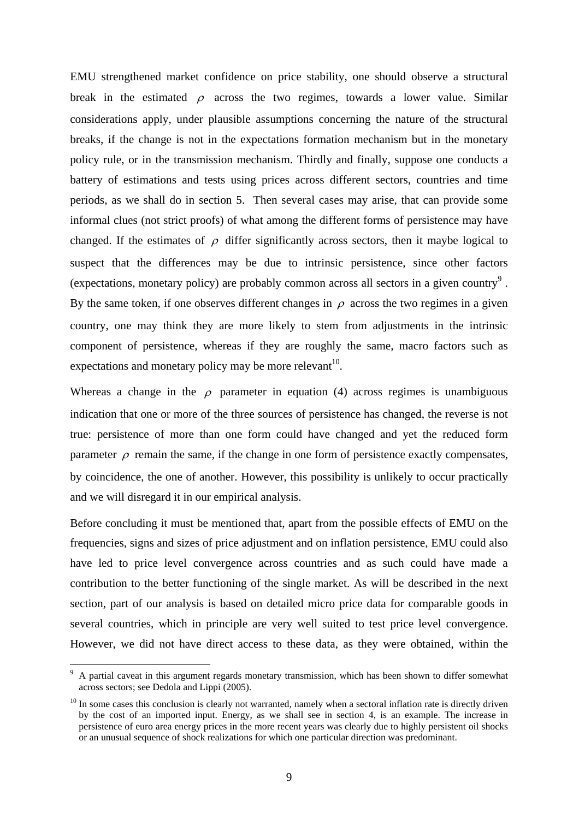EMU strengthened market confidence on price stability, one should observe a structural break in the estimated  $\rho$  across the two regimes, towards a lower value. Similar considerations apply, under plausible assumptions concerning the nature of the structural breaks, if the change is not in the expectations formation mechanism but in the monetary policy rule, or in the transmission mechanism. Thirdly and finally, suppose one conducts a battery of estimations and tests using prices across different sectors, countries and time periods, as we shall do in section 5. Then several cases may arise, that can provide some informal clues (not strict proofs) of what among the different forms of persistence may have changed. If the estimates of  $\rho$  differ significantly across sectors, then it maybe logical to suspect that the differences may be due to intrinsic persistence, since other factors (expectations, monetary policy) are probably common across all sectors in a given country<sup>[9](#page-8-0)</sup>. By the same token, if one observes different changes in  $\rho$  across the two regimes in a given country, one may think they are more likely to stem from adjustments in the intrinsic component of persistence, whereas if they are roughly the same, macro factors such as expectations and monetary policy may be more relevant<sup>10</sup>.

Whereas a change in the  $\rho$  parameter in equation (4) across regimes is unambiguous indication that one or more of the three sources of persistence has changed, the reverse is not true: persistence of more than one form could have changed and yet the reduced form parameter  $\rho$  remain the same, if the change in one form of persistence exactly compensates, by coincidence, the one of another. However, this possibility is unlikely to occur practically and we will disregard it in our empirical analysis.

Before concluding it must be mentioned that, apart from the possible effects of EMU on the frequencies, signs and sizes of price adjustment and on inflation persistence, EMU could also have led to price level convergence across countries and as such could have made a contribution to the better functioning of the single market. As will be described in the next section, part of our analysis is based on detailed micro price data for comparable goods in several countries, which in principle are very well suited to test price level convergence. However, we did not have direct access to these data, as they were obtained, within the

 $\overline{a}$ 

<span id="page-8-0"></span> $9\,$  A partial caveat in this argument regards monetary transmission, which has been shown to differ somewhat across sectors; see Dedola and Lippi (2005).

<span id="page-8-1"></span> $10$  In some cases this conclusion is clearly not warranted, namely when a sectoral inflation rate is directly driven by the cost of an imported input. Energy, as we shall see in section 4, is an example. The increase in persistence of euro area energy prices in the more recent years was clearly due to highly persistent oil shocks or an unusual sequence of shock realizations for which one particular direction was predominant.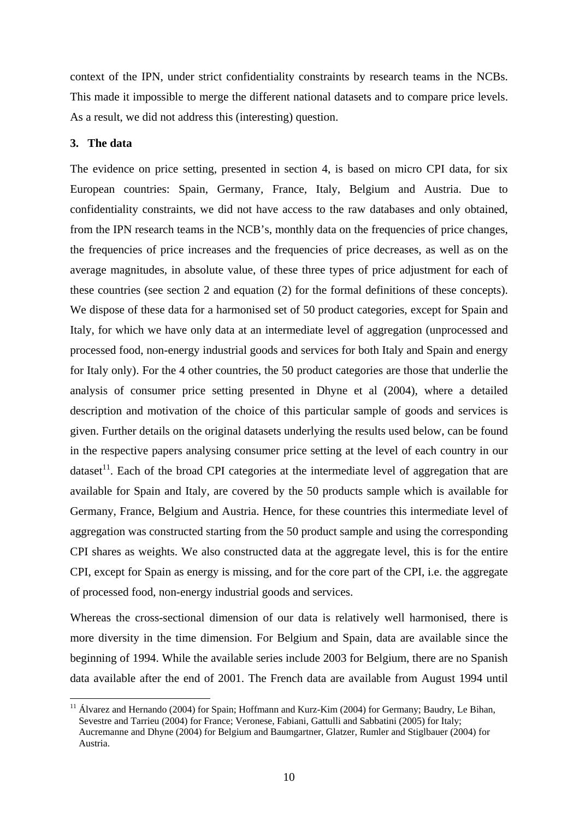context of the IPN, under strict confidentiality constraints by research teams in the NCBs. This made it impossible to merge the different national datasets and to compare price levels. As a result, we did not address this (interesting) question.

### **3. The data**

 $\overline{a}$ 

The evidence on price setting, presented in section 4, is based on micro CPI data, for six European countries: Spain, Germany, France, Italy, Belgium and Austria. Due to confidentiality constraints, we did not have access to the raw databases and only obtained, from the IPN research teams in the NCB's, monthly data on the frequencies of price changes, the frequencies of price increases and the frequencies of price decreases, as well as on the average magnitudes, in absolute value, of these three types of price adjustment for each of these countries (see section 2 and equation (2) for the formal definitions of these concepts). We dispose of these data for a harmonised set of 50 product categories, except for Spain and Italy, for which we have only data at an intermediate level of aggregation (unprocessed and processed food, non-energy industrial goods and services for both Italy and Spain and energy for Italy only). For the 4 other countries, the 50 product categories are those that underlie the analysis of consumer price setting presented in Dhyne et al (2004), where a detailed description and motivation of the choice of this particular sample of goods and services is given. Further details on the original datasets underlying the results used below, can be found in the respective papers analysing consumer price setting at the level of each country in our dataset<sup>11</sup>. Each of the broad CPI categories at the intermediate level of aggregation that are available for Spain and Italy, are covered by the 50 products sample which is available for Germany, France, Belgium and Austria. Hence, for these countries this intermediate level of aggregation was constructed starting from the 50 product sample and using the corresponding CPI shares as weights. We also constructed data at the aggregate level, this is for the entire CPI, except for Spain as energy is missing, and for the core part of the CPI, i.e. the aggregate of processed food, non-energy industrial goods and services.

more diversity in the time dimension. For Belgium and Spain, data are available since the Whereas the cross-sectional dimension of our data is relatively well harmonised, there is beginning of 1994. While the available series include 2003 for Belgium, there are no Spanish data available after the end of 2001. The French data are available from August 1994 until

<span id="page-9-0"></span><sup>&</sup>lt;sup>11</sup> Álvarez and Hernando (2004) for Spain; Hoffmann and Kurz-Kim (2004) for Germany; Baudry, Le Bihan, Sevestre and Tarrieu (2004) for France; Veronese, Fabiani, Gattulli and Sabbatini (2005) for Italy; Aucremanne and Dhyne (2004) for Belgium and Baumgartner, Glatzer, Rumler and Stiglbauer (2004) for Austria.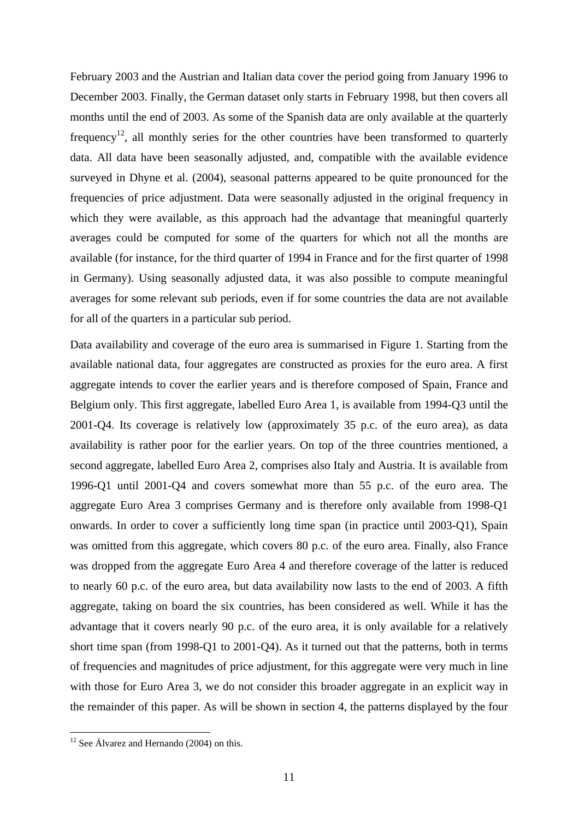February 2003 and the Austrian and Italian data cover the period going from January 1996 to December 2003. Finally, the German dataset only starts in February 1998, but then covers all months until the end of 2003. As some of the Spanish data are only available at the quarterly frequency<sup>12</sup>, all monthly series for the other countries have been transformed to quarterly data. All data have been seasonally adjusted, and, compatible with the available evidence surveyed in Dhyne et al. (2004), seasonal patterns appeared to be quite pronounced for the frequencies of price adjustment. Data were seasonally adjusted in the original frequency in which they were available, as this approach had the advantage that meaningful quarterly averages could be computed for some of the quarters for which not all the months are available (for instance, for the third quarter of 1994 in France and for the first quarter of 1998 in Germany). Using seasonally adjusted data, it was also possible to compute meaningful averages for some relevant sub periods, even if for some countries the data are not available for all of the quarters in a particular sub period.

Data availability and coverage of the euro area is summarised in Figure 1. Starting from the available national data, four aggregates are constructed as proxies for the euro area. A first aggregate intends to cover the earlier years and is therefore composed of Spain, France and Belgium only. This first aggregate, labelled Euro Area 1, is available from 1994-Q3 until the 2001-Q4. Its coverage is relatively low (approximately 35 p.c. of the euro area), as data availability is rather poor for the earlier years. On top of the three countries mentioned, a second aggregate, labelled Euro Area 2, comprises also Italy and Austria. It is available from 1996-Q1 until 2001-Q4 and covers somewhat more than 55 p.c. of the euro area. The aggregate Euro Area 3 comprises Germany and is therefore only available from 1998-Q1 onwards. In order to cover a sufficiently long time span (in practice until 2003-Q1), Spain was omitted from this aggregate, which covers 80 p.c. of the euro area. Finally, also France was dropped from the aggregate Euro Area 4 and therefore coverage of the latter is reduced to nearly 60 p.c. of the euro area, but data availability now lasts to the end of 2003. A fifth aggregate, taking on board the six countries, has been considered as well. While it has the advantage that it covers nearly 90 p.c. of the euro area, it is only available for a relatively short time span (from 1998-Q1 to 2001-Q4). As it turned out that the patterns, both in terms of frequencies and magnitudes of price adjustment, for this aggregate were very much in line with those for Euro Area 3, we do not consider this broader aggregate in an explicit way in the remainder of this paper. As will be shown in section 4, the patterns displayed by the four

 $\overline{a}$ 

<span id="page-10-0"></span> $12$  See Álvarez and Hernando (2004) on this.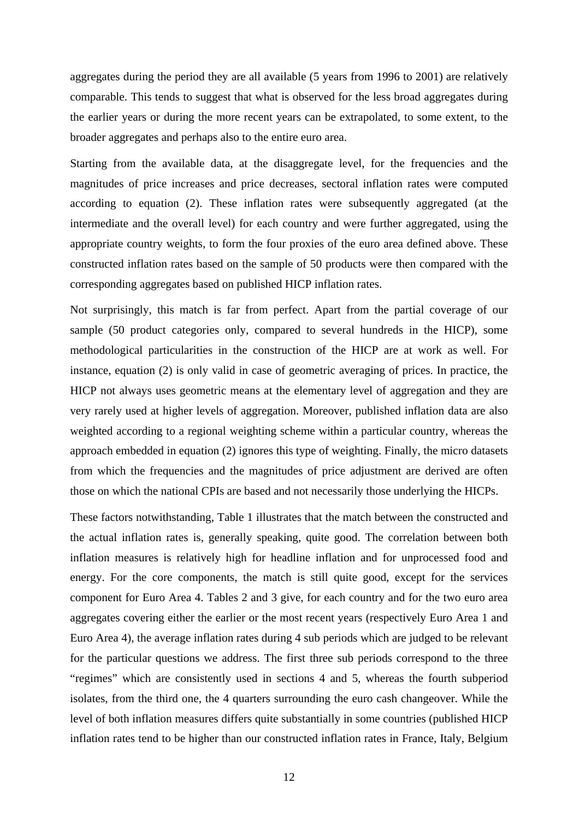aggregates during the period they are all available (5 years from 1996 to 2001) are relatively comparable. This tends to suggest that what is observed for the less broad aggregates during the earlier years or during the more recent years can be extrapolated, to some extent, to the broader aggregates and perhaps also to the entire euro area.

Starting from the available data, at the disaggregate level, for the frequencies and the magnitudes of price increases and price decreases, sectoral inflation rates were computed according to equation (2). These inflation rates were subsequently aggregated (at the intermediate and the overall level) for each country and were further aggregated, using the appropriate country weights, to form the four proxies of the euro area defined above. These constructed inflation rates based on the sample of 50 products were then compared with the corresponding aggregates based on published HICP inflation rates.

sample (50 product categories only, compared to several hundreds in the HICP), some Not surprisingly, this match is far from perfect. Apart from the partial coverage of our methodological particularities in the construction of the HICP are at work as well. For instance, equation (2) is only valid in case of geometric averaging of prices. In practice, the HICP not always uses geometric means at the elementary level of aggregation and they are very rarely used at higher levels of aggregation. Moreover, published inflation data are also weighted according to a regional weighting scheme within a particular country, whereas the approach embedded in equation (2) ignores this type of weighting. Finally, the micro datasets from which the frequencies and the magnitudes of price adjustment are derived are often those on which the national CPIs are based and not necessarily those underlying the HICPs.

These factors notwithstanding, Table 1 illustrates that the match between the constructed and the actual inflation rates is, generally speaking, quite good. The correlation between both inflation measures is relatively high for headline inflation and for unprocessed food and energy. For the core components, the match is still quite good, except for the services component for Euro Area 4. Tables 2 and 3 give, for each country and for the two euro area aggregates covering either the earlier or the most recent years (respectively Euro Area 1 and Euro Area 4), the average inflation rates during 4 sub periods which are judged to be relevant for the particular questions we address. The first three sub periods correspond to the three "regimes" which are consistently used in sections 4 and 5, whereas the fourth subperiod isolates, from the third one, the 4 quarters surrounding the euro cash changeover. While the level of both inflation measures differs quite substantially in some countries (published HICP inflation rates tend to be higher than our constructed inflation rates in France, Italy, Belgium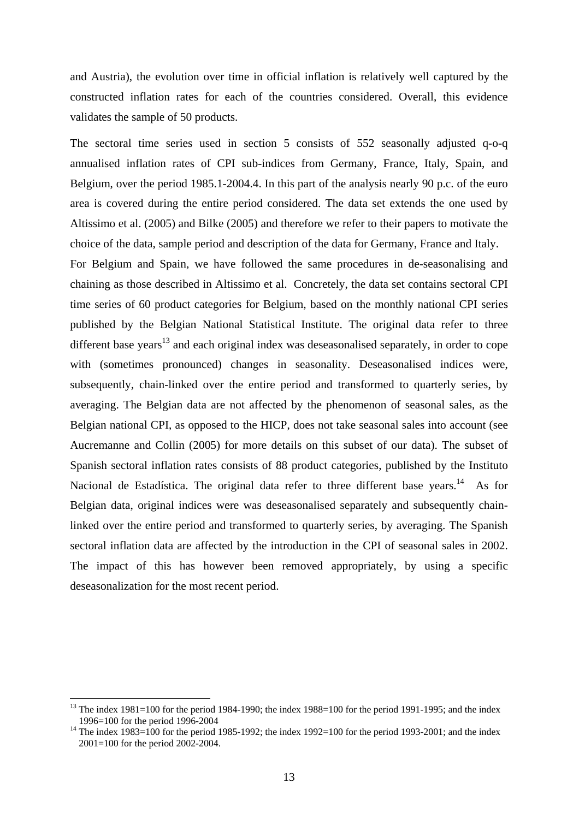and Austria), the evolution over time in official inflation is relatively well captured by the constructed inflation rates for each of the countries considered. Overall, this evidence validates the sample of 50 products.

The sectoral time series used in section 5 consists of 552 seasonally adjusted q-o-q annualised inflation rates of CPI sub-indices from Germany, France, Italy, Spain, and Belgium, over the period 1985.1-2004.4. In this part of the analysis nearly 90 p.c. of the euro area is covered during the entire period considered. The data set extends the one used by Altissimo et al. (2005) and Bilke (2005) and therefore we refer to their papers to motivate the choice of the data, sample period and description of the data for Germany, France and Italy.

For Belgium and Spain, we have followed the same procedures in de-seasonalising and chaining as those described in Altissimo et al. Concretely, the data set contains sectoral CPI time series of 60 product categories for Belgium, based on the monthly national CPI series published by the Belgian National Statistical Institute. The original data refer to three different base years $^{13}$  and each original index was deseasonalised separately, in order to cope with (sometimes pronounced) changes in seasonality. Deseasonalised indices were, subsequently, chain-linked over the entire period and transformed to quarterly series, by averaging. The Belgian data are not affected by the phenomenon of seasonal sales, as the Belgian national CPI, as opposed to the HICP, does not take seasonal sales into account (see Aucremanne and Collin (2005) for more details on this subset of our data). The subset of Spanish sectoral inflation rates consists of 88 product categories, published by the Instituto Nacional de Estadística. The original data refer to three different base vears.<sup>14</sup> As for Belgian data, original indices were was deseasonalised separately and subsequently chainlinked over the entire period and transformed to quarterly series, by averaging. The Spanish sectoral inflation data are affected by the introduction in the CPI of seasonal sales in 2002. The impact of this has however been removed appropriately, by using a specific deseasonalization for the most recent period.

 $\overline{a}$ 

<span id="page-12-0"></span><sup>&</sup>lt;sup>13</sup> The index 1981=100 for the period 1984-1990; the index 1988=100 for the period 1991-1995; and the index 1996=100 for the period 1996-2004<br><sup>14</sup> The index 1983=100 for the period 1985-1992; the index 1992=100 for the period 1993-2001; and the index

<span id="page-12-1"></span><sup>2001=100</sup> for the period 2002-2004.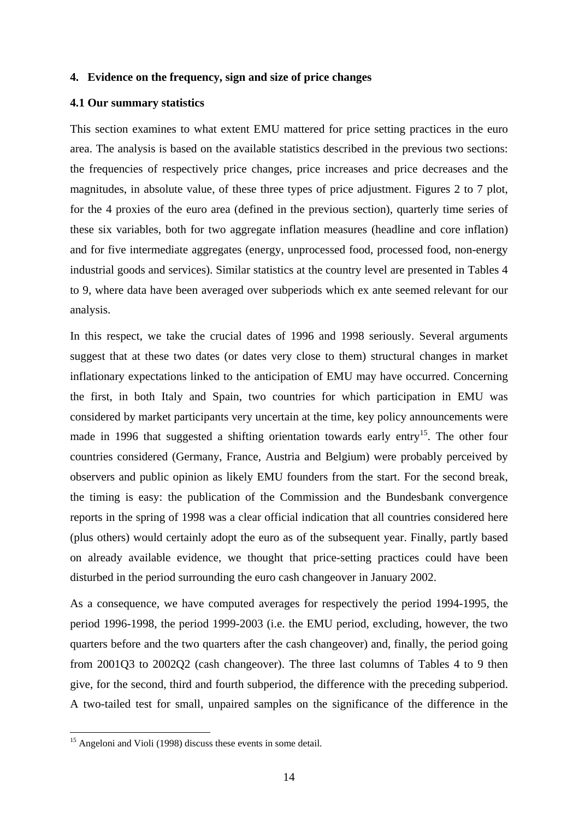### **4. Evidence on the frequency, sign and size of price changes**

### **4.1 Our summary statistics**

This section examines to what extent EMU mattered for price setting practices in the euro area. The analysis is based on the available statistics described in the previous two sections: the frequencies of respectively price changes, price increases and price decreases and the magnitudes, in absolute value, of these three types of price adjustment. Figures 2 to 7 plot, for the 4 proxies of the euro area (defined in the previous section), quarterly time series of these six variables, both for two aggregate inflation measures (headline and core inflation) and for five intermediate aggregates (energy, unprocessed food, processed food, non-energy industrial goods and services). Similar statistics at the country level are presented in Tables 4 to 9, where data have been averaged over subperiods which ex ante seemed relevant for our analysis.

In this respect, we take the crucial dates of 1996 and 1998 seriously. Several arguments suggest that at these two dates (or dates very close to them) structural changes in market inflationary expectations linked to the anticipation of EMU may have occurred. Concerning the first, in both Italy and Spain, two countries for which participation in EMU was considered by market participants very uncertain at the time, key policy announcements were made in 1996 that suggested a shifting orientation towards early entry<sup>15</sup>. The other four countries considered (Germany, France, Austria and Belgium) were probably perceived by observers and public opinion as likely EMU founders from the start. For the second break, the timing is easy: the publication of the Commission and the Bundesbank convergence reports in the spring of 1998 was a clear official indication that all countries considered here (plus others) would certainly adopt the euro as of the subsequent year. Finally, partly based on already available evidence, we thought that price-setting practices could have been disturbed in the period surrounding the euro cash changeover in January 2002.

As a consequence, we have computed averages for respectively the period 1994-1995, the period 1996-1998, the period 1999-2003 (i.e. the EMU period, excluding, however, the two quarters before and the two quarters after the cash changeover) and, finally, the period going from 2001Q3 to 2002Q2 (cash changeover). The three last columns of Tables 4 to 9 then give, for the second, third and fourth subperiod, the difference with the preceding subperiod. A two-tailed test for small, unpaired samples on the significance of the difference in the

 $\overline{a}$ 

<span id="page-13-0"></span><sup>&</sup>lt;sup>15</sup> Angeloni and Violi (1998) discuss these events in some detail.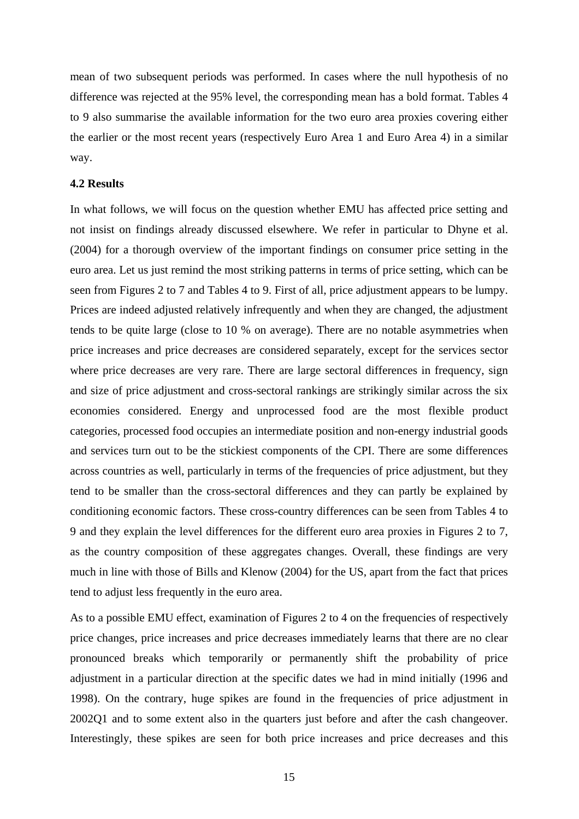mean of two subsequent periods was performed. In cases where the null hypothesis of no difference was rejected at the 95% level, the corresponding mean has a bold format. Tables 4 to 9 also summarise the available information for the two euro area proxies covering either the earlier or the most recent years (respectively Euro Area 1 and Euro Area 4) in a similar way.

### **4.2 Results**

In what follows, we will focus on the question whether EMU has affected price setting and not insist on findings already discussed elsewhere. We refer in particular to Dhyne et al. (2004) for a thorough overview of the important findings on consumer price setting in the euro area. Let us just remind the most striking patterns in terms of price setting, which can be seen from Figures 2 to 7 and Tables 4 to 9. First of all, price adjustment appears to be lumpy. Prices are indeed adjusted relatively infrequently and when they are changed, the adjustment tends to be quite large (close to 10 % on average). There are no notable asymmetries when price increases and price decreases are considered separately, except for the services sector where price decreases are very rare. There are large sectoral differences in frequency, sign and size of price adjustment and cross-sectoral rankings are strikingly similar across the six economies considered. Energy and unprocessed food are the most flexible product categories, processed food occupies an intermediate position and non-energy industrial goods and services turn out to be the stickiest components of the CPI. There are some differences across countries as well, particularly in terms of the frequencies of price adjustment, but they tend to be smaller than the cross-sectoral differences and they can partly be explained by conditioning economic factors. These cross-country differences can be seen from Tables 4 to 9 and they explain the level differences for the different euro area proxies in Figures 2 to 7, as the country composition of these aggregates changes. Overall, these findings are very much in line with those of Bills and Klenow (2004) for the US, apart from the fact that prices tend to adjust less frequently in the euro area.

As to a possible EMU effect, examination of Figures 2 to 4 on the frequencies of respectively price changes, price increases and price decreases immediately learns that there are no clear pronounced breaks which temporarily or permanently shift the probability of price adjustment in a particular direction at the specific dates we had in mind initially (1996 and 1998). On the contrary, huge spikes are found in the frequencies of price adjustment in 2002Q1 and to some extent also in the quarters just before and after the cash changeover. Interestingly, these spikes are seen for both price increases and price decreases and this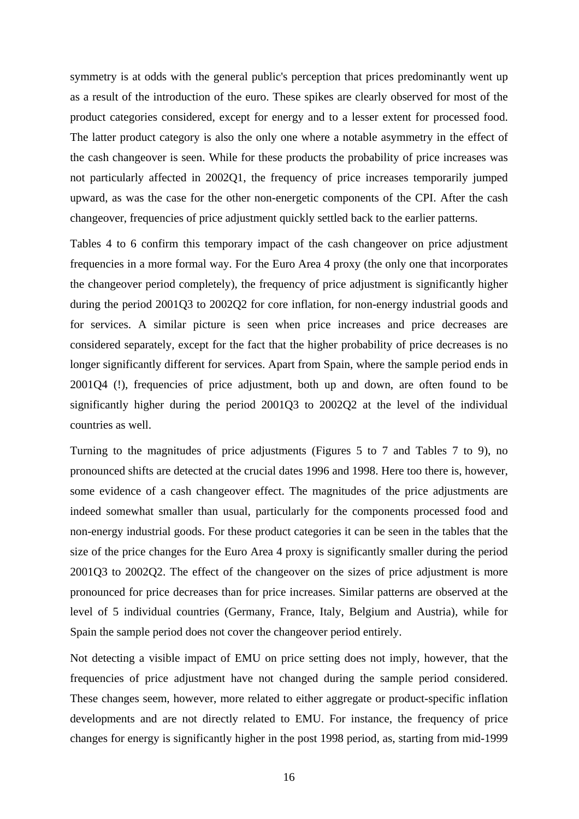symmetry is at odds with the general public's perception that prices predominantly went up as a result of the introduction of the euro. These spikes are clearly observed for most of the product categories considered, except for energy and to a lesser extent for processed food. The latter product category is also the only one where a notable asymmetry in the effect of the cash changeover is seen. While for these products the probability of price increases was not particularly affected in 2002Q1, the frequency of price increases temporarily jumped upward, as was the case for the other non-energetic components of the CPI. After the cash changeover, frequencies of price adjustment quickly settled back to the earlier patterns.

Tables 4 to 6 confirm this temporary impact of the cash changeover on price adjustment frequencies in a more formal way. For the Euro Area 4 proxy (the only one that incorporates the changeover period completely), the frequency of price adjustment is significantly higher during the period 2001Q3 to 2002Q2 for core inflation, for non-energy industrial goods and for services. A similar picture is seen when price increases and price decreases are considered separately, except for the fact that the higher probability of price decreases is no longer significantly different for services. Apart from Spain, where the sample period ends in 2001Q4 (!), frequencies of price adjustment, both up and down, are often found to be significantly higher during the period 2001Q3 to 2002Q2 at the level of the individual countries as well.

Turning to the magnitudes of price adjustments (Figures 5 to 7 and Tables 7 to 9), no pronounced shifts are detected at the crucial dates 1996 and 1998. Here too there is, however, some evidence of a cash changeover effect. The magnitudes of the price adjustments are indeed somewhat smaller than usual, particularly for the components processed food and non-energy industrial goods. For these product categories it can be seen in the tables that the size of the price changes for the Euro Area 4 proxy is significantly smaller during the period 2001Q3 to 2002Q2. The effect of the changeover on the sizes of price adjustment is more pronounced for price decreases than for price increases. Similar patterns are observed at the level of 5 individual countries (Germany, France, Italy, Belgium and Austria), while for Spain the sample period does not cover the changeover period entirely.

Not detecting a visible impact of EMU on price setting does not imply, however, that the frequencies of price adjustment have not changed during the sample period considered. These changes seem, however, more related to either aggregate or product-specific inflation developments and are not directly related to EMU. For instance, the frequency of price changes for energy is significantly higher in the post 1998 period, as, starting from mid-1999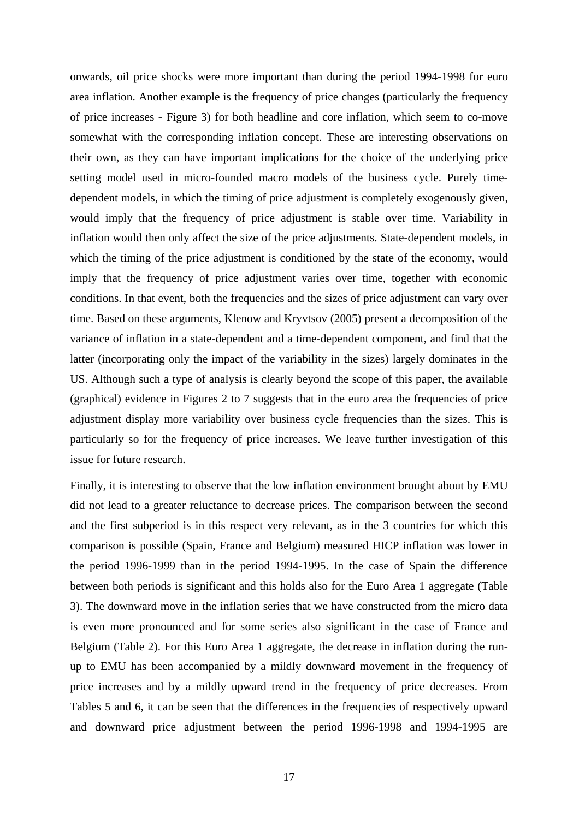onwards, oil price shocks were more important than during the period 1994-1998 for euro area inflation. Another example is the frequency of price changes (particularly the frequency of price increases - Figure 3) for both headline and core inflation, which seem to co-move somewhat with the corresponding inflation concept. These are interesting observations on their own, as they can have important implications for the choice of the underlying price setting model used in micro-founded macro models of the business cycle. Purely timedependent models, in which the timing of price adjustment is completely exogenously given, would imply that the frequency of price adjustment is stable over time. Variability in inflation would then only affect the size of the price adjustments. State-dependent models, in which the timing of the price adjustment is conditioned by the state of the economy, would imply that the frequency of price adjustment varies over time, together with economic conditions. In that event, both the frequencies and the sizes of price adjustment can vary over time. Based on these arguments, Klenow and Kryvtsov (2005) present a decomposition of the variance of inflation in a state-dependent and a time-dependent component, and find that the latter (incorporating only the impact of the variability in the sizes) largely dominates in the US. Although such a type of analysis is clearly beyond the scope of this paper, the available (graphical) evidence in Figures 2 to 7 suggests that in the euro area the frequencies of price adjustment display more variability over business cycle frequencies than the sizes. This is particularly so for the frequency of price increases. We leave further investigation of this issue for future research.

Finally, it is interesting to observe that the low inflation environment brought about by EMU did not lead to a greater reluctance to decrease prices. The comparison between the second and the first subperiod is in this respect very relevant, as in the 3 countries for which this comparison is possible (Spain, France and Belgium) measured HICP inflation was lower in the period 1996-1999 than in the period 1994-1995. In the case of Spain the difference between both periods is significant and this holds also for the Euro Area 1 aggregate (Table 3). The downward move in the inflation series that we have constructed from the micro data is even more pronounced and for some series also significant in the case of France and Belgium (Table 2). For this Euro Area 1 aggregate, the decrease in inflation during the runup to EMU has been accompanied by a mildly downward movement in the frequency of price increases and by a mildly upward trend in the frequency of price decreases. From Tables 5 and 6, it can be seen that the differences in the frequencies of respectively upward and downward price adjustment between the period 1996-1998 and 1994-1995 are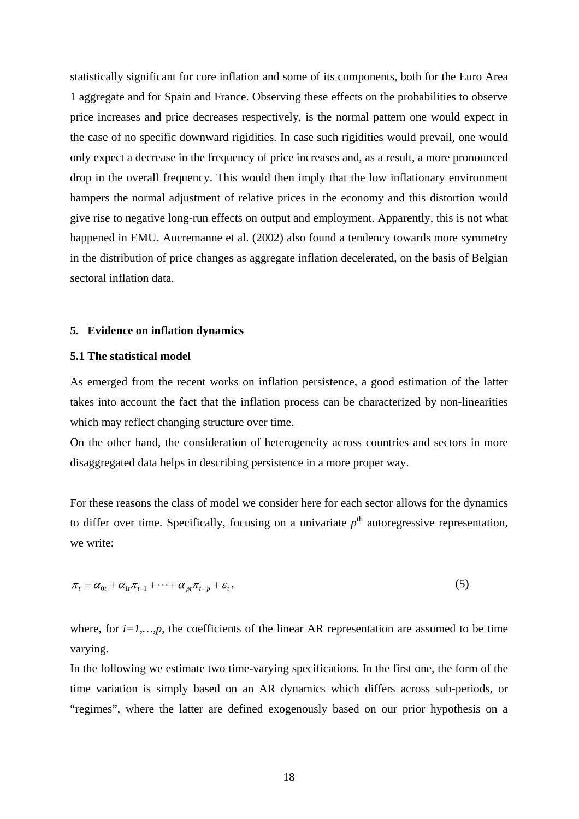statistically significant for core inflation and some of its components, both for the Euro Area 1 aggregate and for Spain and France. Observing these effects on the probabilities to observe price increases and price decreases respectively, is the normal pattern one would expect in the case of no specific downward rigidities. In case such rigidities would prevail, one would only expect a decrease in the frequency of price increases and, as a result, a more pronounced drop in the overall frequency. This would then imply that the low inflationary environment hampers the normal adjustment of relative prices in the economy and this distortion would give rise to negative long-run effects on output and employment. Apparently, this is not what happened in EMU. Aucremanne et al. (2002) also found a tendency towards more symmetry in the distribution of price changes as aggregate inflation decelerated, on the basis of Belgian sectoral inflation data.

#### **5. Evidence on inflation dynamics**

### **5.1 The statistical model**

As emerged from the recent works on inflation persistence, a good estimation of the latter takes into account the fact that the inflation process can be characterized by non-linearities which may reflect changing structure over time.

On the other hand, the consideration of heterogeneity across countries and sectors in more disaggregated data helps in describing persistence in a more proper way.

For these reasons the class of model we consider here for each sector allows for the dynamics to differ over time. Specifically, focusing on a univariate  $p<sup>th</sup>$  autoregressive representation, we write:

$$
\pi_{t} = \alpha_{0t} + \alpha_{1t}\pi_{t-1} + \dots + \alpha_{pt}\pi_{t-p} + \varepsilon_{t},
$$
\n(5)

where, for  $i=1,...,p$ , the coefficients of the linear AR representation are assumed to be time varying.

In the following we estimate two time-varying specifications. In the first one, the form of the time variation is simply based on an AR dynamics which differs across sub-periods, or "regimes", where the latter are defined exogenously based on our prior hypothesis on a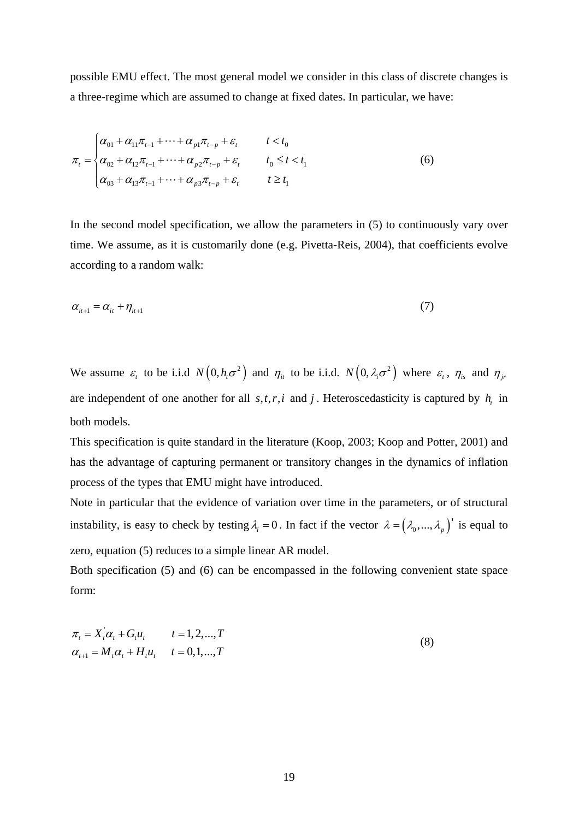possible EMU effect. The most general model we consider in this class of discrete changes is a three-regime which are assumed to change at fixed dates. In particular, we have:

$$
\pi_{t} = \begin{cases}\n\alpha_{01} + \alpha_{11}\pi_{t-1} + \dots + \alpha_{p1}\pi_{t-p} + \varepsilon_{t} & t < t_{0} \\
\alpha_{02} + \alpha_{12}\pi_{t-1} + \dots + \alpha_{p2}\pi_{t-p} + \varepsilon_{t} & t_{0} \le t < t_{1} \\
\alpha_{03} + \alpha_{13}\pi_{t-1} + \dots + \alpha_{p3}\pi_{t-p} + \varepsilon_{t} & t \ge t_{1}\n\end{cases}
$$
\n(6)

In the second model specification, we allow the parameters in (5) to continuously vary over time. We assume, as it is customarily done (e.g. Pivetta-Reis, 2004), that coefficients evolve according to a random walk:

$$
\alpha_{it+1} = \alpha_{it} + \eta_{it+1} \tag{7}
$$

We assume  $\varepsilon_t$  to be i.i.d  $N(0, h_t \sigma^2)$  and  $\eta_{it}$  to be i.i.d.  $N(0, \lambda_t \sigma^2)$  where  $\varepsilon_t$ ,  $\eta_{is}$  and  $\eta_{it}$ are independent of one another for all  $s, t, r, i$  and  $j$ . Heteroscedasticity is captured by  $h_i$  in both models.

This specification is quite standard in the literature (Koop, 2003; Koop and Potter, 2001) and has the advantage of capturing permanent or transitory changes in the dynamics of inflation process of the types that EMU might have introduced.

Note in particular that the evidence of variation over time in the parameters, or of structural instability, is easy to check by testing  $\lambda_i = 0$ . In fact if the vector  $\lambda = (\lambda_0, ..., \lambda_p)$  is equal to zero, equation (5) reduces to a simple linear AR model.

Both specification (5) and (6) can be encompassed in the following convenient state space form:

$$
\pi_t = X_t \alpha_t + G_t u_t \qquad t = 1, 2, ..., T
$$
  
\n
$$
\alpha_{t+1} = M_t \alpha_t + H_t u_t \qquad t = 0, 1, ..., T
$$
\n(8)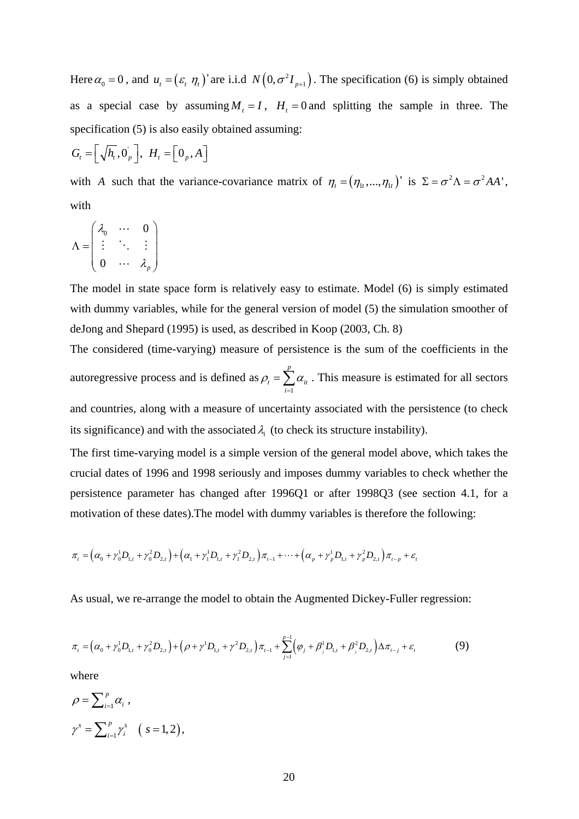Here  $\alpha_0 = 0$ , and  $u_t = (\varepsilon_t \eta_t)$  are i.i.d  $N(0, \sigma^2 I_{p+1})$ . The specification (6) is simply obtained as a special case by assuming  $M_t = I$ ,  $H_t = 0$  and splitting the sample in three. The specification (5) is also easily obtained assuming:

$$
G_t = \left[\sqrt{h_t}, 0\right]_p, H_t = \left[0_p, A\right]
$$

with *A* such that the variance-covariance matrix of  $\eta_t = (\eta_1, ..., \eta_t)$  is  $\Sigma = \sigma^2 \Lambda = \sigma^2 A A'$ , with

$$
\Lambda = \begin{pmatrix} \lambda_0 & \cdots & 0 \\ \vdots & \ddots & \vdots \\ 0 & \cdots & \lambda_p \end{pmatrix}
$$

The model in state space form is relatively easy to estimate. Model (6) is simply estimated with dummy variables, while for the general version of model (5) the simulation smoother of deJong and Shepard (1995) is used, as described in Koop (2003, Ch. 8)

The considered (time-varying) measure of persistence is the sum of the coefficients in the autoregressive process and is defined as 1 *p t i*  $\rho_{_t} = \sum \alpha_{_{it}}$  $=\sum_{i=1}^{n} \alpha_i$ . This measure is estimated for all sectors and countries, along with a measure of uncertainty associated with the persistence (to check

its significance) and with the associated  $\lambda_i$  (to check its structure instability).

The first time-varying model is a simple version of the general model above, which takes the crucial dates of 1996 and 1998 seriously and imposes dummy variables to check whether the persistence parameter has changed after 1996Q1 or after 1998Q3 (see section 4.1, for a motivation of these dates).The model with dummy variables is therefore the following:

$$
\pi_{t} = (\alpha_{0} + \gamma_{0}^{1}D_{1,t} + \gamma_{0}^{2}D_{2,t}) + (\alpha_{1} + \gamma_{1}^{1}D_{1,t} + \gamma_{1}^{2}D_{2,t})\pi_{t-1} + \dots + (\alpha_{p} + \gamma_{p}^{1}D_{1,t} + \gamma_{p}^{2}D_{2,t})\pi_{t-p} + \varepsilon_{t}
$$

As usual, we re-arrange the model to obtain the Augmented Dickey-Fuller regression:

$$
\pi_{t} = (\alpha_{0} + \gamma_{0}^{1}D_{1,t} + \gamma_{0}^{2}D_{2,t}) + (\rho + \gamma^{1}D_{1,t} + \gamma^{2}D_{2,t})\pi_{t-1} + \sum_{j=1}^{p-1} (\varphi_{j} + \beta_{j}^{1}D_{1,t} + \beta_{j}^{2}D_{2,t})\Delta\pi_{t-j} + \varepsilon_{t}
$$
(9)

where

$$
\rho = \sum_{i=1}^{p} \alpha_i ,
$$
  

$$
\gamma^s = \sum_{i=1}^{p} \gamma_i^s \quad (s = 1, 2),
$$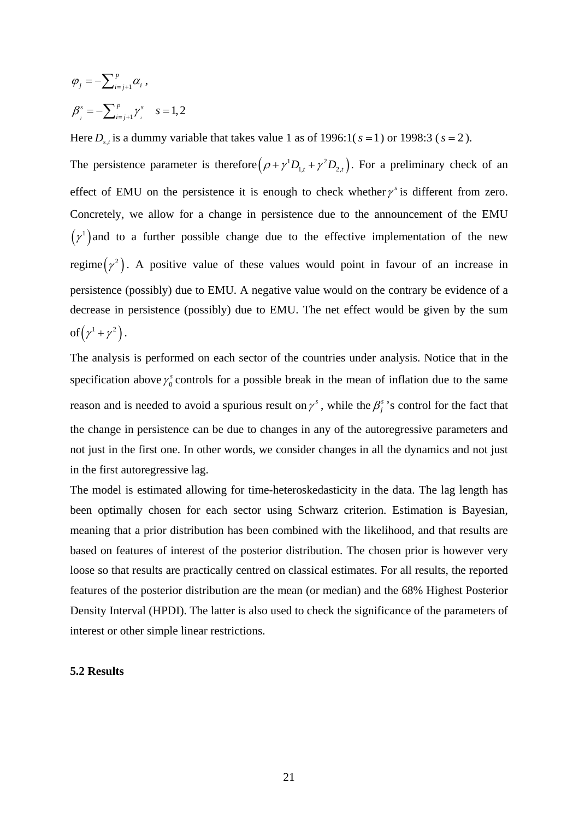$$
\varphi_j = -\sum_{i=j+1}^p \alpha_i ,
$$
  

$$
\beta_j^s = -\sum_{i=j+1}^p \gamma_i^s \quad s = 1, 2
$$

Here  $D_{s,t}$  is a dummy variable that takes value 1 as of 1996:1( $s = 1$ ) or 1998:3 ( $s = 2$ ).

The persistence parameter is therefore  $(\rho + \gamma^1 D_{1,t} + \gamma^2 D_{2,t})$ . For a preliminary check of an effect of EMU on the persistence it is enough to check whether  $\gamma$ <sup>*s*</sup> is different from zero. Concretely, we allow for a change in persistence due to the announcement of the EMU  $(\gamma^1)$  and to a further possible change due to the effective implementation of the new regime  $(\gamma^2)$ . A positive value of these values would point in favour of an increase in persistence (possibly) due to EMU. A negative value would on the contrary be evidence of a decrease in persistence (possibly) due to EMU. The net effect would be given by the sum of  $(\gamma^1 + \gamma^2)$ .

The analysis is performed on each sector of the countries under analysis. Notice that in the specification above  $\gamma_0^s$  controls for a possible break in the mean of inflation due to the same reason and is needed to avoid a spurious result on  $\gamma^s$ , while the  $\beta_j^s$ 's control for the fact that the change in persistence can be due to changes in any of the autoregressive parameters and not just in the first one. In other words, we consider changes in all the dynamics and not just in the first autoregressive lag.

The model is estimated allowing for time-heteroskedasticity in the data. The lag length has been optimally chosen for each sector using Schwarz criterion. Estimation is Bayesian, meaning that a prior distribution has been combined with the likelihood, and that results are based on features of interest of the posterior distribution. The chosen prior is however very loose so that results are practically centred on classical estimates. For all results, the reported features of the posterior distribution are the mean (or median) and the 68% Highest Posterior Density Interval (HPDI). The latter is also used to check the significance of the parameters of interest or other simple linear restrictions.

### **5.2 Results**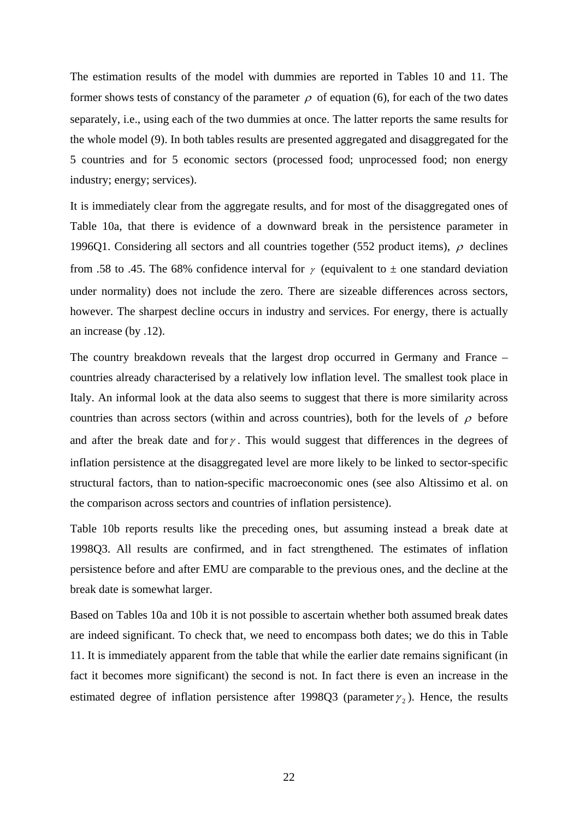<span id="page-21-0"></span>The estimation results of the model with dummies are reported in Tables 10 and 11. The [fo](#page-21-0)rmer shows tests of constancy of the parameter  $\rho$  of equation (6), for each of the two dates separately, i.e., using each of the two dummies at once. The latter reports the same results for the whole model (9). In both tables results are presented aggregated and disaggregated for the 5 countries and for 5 economic sectors (processed food; unprocessed food; non energy industry; energy; services).

It is immediately clear from the aggregate results, and for most of the disaggregated ones of Table 10a, that there is evidence of a downward break in the persistence parameter in 1996Q1. Considering all sectors and all countries together (552 product items),  $\rho$  declines from .58 to .45. The 68% confidence interval for  $\gamma$  (equivalent to  $\pm$  one standard deviation under normality) does not include the zero. There are sizeable differences across sectors, however. The sharpest decline occurs in industry and services. For energy, there is actually an increase (by .12).

The country breakdown reveals that the largest drop occurred in Germany and France – countries already characterised by a relatively low inflation level. The smallest took place in Italy. An informal look at the data also seems to suggest that there is more similarity across countries than across sectors (within and across countries), both for the levels of  $\rho$  before and after the break date and for  $\gamma$ . This would suggest that differences in the degrees of inflation persistence at the disaggregated level are more likely to be linked to sector-specific structural factors, than to nation-specific macroeconomic ones (see also Altissimo et al. on the comparison across sectors and countries of inflation persistence).

Table 10b reports results like the preceding ones, but assuming instead a break date at 1998Q3. All results are confirmed, and in fact strengthened. The estimates of inflation persistence before and after EMU are comparable to the previous ones, and the decline at the break date is somewhat larger.

Based on Tables 10a and 10b it is not possible to ascertain whether both assumed break dates are indeed significant. To check that, we need to encompass both dates; we do this in Table 11. It is immediately apparent from the table that while the earlier date remains significant (in fact it becomes more significant) the second is not. In fact there is even an increase in the estimated degree of inflation persistence after 1998Q3 (parameter  $\gamma$ <sub>2</sub>). Hence, the results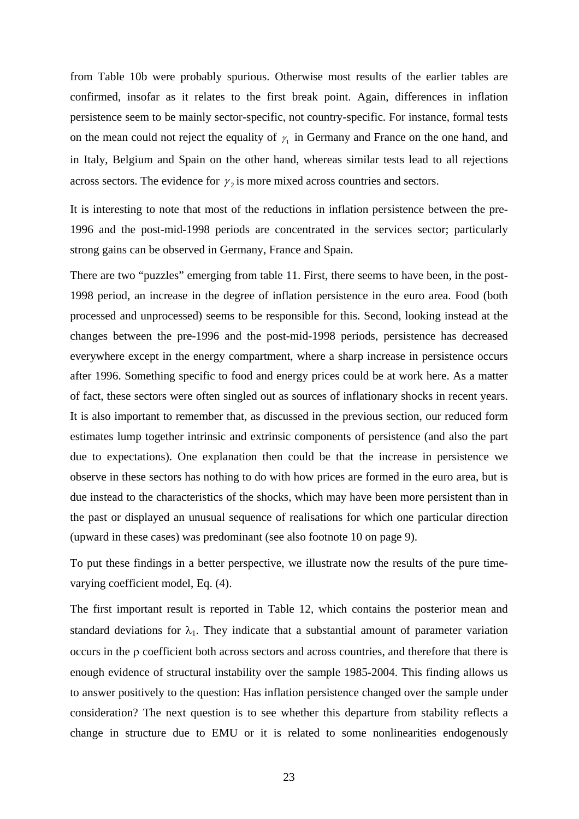from Table 10b were probably spurious. Otherwise most results of the earlier tables are confirmed, insofar as it relates to the first break point. Again, differences in inflation persistence seem to be mainly sector-specific, not country-specific. For instance, formal tests on the mean could not reject the equality of  $\gamma_1$  in Germany and France on the one hand, and in Italy, Belgium and Spain on the other hand, whereas similar tests lead to all rejections across sectors. The evidence for  $\gamma_2$  is more mixed across countries and sectors.

It is interesting to note that most of the reductions in inflation persistence between the pre-1996 and the post-mid-1998 periods are concentrated in the services sector; particularly strong gains can be observed in Germany, France and Spain.

There are two "puzzles" emerging from table 11. First, there seems to have been, in the post-1998 period, an increase in the degree of inflation persistence in the euro area. Food (both processed and unprocessed) seems to be responsible for this. Second, looking instead at the changes between the pre-1996 and the post-mid-1998 periods, persistence has decreased everywhere except in the energy compartment, where a sharp increase in persistence occurs after 1996. Something specific to food and energy prices could be at work here. As a matter of fact, these sectors were often singled out as sources of inflationary shocks in recent years. It is also important to remember that, as discussed in the previous section, our reduced form estimates lump together intrinsic and extrinsic components of persistence (and also the part due to expectations). One explanation then could be that the increase in persistence we observe in these sectors has nothing to do with how prices are formed in the euro area, but is due instead to the characteristics of the shocks, which may have been more persistent than in the past or displayed an unusual sequence of realisations for which one particular direction (upward in these cases) was predominant (see also footnote 10 on page 9).

To put these findings in a better perspective, we illustrate now the results of the pure timevarying coefficient model, Eq. (4).

The first important result is reported in Table 12, which contains the posterior mean and standard deviations for  $\lambda_1$ . They indicate that a substantial amount of parameter variation occurs in the ρ coefficient both across sectors and across countries, and therefore that there is enough evidence of structural instability over the sample 1985-2004. This finding allows us to answer positively to the question: Has inflation persistence changed over the sample under consideration? The next question is to see whether this departure from stability reflects a change in structure due to EMU or it is related to some nonlinearities endogenously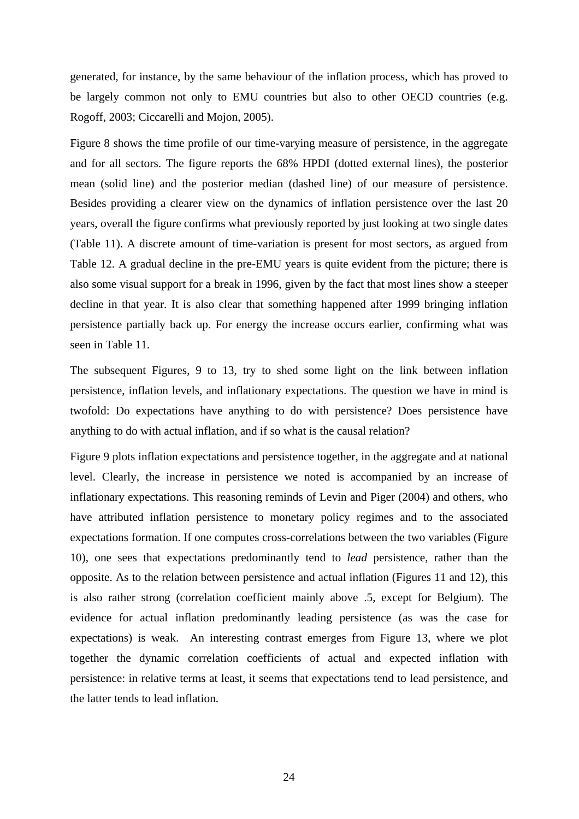generated, for instance, by the same behaviour of the inflation process, which has proved to be largely common not only to EMU countries but also to other OECD countries (e.g. Rogoff, 2003; Ciccarelli and Mojon, 2005).

Figure 8 shows the time profile of our time-varying measure of persistence, in the aggregate and for all sectors. The figure reports the 68% HPDI (dotted external lines), the posterior mean (solid line) and the posterior median (dashed line) of our measure of persistence. Besides providing a clearer view on the dynamics of inflation persistence over the last 20 years, overall the figure confirms what previously reported by just looking at two single dates (Table 11). A discrete amount of time-variation is present for most sectors, as argued from Table 12. A gradual decline in the pre-EMU years is quite evident from the picture; there is also some visual support for a break in 1996, given by the fact that most lines show a steeper decline in that year. It is also clear that something happened after 1999 bringing inflation persistence partially back up. For energy the increase occurs earlier, confirming what was seen in Table 11.

The subsequent Figures, 9 to 13, try to shed some light on the link between inflation persistence, inflation levels, and inflationary expectations. The question we have in mind is twofold: Do expectations have anything to do with persistence? Does persistence have anything to do with actual inflation, and if so what is the causal relation?

Figure 9 plots inflation expectations and persistence together, in the aggregate and at national level. Clearly, the increase in persistence we noted is accompanied by an increase of inflationary expectations. This reasoning reminds of Levin and Piger (2004) and others, who have attributed inflation persistence to monetary policy regimes and to the associated expectations formation. If one computes cross-correlations between the two variables (Figure 10), one sees that expectations predominantly tend to *lead* persistence, rather than the opposite. As to the relation between persistence and actual inflation (Figures 11 and 12), this is also rather strong (correlation coefficient mainly above .5, except for Belgium). The evidence for actual inflation predominantly leading persistence (as was the case for expectations) is weak. An interesting contrast emerges from Figure 13, where we plot together the dynamic correlation coefficients of actual and expected inflation with persistence: in relative terms at least, it seems that expectations tend to lead persistence, and the latter tends to lead inflation.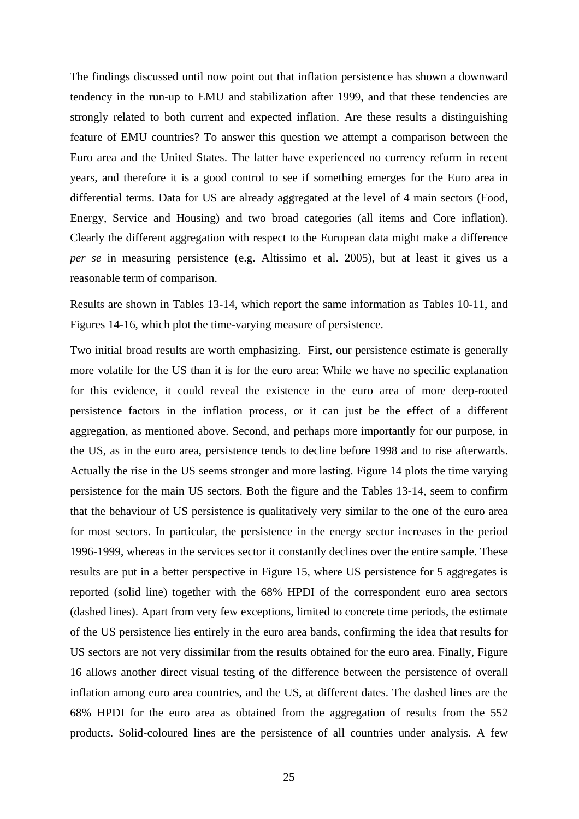The findings discussed until now point out that inflation persistence has shown a downward tendency in the run-up to EMU and stabilization after 1999, and that these tendencies are strongly related to both current and expected inflation. Are these results a distinguishing feature of EMU countries? To answer this question we attempt a comparison between the Euro area and the United States. The latter have experienced no currency reform in recent years, and therefore it is a good control to see if something emerges for the Euro area in differential terms. Data for US are already aggregated at the level of 4 main sectors (Food, Energy, Service and Housing) and two broad categories (all items and Core inflation). Clearly the different aggregation with respect to the European data might make a difference *per se* in measuring persistence (e.g. Altissimo et al. 2005), but at least it gives us a reasonable term of comparison.

Results are shown in Tables 13-14, which report the same information as Tables 10-11, and Figures 14-16, which plot the time-varying measure of persistence.

Two initial broad results are worth emphasizing. First, our persistence estimate is generally more volatile for the US than it is for the euro area: While we have no specific explanation for this evidence, it could reveal the existence in the euro area of more deep-rooted persistence factors in the inflation process, or it can just be the effect of a different aggregation, as mentioned above. Second, and perhaps more importantly for our purpose, in the US, as in the euro area, persistence tends to decline before 1998 and to rise afterwards. Actually the rise in the US seems stronger and more lasting. Figure 14 plots the time varying persistence for the main US sectors. Both the figure and the Tables 13-14, seem to confirm that the behaviour of US persistence is qualitatively very similar to the one of the euro area for most sectors. In particular, the persistence in the energy sector increases in the period 1996-1999, whereas in the services sector it constantly declines over the entire sample. These results are put in a better perspective in Figure 15, where US persistence for 5 aggregates is reported (solid line) together with the 68% HPDI of the correspondent euro area sectors (dashed lines). Apart from very few exceptions, limited to concrete time periods, the estimate of the US persistence lies entirely in the euro area bands, confirming the idea that results for US sectors are not very dissimilar from the results obtained for the euro area. Finally, Figure 16 allows another direct visual testing of the difference between the persistence of overall inflation among euro area countries, and the US, at different dates. The dashed lines are the 68% HPDI for the euro area as obtained from the aggregation of results from the 552 products. Solid-coloured lines are the persistence of all countries under analysis. A few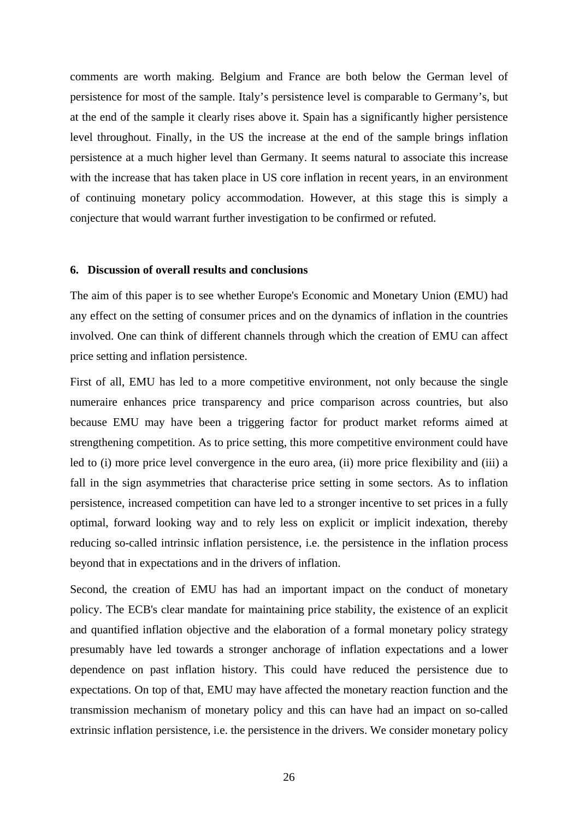comments are worth making. Belgium and France are both below the German level of persistence for most of the sample. Italy's persistence level is comparable to Germany's, but at the end of the sample it clearly rises above it. Spain has a significantly higher persistence level throughout. Finally, in the US the increase at the end of the sample brings inflation persistence at a much higher level than Germany. It seems natural to associate this increase with the increase that has taken place in US core inflation in recent years, in an environment of continuing monetary policy accommodation. However, at this stage this is simply a conjecture that would warrant further investigation to be confirmed or refuted.

### **6. Discussion of overall results and conclusions**

The aim of this paper is to see whether Europe's Economic and Monetary Union (EMU) had any effect on the setting of consumer prices and on the dynamics of inflation in the countries involved. One can think of different channels through which the creation of EMU can affect price setting and inflation persistence.

First of all, EMU has led to a more competitive environment, not only because the single numeraire enhances price transparency and price comparison across countries, but also because EMU may have been a triggering factor for product market reforms aimed at strengthening competition. As to price setting, this more competitive environment could have led to (i) more price level convergence in the euro area, (ii) more price flexibility and (iii) a fall in the sign asymmetries that characterise price setting in some sectors. As to inflation persistence, increased competition can have led to a stronger incentive to set prices in a fully optimal, forward looking way and to rely less on explicit or implicit indexation, thereby reducing so-called intrinsic inflation persistence, i.e. the persistence in the inflation process beyond that in expectations and in the drivers of inflation.

Second, the creation of EMU has had an important impact on the conduct of monetary policy. The ECB's clear mandate for maintaining price stability, the existence of an explicit and quantified inflation objective and the elaboration of a formal monetary policy strategy presumably have led towards a stronger anchorage of inflation expectations and a lower dependence on past inflation history. This could have reduced the persistence due to expectations. On top of that, EMU may have affected the monetary reaction function and the transmission mechanism of monetary policy and this can have had an impact on so-called extrinsic inflation persistence, i.e. the persistence in the drivers. We consider monetary policy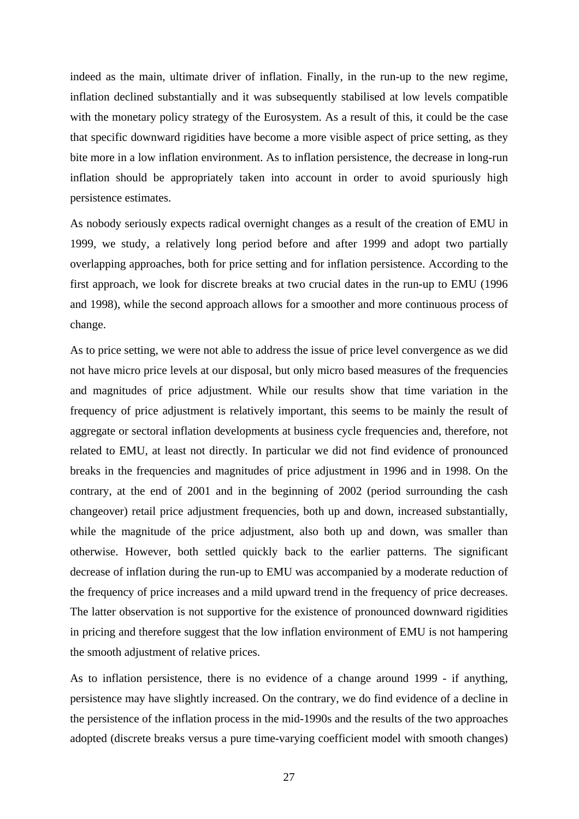indeed as the main, ultimate driver of inflation. Finally, in the run-up to the new regime, inflation declined substantially and it was subsequently stabilised at low levels compatible with the monetary policy strategy of the Eurosystem. As a result of this, it could be the case that specific downward rigidities have become a more visible aspect of price setting, as they bite more in a low inflation environment. As to inflation persistence, the decrease in long-run inflation should be appropriately taken into account in order to avoid spuriously high persistence estimates.

As nobody seriously expects radical overnight changes as a result of the creation of EMU in 1999, we study, a relatively long period before and after 1999 and adopt two partially overlapping approaches, both for price setting and for inflation persistence. According to the first approach, we look for discrete breaks at two crucial dates in the run-up to EMU (1996 and 1998), while the second approach allows for a smoother and more continuous process of change.

As to price setting, we were not able to address the issue of price level convergence as we did not have micro price levels at our disposal, but only micro based measures of the frequencies and magnitudes of price adjustment. While our results show that time variation in the frequency of price adjustment is relatively important, this seems to be mainly the result of aggregate or sectoral inflation developments at business cycle frequencies and, therefore, not related to EMU, at least not directly. In particular we did not find evidence of pronounced breaks in the frequencies and magnitudes of price adjustment in 1996 and in 1998. On the contrary, at the end of 2001 and in the beginning of 2002 (period surrounding the cash changeover) retail price adjustment frequencies, both up and down, increased substantially, while the magnitude of the price adjustment, also both up and down, was smaller than otherwise. However, both settled quickly back to the earlier patterns. The significant decrease of inflation during the run-up to EMU was accompanied by a moderate reduction of the frequency of price increases and a mild upward trend in the frequency of price decreases. The latter observation is not supportive for the existence of pronounced downward rigidities in pricing and therefore suggest that the low inflation environment of EMU is not hampering the smooth adjustment of relative prices.

As to inflation persistence, there is no evidence of a change around 1999 - if anything, persistence may have slightly increased. On the contrary, we do find evidence of a decline in the persistence of the inflation process in the mid-1990s and the results of the two approaches adopted (discrete breaks versus a pure time-varying coefficient model with smooth changes)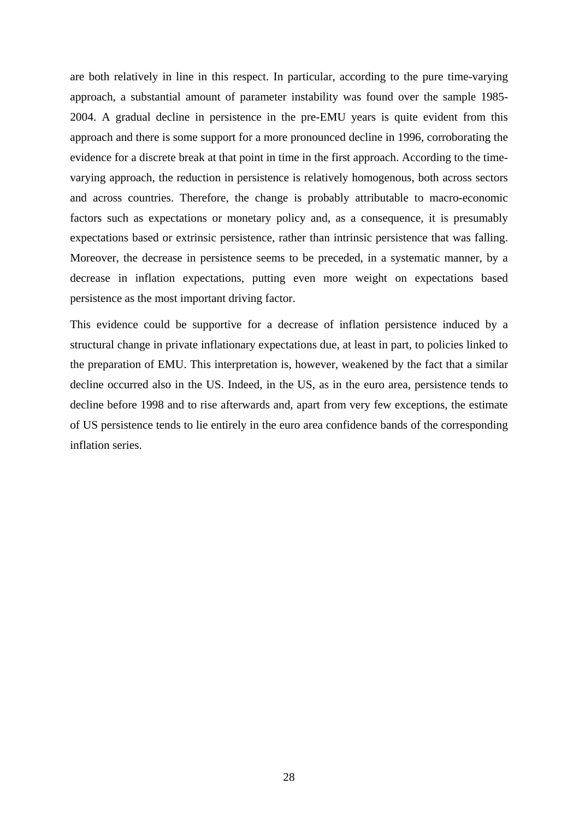are both relatively in line in this respect. In particular, according to the pure time-varying approach, a substantial amount of parameter instability was found over the sample 1985- 2004. A gradual decline in persistence in the pre-EMU years is quite evident from this approach and there is some support for a more pronounced decline in 1996, corroborating the evidence for a discrete break at that point in time in the first approach. According to the timevarying approach, the reduction in persistence is relatively homogenous, both across sectors and across countries. Therefore, the change is probably attributable to macro-economic factors such as expectations or monetary policy and, as a consequence, it is presumably expectations based or extrinsic persistence, rather than intrinsic persistence that was falling. Moreover, the decrease in persistence seems to be preceded, in a systematic manner, by a decrease in inflation expectations, putting even more weight on expectations based persistence as the most important driving factor.

This evidence could be supportive for a decrease of inflation persistence induced by a structural change in private inflationary expectations due, at least in part, to policies linked to the preparation of EMU. This interpretation is, however, weakened by the fact that a similar decline occurred also in the US. Indeed, in the US, as in the euro area, persistence tends to decline before 1998 and to rise afterwards and, apart from very few exceptions, the estimate of US persistence tends to lie entirely in the euro area confidence bands of the corresponding inflation series.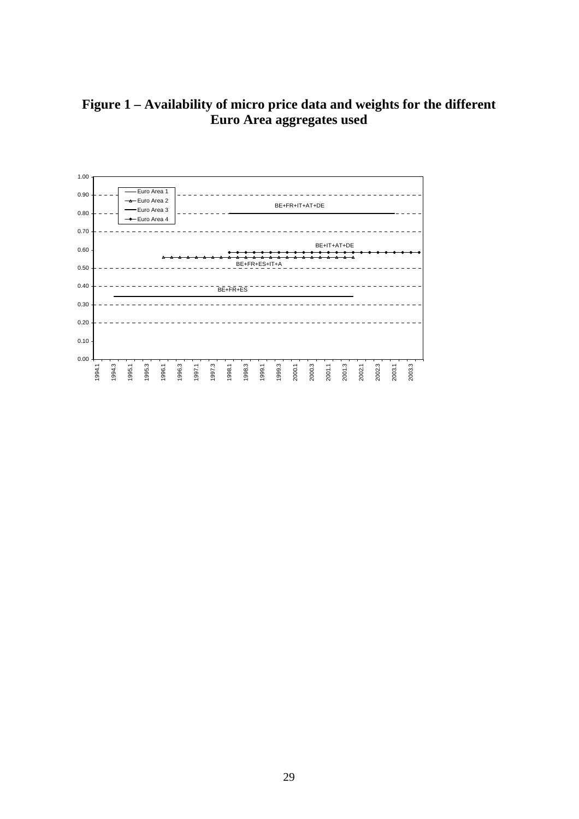### **Figure 1 – Availability of micro price data and weights for the different Euro Area aggregates used**

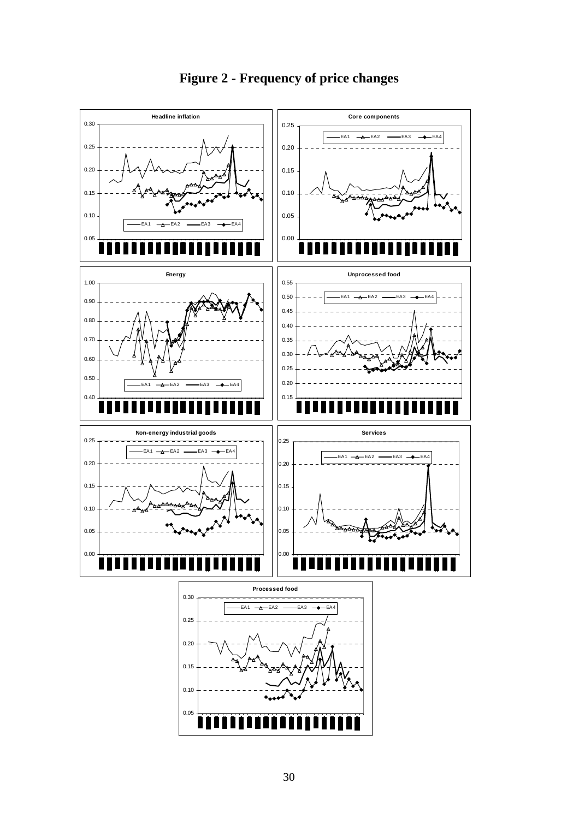

**Figure 2 - Frequency of price changes**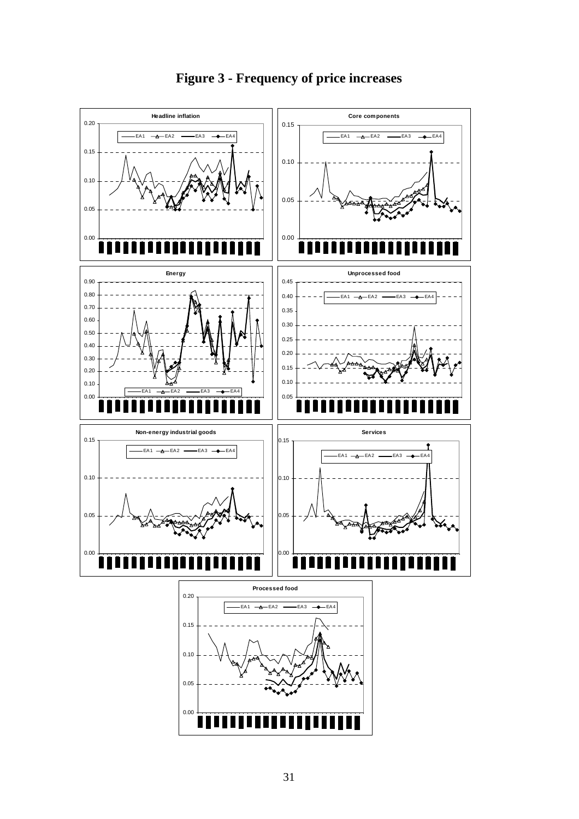

**Figure 3 - Frequency of price increases**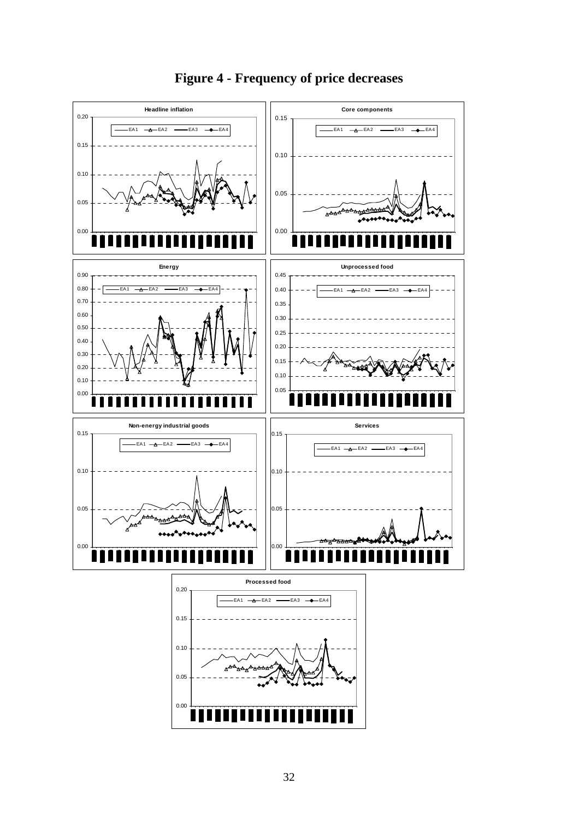

**Figure 4 - Frequency of price decreases**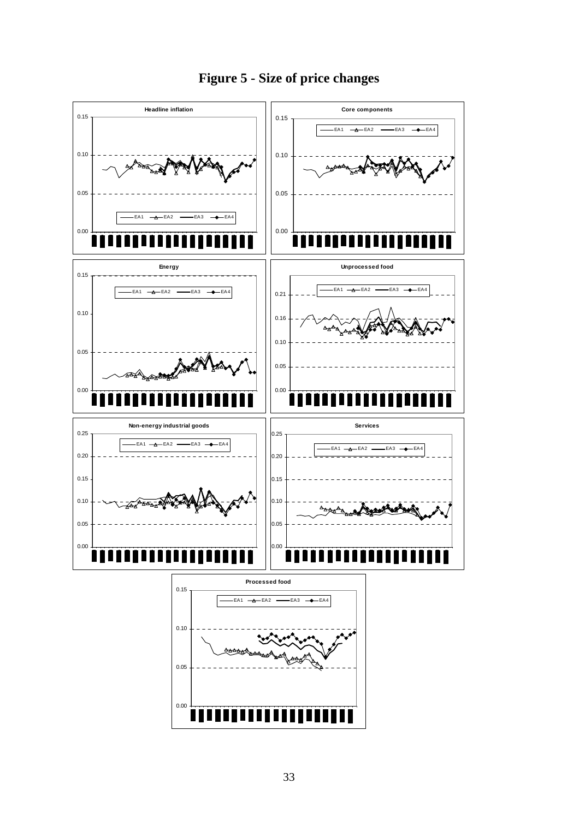

**Figure 5 - Size of price changes**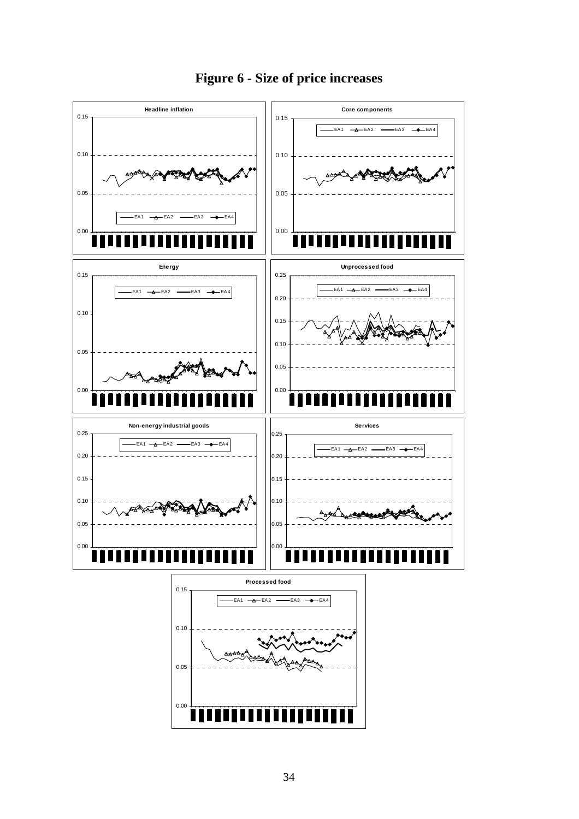

**Figure 6 - Size of price increases**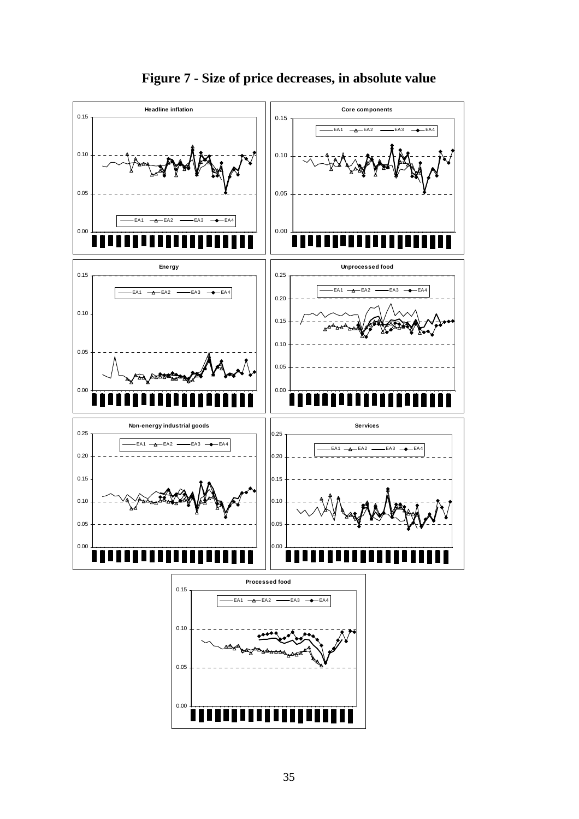

**Figure 7 - Size of price decreases, in absolute value**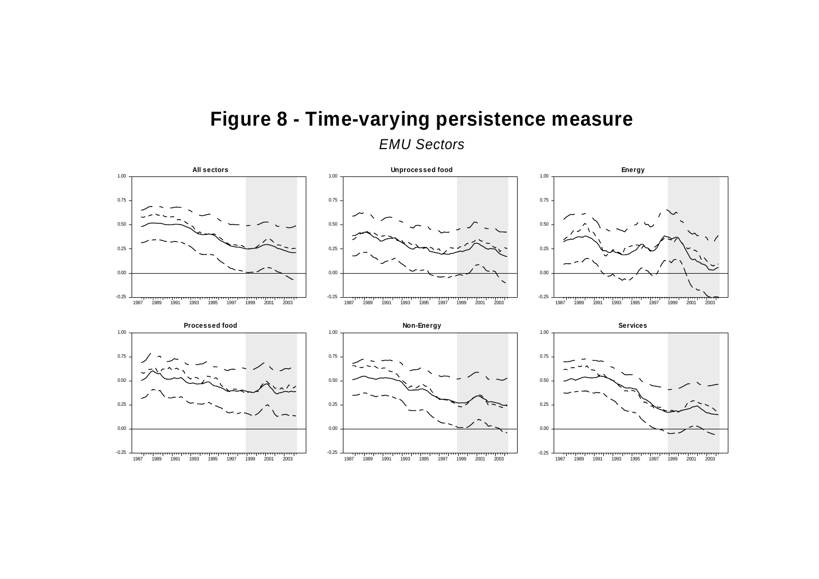# **Figure 8 - Time-varying persistence measure**

*EMU Sectors*

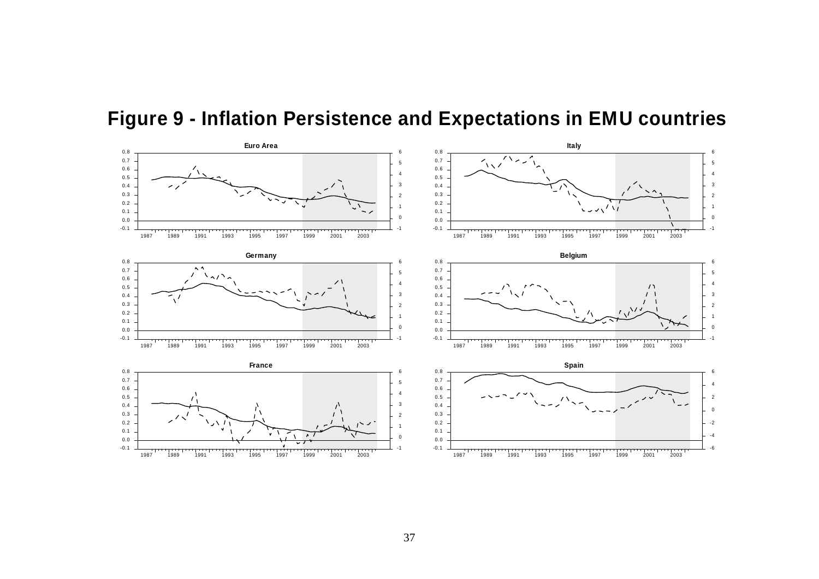

### **Figure 9 - Inflation Persistence and Expectations in EMU countries**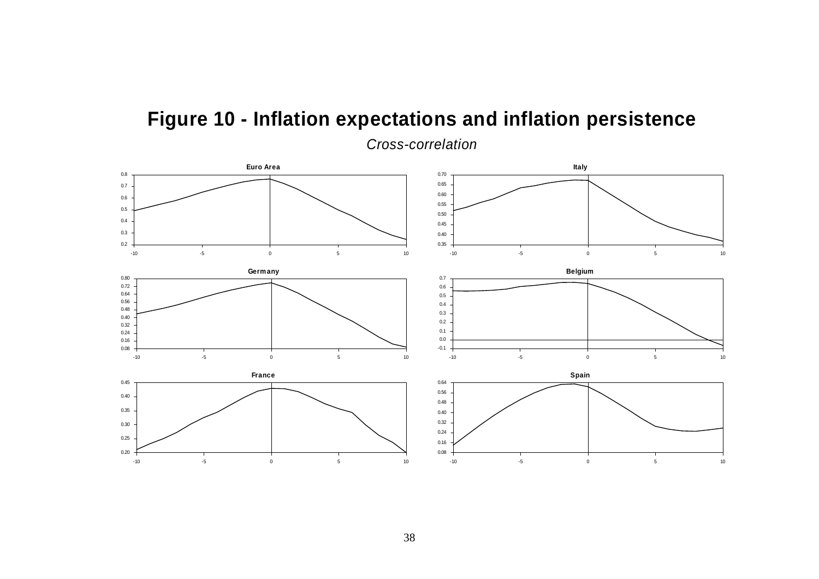## **Figure 10 - Inflation expectations and inflation persistence**

*Cross-correlation*

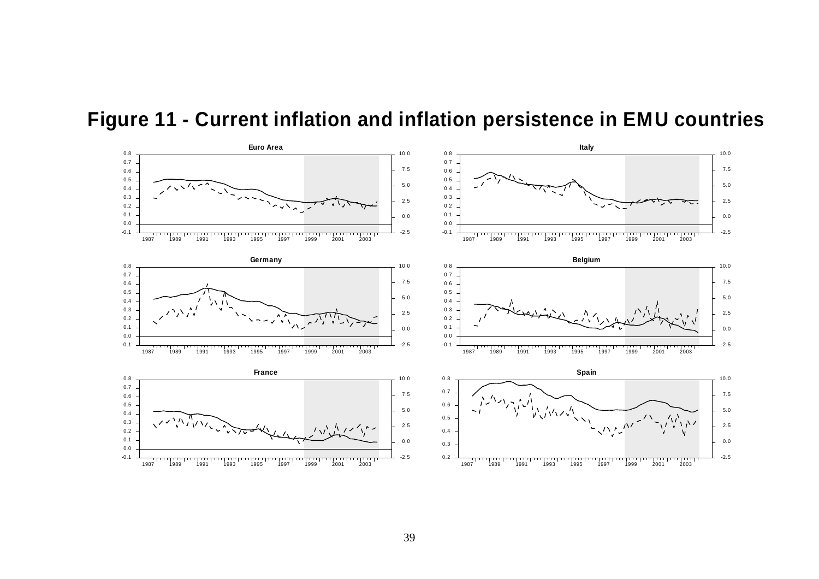### **Figure 11 - Current inflation and inflation persistence in EMU countries**

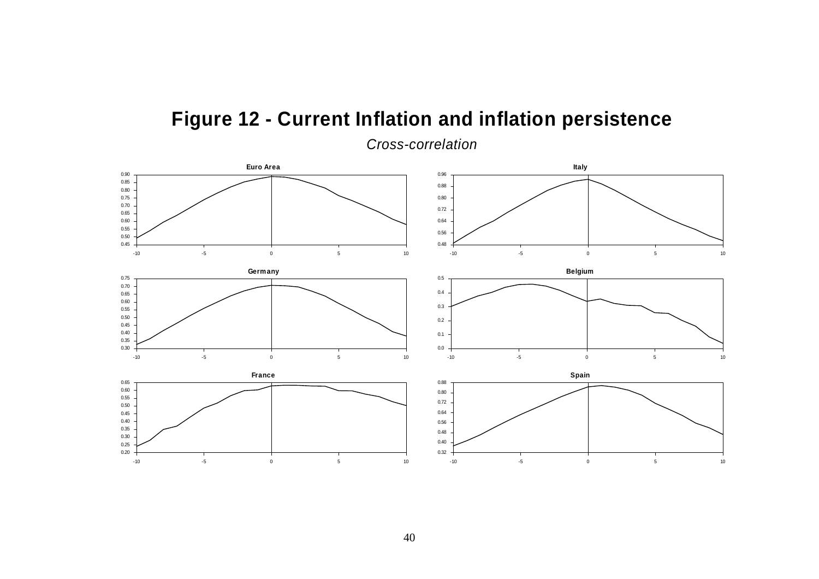

## **Figure 12 - Current Inflation and inflation persistence**

*Cross-correlation*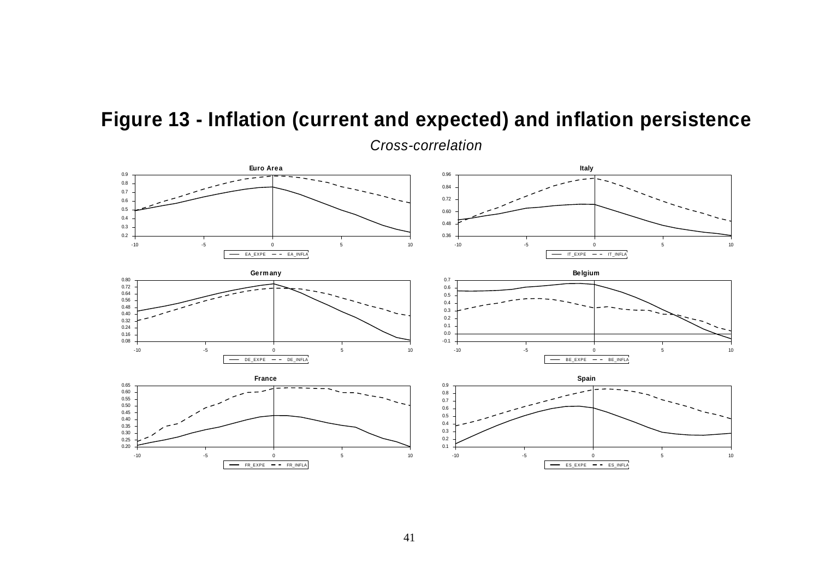

*Cross-correlation*

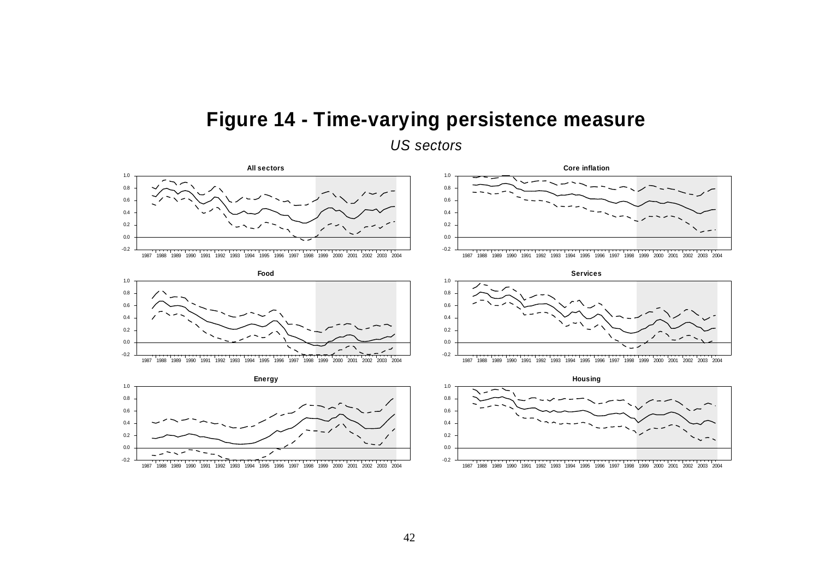### **Figure 14 - Time-varying persistence measure**

*US sectors*

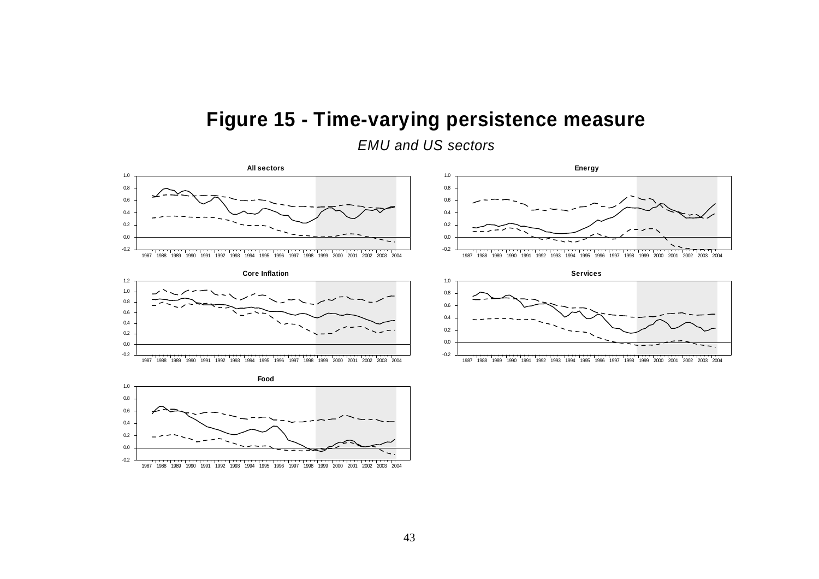### **Figure 15 - Time-varying persistence measure**

*EMU and US sectors*



1987 1988 1989 1990 1991 1992 1993 1994 1995 1996 1997 1998 1999 2000 2001 2002 2003 2004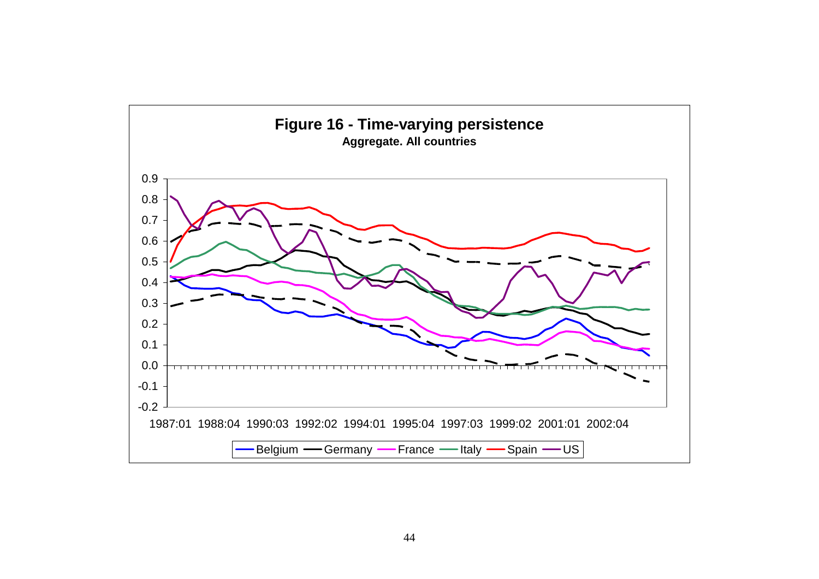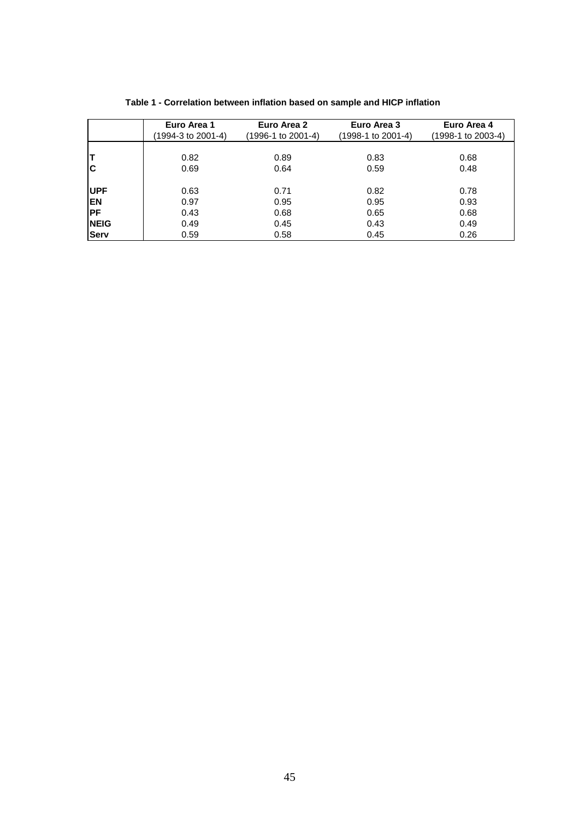|             | Euro Area 1<br>(1994-3 to 2001-4) | Euro Area 2<br>(1996-1 to 2001-4) | Euro Area 3<br>(1998-1 to 2001-4) | Euro Area 4<br>(1998-1 to 2003-4) |
|-------------|-----------------------------------|-----------------------------------|-----------------------------------|-----------------------------------|
|             |                                   |                                   |                                   |                                   |
| T           | 0.82                              | 0.89                              | 0.83                              | 0.68                              |
| IС          | 0.69                              | 0.64                              | 0.59                              | 0.48                              |
|             |                                   |                                   |                                   |                                   |
| <b>UPF</b>  | 0.63                              | 0.71                              | 0.82                              | 0.78                              |
| <b>EN</b>   | 0.97                              | 0.95                              | 0.95                              | 0.93                              |
| IPF         | 0.43                              | 0.68                              | 0.65                              | 0.68                              |
| <b>NEIG</b> | 0.49                              | 0.45                              | 0.43                              | 0.49                              |
| <b>Serv</b> | 0.59                              | 0.58                              | 0.45                              | 0.26                              |

**Table 1 - Correlation between inflation based on sample and HICP inflation**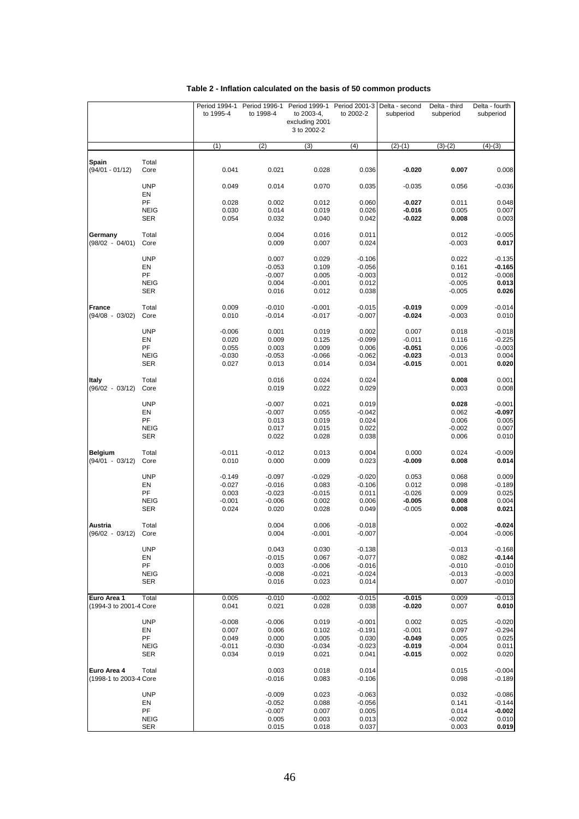|                                    |                   | Period 1994-1        |                      | Period 1996-1 Period 1999-1 Period 2001-3 Delta - second |                      |                      | Delta - third     | Delta - fourth       |
|------------------------------------|-------------------|----------------------|----------------------|----------------------------------------------------------|----------------------|----------------------|-------------------|----------------------|
|                                    |                   | to 1995-4            | to 1998-4            | to 2003-4,                                               | to 2002-2            | subperiod            | subperiod         | subperiod            |
|                                    |                   |                      |                      | excluding 2001.<br>3 to 2002-2                           |                      |                      |                   |                      |
|                                    |                   |                      |                      |                                                          |                      |                      |                   |                      |
|                                    |                   | (1)                  | (2)                  | (3)                                                      | (4)                  | $(2)-(1)$            | $(3)-(2)$         | $(4)-(3)$            |
| <b>Spain</b>                       | Total             |                      |                      |                                                          |                      |                      |                   |                      |
| $(94/01 - 01/12)$                  | Core              | 0.041                | 0.021                | 0.028                                                    | 0.036                | $-0.020$             | 0.007             | 0.008                |
|                                    | <b>UNP</b>        | 0.049                | 0.014                | 0.070                                                    | 0.035                | $-0.035$             | 0.056             | $-0.036$             |
|                                    | EN                |                      |                      |                                                          |                      |                      |                   |                      |
|                                    | PF                | 0.028                | 0.002                | 0.012                                                    | 0.060                | $-0.027$             | 0.011             | 0.048                |
|                                    | <b>NEIG</b>       | 0.030                | 0.014                | 0.019                                                    | 0.026                | $-0.016$             | 0.005             | 0.007                |
|                                    | <b>SER</b>        | 0.054                | 0.032                | 0.040                                                    | 0.042                | $-0.022$             | 0.008             | 0.003                |
| Germany                            | Total             |                      | 0.004                | 0.016                                                    | 0.011                |                      | 0.012             | $-0.005$             |
| $(98/02 - 04/01)$                  | Core              |                      | 0.009                | 0.007                                                    | 0.024                |                      | $-0.003$          | 0.017                |
|                                    | <b>UNP</b>        |                      | 0.007                | 0.029                                                    | $-0.106$             |                      | 0.022             | $-0.135$             |
|                                    | EN                |                      | $-0.053$             | 0.109                                                    | $-0.056$             |                      | 0.161             | $-0.165$             |
|                                    | PF                |                      | $-0.007$             | 0.005                                                    | $-0.003$             |                      | 0.012             | $-0.008$             |
|                                    | <b>NEIG</b>       |                      | 0.004                | $-0.001$                                                 | 0.012                |                      | $-0.005$          | 0.013                |
|                                    | <b>SER</b>        |                      | 0.016                | 0.012                                                    | 0.038                |                      | $-0.005$          | 0.026                |
|                                    |                   |                      |                      |                                                          |                      |                      |                   |                      |
| <b>France</b><br>$(94/08 - 03/02)$ | Total<br>Core     | 0.009<br>0.010       | $-0.010$<br>$-0.014$ | $-0.001$<br>$-0.017$                                     | $-0.015$<br>$-0.007$ | $-0.019$<br>$-0.024$ | 0.009<br>$-0.003$ | $-0.014$<br>0.010    |
|                                    |                   |                      |                      |                                                          |                      |                      |                   |                      |
|                                    | <b>UNP</b>        | $-0.006$             | 0.001                | 0.019                                                    | 0.002                | 0.007                | 0.018             | $-0.018$             |
|                                    | EN                | 0.020                | 0.009                | 0.125                                                    | $-0.099$             | $-0.011$             | 0.116             | $-0.225$             |
|                                    | PF                | 0.055                | 0.003                | 0.009                                                    | 0.006                | $-0.051$             | 0.006             | $-0.003$             |
|                                    | <b>NEIG</b>       | $-0.030$             | $-0.053$             | $-0.066$                                                 | $-0.062$             | $-0.023$             | $-0.013$          | 0.004                |
|                                    | <b>SER</b>        | 0.027                | 0.013                | 0.014                                                    | 0.034                | $-0.015$             | 0.001             | 0.020                |
| <b>Italy</b>                       | Total             |                      | 0.016                | 0.024                                                    | 0.024                |                      | 0.008             | 0.001                |
| $(96/02 - 03/12)$                  | Core              |                      | 0.019                | 0.022                                                    | 0.029                |                      | 0.003             | 0.008                |
|                                    | <b>UNP</b>        |                      | $-0.007$             | 0.021                                                    | 0.019                |                      | 0.028             | $-0.001$             |
|                                    | EN                |                      | $-0.007$             | 0.055                                                    | $-0.042$             |                      | 0.062             | -0.097               |
|                                    | PF                |                      | 0.013                | 0.019                                                    | 0.024                |                      | 0.006             | 0.005                |
|                                    | <b>NEIG</b>       |                      | 0.017                | 0.015                                                    | 0.022                |                      | $-0.002$          | 0.007                |
|                                    | <b>SER</b>        |                      | 0.022                | 0.028                                                    | 0.038                |                      | 0.006             | 0.010                |
| <b>Belgium</b>                     | Total             | $-0.011$             | $-0.012$             | 0.013                                                    | 0.004                | 0.000                | 0.024             | $-0.009$             |
| $(94/01 - 03/12)$                  | Core              | 0.010                | 0.000                | 0.009                                                    | 0.023                | $-0.009$             | 0.008             | 0.014                |
|                                    |                   |                      |                      |                                                          |                      |                      |                   |                      |
|                                    | <b>UNP</b><br>EN  | $-0.149$<br>$-0.027$ | $-0.097$<br>$-0.016$ | $-0.029$<br>0.083                                        | $-0.020$<br>$-0.106$ | 0.053<br>0.012       | 0.068<br>0.098    | 0.009<br>$-0.189$    |
|                                    | PF                | 0.003                | $-0.023$             | $-0.015$                                                 | 0.011                | $-0.026$             | 0.009             | 0.025                |
|                                    | <b>NEIG</b>       | $-0.001$             | $-0.006$             | 0.002                                                    | 0.006                | $-0.005$             | 0.008             | 0.004                |
|                                    | <b>SER</b>        | 0.024                | 0.020                | 0.028                                                    | 0.049                | $-0.005$             | 0.008             | 0.021                |
|                                    |                   |                      |                      |                                                          |                      |                      |                   |                      |
| Austria<br>$(96/02 - 03/12)$       | Total<br>Core     |                      | 0.004<br>0.004       | 0.006<br>$-0.001$                                        | $-0.018$<br>$-0.007$ |                      | 0.002<br>$-0.004$ | $-0.024$<br>$-0.006$ |
|                                    |                   |                      |                      |                                                          |                      |                      |                   |                      |
|                                    | <b>UNP</b>        |                      | 0.043                | 0.030                                                    | $-0.138$             |                      | $-0.013$          | $-0.168$             |
|                                    | EN                |                      | $-0.015$             | 0.067                                                    | $-0.077$             |                      | 0.082             | $-0.144$             |
|                                    | PF                |                      | 0.003                | $-0.006$                                                 | $-0.016$             |                      | $-0.010$          | $-0.010$             |
|                                    | <b>NEIG</b>       |                      | $-0.008$             | $-0.021$                                                 | $-0.024$             |                      | $-0.013$          | $-0.003$             |
|                                    | SER               |                      | 0.016                | 0.023                                                    | 0.014                |                      | 0.007             | $-0.010$             |
| Euro Area 1                        | Total             | 0.005                | $-0.010$             | $-0.002$                                                 | $-0.015$             | $-0.015$             | 0.009             | $-0.013$             |
| (1994-3 to 2001-4 Core             |                   | 0.041                | 0.021                | 0.028                                                    | 0.038                | $-0.020$             | 0.007             | 0.010                |
|                                    | <b>UNP</b>        |                      |                      |                                                          | $-0.001$             | 0.002                |                   | $-0.020$             |
|                                    | EN                | $-0.008$<br>0.007    | $-0.006$<br>0.006    | 0.019<br>0.102                                           | $-0.191$             | $-0.001$             | 0.025<br>0.097    | $-0.294$             |
|                                    | PF                | 0.049                | 0.000                | 0.005                                                    | 0.030                | $-0.049$             | 0.005             | 0.025                |
|                                    | <b>NEIG</b>       | $-0.011$             | $-0.030$             | $-0.034$                                                 | $-0.023$             | $-0.019$             | $-0.004$          | 0.011                |
|                                    | SER               | 0.034                | 0.019                | 0.021                                                    | 0.041                | -0.015               | 0.002             | 0.020                |
| Euro Area 4                        | Total             |                      | 0.003                | 0.018                                                    | 0.014                |                      | 0.015             | $-0.004$             |
| (1998-1 to 2003-4 Core             |                   |                      | $-0.016$             | 0.083                                                    | $-0.106$             |                      | 0.098             | $-0.189$             |
|                                    |                   |                      |                      |                                                          |                      |                      |                   |                      |
|                                    | <b>UNP</b>        |                      | $-0.009$             | 0.023                                                    | $-0.063$             |                      | 0.032             | $-0.086$             |
|                                    | EN                |                      | $-0.052$             | 0.088                                                    | $-0.056$             |                      | 0.141             | $-0.144$             |
|                                    | PF<br><b>NEIG</b> |                      | $-0.007$<br>0.005    | 0.007<br>0.003                                           | 0.005<br>0.013       |                      | 0.014<br>$-0.002$ | $-0.002$<br>0.010    |
|                                    | <b>SER</b>        |                      | 0.015                | 0.018                                                    | 0.037                |                      | 0.003             | 0.019                |
|                                    |                   |                      |                      |                                                          |                      |                      |                   |                      |

### **Table 2 - Inflation calculated on the basis of 50 common products**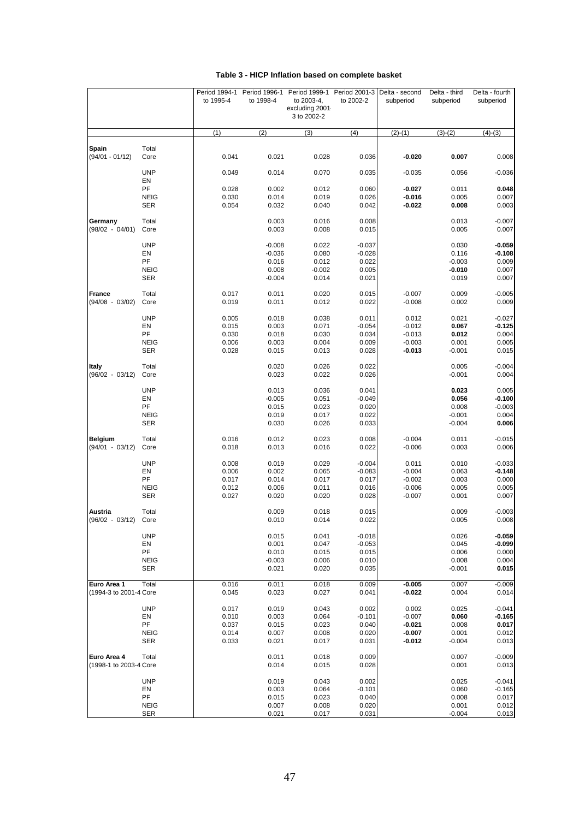| Table 3 - HICP Inflation based on complete basket |
|---------------------------------------------------|
|---------------------------------------------------|

|                                       |                           | Period 1994-1<br>to 1995-4 | Period 1996-1<br>to 1998-4 | Period 1999-1 Period 2001-3<br>to 2003-4, | to 2002-2            | Delta - second<br>subperiod | Delta - third<br>subperiod | Delta - fourth<br>subperiod |
|---------------------------------------|---------------------------|----------------------------|----------------------------|-------------------------------------------|----------------------|-----------------------------|----------------------------|-----------------------------|
|                                       |                           |                            |                            | excluding 2001.<br>3 to 2002-2            |                      |                             |                            |                             |
|                                       |                           | (1)                        | (2)                        | (3)                                       | (4)                  | $(2)-(1)$                   | $(3)-(2)$                  | $(4)-(3)$                   |
| Spain                                 | Total                     |                            |                            |                                           |                      |                             |                            |                             |
| $(94/01 - 01/12)$                     | Core                      | 0.041                      | 0.021                      | 0.028                                     | 0.036                | $-0.020$                    | 0.007                      | 0.008                       |
|                                       | <b>UNP</b><br>EN          | 0.049                      | 0.014                      | 0.070                                     | 0.035                | $-0.035$                    | 0.056                      | $-0.036$                    |
|                                       | PF                        | 0.028                      | 0.002                      | 0.012                                     | 0.060                | $-0.027$                    | 0.011                      | 0.048                       |
|                                       | <b>NEIG</b><br><b>SER</b> | 0.030<br>0.054             | 0.014<br>0.032             | 0.019<br>0.040                            | 0.026<br>0.042       | $-0.016$<br>$-0.022$        | 0.005<br>0.008             | 0.007<br>0.003              |
|                                       |                           |                            |                            |                                           |                      |                             |                            |                             |
| Germany<br>$(98/02 - 04/01)$          | Total<br>Core             |                            | 0.003<br>0.003             | 0.016<br>0.008                            | 0.008<br>0.015       |                             | 0.013<br>0.005             | $-0.007$<br>0.007           |
|                                       | <b>UNP</b>                |                            | $-0.008$                   | 0.022                                     | $-0.037$             |                             | 0.030                      | $-0.059$                    |
|                                       | EN                        |                            | $-0.036$                   | 0.080                                     | $-0.028$             |                             | 0.116                      | $-0.108$                    |
|                                       | PF                        |                            | 0.016                      | 0.012                                     | 0.022                |                             | $-0.003$                   | 0.009                       |
|                                       | <b>NEIG</b>               |                            | 0.008                      | $-0.002$                                  | 0.005                |                             | $-0.010$                   | 0.007                       |
|                                       | <b>SER</b>                |                            | $-0.004$                   | 0.014                                     | 0.021                |                             | 0.019                      | 0.007                       |
| <b>France</b><br>$(94/08 - 03/02)$    | Total<br>Core             | 0.017<br>0.019             | 0.011<br>0.011             | 0.020<br>0.012                            | 0.015<br>0.022       | $-0.007$<br>$-0.008$        | 0.009<br>0.002             | $-0.005$<br>0.009           |
|                                       | <b>UNP</b>                | 0.005                      | 0.018                      | 0.038                                     | 0.011                | 0.012                       | 0.021                      | $-0.027$                    |
|                                       | EN                        | 0.015                      | 0.003                      | 0.071                                     | $-0.054$             | $-0.012$                    | 0.067                      | $-0.125$                    |
|                                       | PF                        | 0.030                      | 0.018                      | 0.030                                     | 0.034                | $-0.013$                    | 0.012                      | 0.004                       |
|                                       | <b>NEIG</b>               | 0.006                      | 0.003                      | 0.004                                     | 0.009                | $-0.003$                    | 0.001                      | 0.005                       |
|                                       | <b>SER</b>                | 0.028                      | 0.015                      | 0.013                                     | 0.028                | $-0.013$                    | $-0.001$                   | 0.015                       |
| <b>Italy</b><br>$(96/02 - 03/12)$     | Total<br>Core             |                            | 0.020<br>0.023             | 0.026<br>0.022                            | 0.022<br>0.026       |                             | 0.005<br>$-0.001$          | $-0.004$<br>0.004           |
|                                       | <b>UNP</b>                |                            | 0.013                      | 0.036                                     | 0.041                |                             | 0.023                      | 0.005                       |
|                                       | EN                        |                            | $-0.005$                   | 0.051                                     | $-0.049$             |                             | 0.056                      | $-0.100$                    |
|                                       | PF                        |                            | 0.015                      | 0.023                                     | 0.020                |                             | 0.008                      | $-0.003$                    |
|                                       | <b>NEIG</b><br><b>SER</b> |                            | 0.019<br>0.030             | 0.017<br>0.026                            | 0.022<br>0.033       |                             | $-0.001$<br>$-0.004$       | 0.004<br>0.006              |
| <b>Belgium</b>                        | Total                     | 0.016                      | 0.012                      | 0.023                                     | 0.008                | $-0.004$                    | 0.011                      | $-0.015$                    |
| $(94/01 - 03/12)$                     | Core                      | 0.018                      | 0.013                      | 0.016                                     | 0.022                | $-0.006$                    | 0.003                      | 0.006                       |
|                                       | <b>UNP</b>                | 0.008                      | 0.019                      | 0.029                                     | $-0.004$             | 0.011                       | 0.010                      | $-0.033$                    |
|                                       | EN<br>PF                  | 0.006<br>0.017             | 0.002<br>0.014             | 0.065<br>0.017                            | $-0.083$<br>0.017    | $-0.004$<br>$-0.002$        | 0.063<br>0.003             | $-0.148$<br>0.000           |
|                                       | <b>NEIG</b>               | 0.012                      | 0.006                      | 0.011                                     | 0.016                | $-0.006$                    | 0.005                      | 0.005                       |
|                                       | <b>SER</b>                | 0.027                      | 0.020                      | 0.020                                     | 0.028                | $-0.007$                    | 0.001                      | 0.007                       |
| Austria<br>$(96/02 - 03/12)$          | Total<br>Core             |                            | 0.009<br>0.010             | 0.018<br>0.014                            | 0.015<br>0.022       |                             | 0.009<br>0.005             | $-0.003$<br>0.008           |
|                                       |                           |                            |                            |                                           |                      |                             |                            |                             |
|                                       | <b>UNP</b><br>EN          |                            | 0.015<br>0.001             | 0.041<br>0.047                            | $-0.018$<br>$-0.053$ |                             | 0.026<br>0.045             | $-0.059$<br>$-0.099$        |
|                                       | PF                        |                            | 0.010                      | 0.015                                     | 0.015                |                             | 0.006                      | 0.000                       |
|                                       | <b>NEIG</b>               |                            | $-0.003$                   | 0.006                                     | 0.010                |                             | 0.008                      | 0.004                       |
|                                       | SER                       |                            | 0.021                      | 0.020                                     | 0.035                |                             | $-0.001$                   | 0.015                       |
| Euro Area 1<br>(1994-3 to 2001-4 Core | Total                     | 0.016<br>0.045             | 0.011<br>0.023             | 0.018<br>0.027                            | 0.009<br>0.041       | $-0.005$<br>$-0.022$        | 0.007<br>0.004             | $-0.009$<br>0.014           |
|                                       | <b>UNP</b>                | 0.017                      | 0.019                      | 0.043                                     | 0.002                | 0.002                       | 0.025                      | $-0.041$                    |
|                                       | EN                        | 0.010                      | 0.003                      | 0.064                                     | $-0.101$             | $-0.007$                    | 0.060                      | $-0.165$                    |
|                                       | PF                        | 0.037                      | 0.015                      | 0.023                                     | 0.040                | $-0.021$                    | 0.008                      | 0.017                       |
|                                       | <b>NEIG</b><br>SER        | 0.014<br>0.033             | 0.007<br>0.021             | 0.008<br>0.017                            | 0.020<br>0.031       | $-0.007$<br>$-0.012$        | 0.001<br>$-0.004$          | 0.012<br>0.013              |
| Euro Area 4                           | Total                     |                            | 0.011                      | 0.018                                     | 0.009                |                             | 0.007                      | $-0.009$                    |
| (1998-1 to 2003-4 Core                |                           |                            | 0.014                      | 0.015                                     | 0.028                |                             | 0.001                      | 0.013                       |
|                                       | <b>UNP</b><br>EN          |                            | 0.019<br>0.003             | 0.043<br>0.064                            | 0.002<br>$-0.101$    |                             | 0.025<br>0.060             | $-0.041$<br>$-0.165$        |
|                                       | PF                        |                            | 0.015                      | 0.023                                     | 0.040                |                             | 0.008                      | 0.017                       |
|                                       | <b>NEIG</b>               |                            | 0.007                      | 0.008                                     | 0.020                |                             | 0.001                      | 0.012                       |
|                                       | <b>SER</b>                |                            | 0.021                      | 0.017                                     | 0.031                |                             | $-0.004$                   | 0.013                       |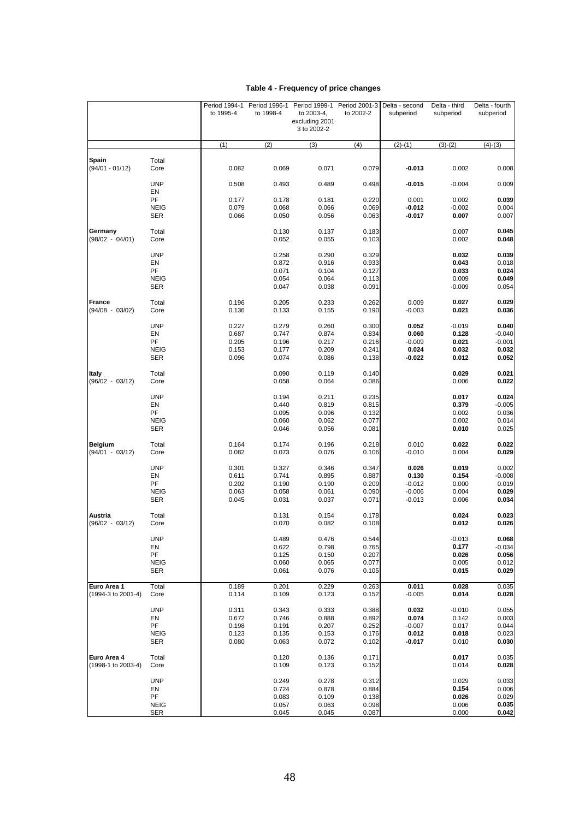|                                   |                           |                |                | Period 1994-1 Period 1996-1 Period 1999-1 Period 2001-3 Delta - second |                |                | Delta - third     | Delta - fourth |
|-----------------------------------|---------------------------|----------------|----------------|------------------------------------------------------------------------|----------------|----------------|-------------------|----------------|
|                                   |                           | to 1995-4      | to 1998-4      | to 2003-4,                                                             | to 2002-2      | subperiod      | subperiod         | subperiod      |
|                                   |                           |                |                | excluding 2001                                                         |                |                |                   |                |
|                                   |                           |                |                | 3 to 2002-2                                                            |                |                |                   |                |
|                                   |                           | (1)            | (2)            | (3)                                                                    | (4)            | $(2)-(1)$      | $(3)-(2)$         | $(4)-(3)$      |
|                                   |                           |                |                |                                                                        |                |                |                   |                |
| Spain                             | Total                     |                |                |                                                                        |                |                |                   |                |
| $(94/01 - 01/12)$                 | Core                      | 0.082          | 0.069          | 0.071                                                                  | 0.079          | $-0.013$       | 0.002             | 0.008          |
|                                   | <b>UNP</b>                | 0.508          | 0.493          | 0.489                                                                  | 0.498          | $-0.015$       | $-0.004$          | 0.009          |
|                                   | EN                        |                |                |                                                                        |                |                |                   |                |
|                                   | PF                        | 0.177          | 0.178          | 0.181                                                                  | 0.220          | 0.001          | 0.002             | 0.039          |
|                                   | <b>NEIG</b>               | 0.079          | 0.068          | 0.066                                                                  | 0.069          | $-0.012$       | $-0.002$          | 0.004          |
|                                   | <b>SER</b>                | 0.066          | 0.050          | 0.056                                                                  | 0.063          | $-0.017$       | 0.007             | 0.007          |
| Germany                           | Total                     |                | 0.130          | 0.137                                                                  | 0.183          |                | 0.007             | 0.045          |
| $(98/02 - 04/01)$                 | Core                      |                | 0.052          | 0.055                                                                  | 0.103          |                | 0.002             | 0.048          |
|                                   |                           |                |                |                                                                        |                |                |                   |                |
|                                   | <b>UNP</b><br>EN          |                | 0.258<br>0.872 | 0.290<br>0.916                                                         | 0.329<br>0.933 |                | 0.032<br>0.043    | 0.039<br>0.018 |
|                                   | PF                        |                | 0.071          | 0.104                                                                  | 0.127          |                | 0.033             | 0.024          |
|                                   | <b>NEIG</b>               |                | 0.054          | 0.064                                                                  | 0.113          |                | 0.009             | 0.049          |
|                                   | SER                       |                | 0.047          | 0.038                                                                  | 0.091          |                | $-0.009$          | 0.054          |
|                                   |                           |                |                |                                                                        |                |                |                   |                |
| <b>France</b>                     | Total                     | 0.196          | 0.205          | 0.233                                                                  | 0.262          | 0.009          | 0.027             | 0.029          |
| $(94/08 - 03/02)$                 | Core                      | 0.136          | 0.133          | 0.155                                                                  | 0.190          | $-0.003$       | 0.021             | 0.036          |
|                                   | <b>UNP</b>                | 0.227          | 0.279          | 0.260                                                                  | 0.300          | 0.052          | $-0.019$          | 0.040          |
|                                   | EN                        | 0.687          | 0.747          | 0.874                                                                  | 0.834          | 0.060          | 0.128             | $-0.040$       |
|                                   | PF                        | 0.205          | 0.196          | 0.217                                                                  | 0.216          | $-0.009$       | 0.021             | $-0.001$       |
|                                   | <b>NEIG</b>               | 0.153          | 0.177          | 0.209                                                                  | 0.241          | 0.024          | 0.032             | 0.032          |
|                                   | <b>SER</b>                | 0.096          | 0.074          | 0.086                                                                  | 0.138          | $-0.022$       | 0.012             | 0.052          |
| <b>Italy</b>                      | Total                     |                | 0.090          | 0.119                                                                  | 0.140          |                | 0.029             | 0.021          |
| $(96/02 - 03/12)$                 | Core                      |                | 0.058          | 0.064                                                                  | 0.086          |                | 0.006             | 0.022          |
|                                   |                           |                |                |                                                                        |                |                |                   |                |
|                                   | <b>UNP</b>                |                | 0.194          | 0.211                                                                  | 0.235          |                | 0.017             | 0.024          |
|                                   | EN                        |                | 0.440          | 0.819                                                                  | 0.815          |                | 0.379             | $-0.005$       |
|                                   | PF                        |                | 0.095          | 0.096                                                                  | 0.132          |                | 0.002             | 0.036          |
|                                   | <b>NEIG</b><br><b>SER</b> |                | 0.060<br>0.046 | 0.062<br>0.056                                                         | 0.077<br>0.081 |                | 0.002<br>0.010    | 0.014<br>0.025 |
|                                   |                           |                |                |                                                                        |                |                |                   |                |
| <b>Belgium</b>                    | Total                     | 0.164          | 0.174          | 0.196                                                                  | 0.218          | 0.010          | 0.022             | 0.022          |
| $(94/01 - 03/12)$                 | Core                      | 0.082          | 0.073          | 0.076                                                                  | 0.106          | $-0.010$       | 0.004             | 0.029          |
|                                   | <b>UNP</b>                | 0.301          | 0.327          | 0.346                                                                  | 0.347          | 0.026          | 0.019             | 0.002          |
|                                   | EN                        | 0.611          | 0.741          | 0.895                                                                  | 0.887          | 0.130          | 0.154             | $-0.008$       |
|                                   | PF                        | 0.202          | 0.190          | 0.190                                                                  | 0.209          | $-0.012$       | 0.000             | 0.019          |
|                                   | <b>NEIG</b>               | 0.063          | 0.058          | 0.061                                                                  | 0.090          | $-0.006$       | 0.004             | 0.029          |
|                                   | <b>SER</b>                | 0.045          | 0.031          | 0.037                                                                  | 0.071          | $-0.013$       | 0.006             | 0.034          |
| Austria                           |                           |                |                |                                                                        |                |                |                   | 0.023          |
| $(96/02 - 03/12)$                 | Total<br>Core             |                | 0.131<br>0.070 | 0.154<br>0.082                                                         | 0.178<br>0.108 |                | 0.024<br>0.012    | 0.026          |
|                                   |                           |                |                |                                                                        |                |                |                   |                |
|                                   | <b>UNP</b>                |                | 0.489          | 0.476                                                                  | 0.544          |                | $-0.013$          | 0.068          |
|                                   | EN                        |                | 0.622          | 0.798                                                                  | 0.765          |                | 0.177             | $-0.034$       |
|                                   | PF                        |                | 0.125          | 0.150                                                                  | 0.207          |                | 0.026             | 0.056          |
|                                   | <b>NEIG</b><br><b>SER</b> |                | 0.060<br>0.061 | 0.065<br>0.076                                                         | 0.077<br>0.105 |                | 0.005<br>0.015    | 0.012<br>0.029 |
|                                   |                           |                |                |                                                                        |                |                |                   |                |
| Euro Area 1                       | Total                     | 0.189          | 0.201          | 0.229                                                                  | 0.263          | 0.011          | 0.028             | 0.035          |
| (1994-3 to 2001-4)                | Core                      | 0.114          | 0.109          | 0.123                                                                  | 0.152          | $-0.005$       | 0.014             | 0.028          |
|                                   |                           |                |                |                                                                        |                |                |                   |                |
|                                   | <b>UNP</b><br>EN          | 0.311<br>0.672 | 0.343<br>0.746 | 0.333<br>0.888                                                         | 0.388<br>0.892 | 0.032<br>0.074 | $-0.010$<br>0.142 | 0.055<br>0.003 |
|                                   | PF                        | 0.198          | 0.191          | 0.207                                                                  | 0.252          | $-0.007$       | 0.017             | 0.044          |
|                                   | <b>NEIG</b>               | 0.123          | 0.135          | 0.153                                                                  | 0.176          | 0.012          | 0.018             | 0.023          |
|                                   | <b>SER</b>                | 0.080          | 0.063          | 0.072                                                                  | 0.102          | $-0.017$       | 0.010             | 0.030          |
|                                   |                           |                |                |                                                                        |                |                |                   |                |
| Euro Area 4<br>(1998-1 to 2003-4) | Total<br>Core             |                | 0.120<br>0.109 | 0.136<br>0.123                                                         | 0.171<br>0.152 |                | 0.017<br>0.014    | 0.035<br>0.028 |
|                                   |                           |                |                |                                                                        |                |                |                   |                |
|                                   | <b>UNP</b>                |                | 0.249          | 0.278                                                                  | 0.312          |                | 0.029             | 0.033          |
|                                   | EN                        |                | 0.724          | 0.878                                                                  | 0.884          |                | 0.154             | 0.006          |
|                                   | PF                        |                | 0.083          | 0.109                                                                  | 0.138          |                | 0.026             | 0.029          |
|                                   | <b>NEIG</b>               |                | 0.057          | 0.063                                                                  | 0.098          |                | 0.006             | 0.035          |
|                                   | <b>SER</b>                |                | 0.045          | 0.045                                                                  | 0.087          |                | 0.000             | 0.042          |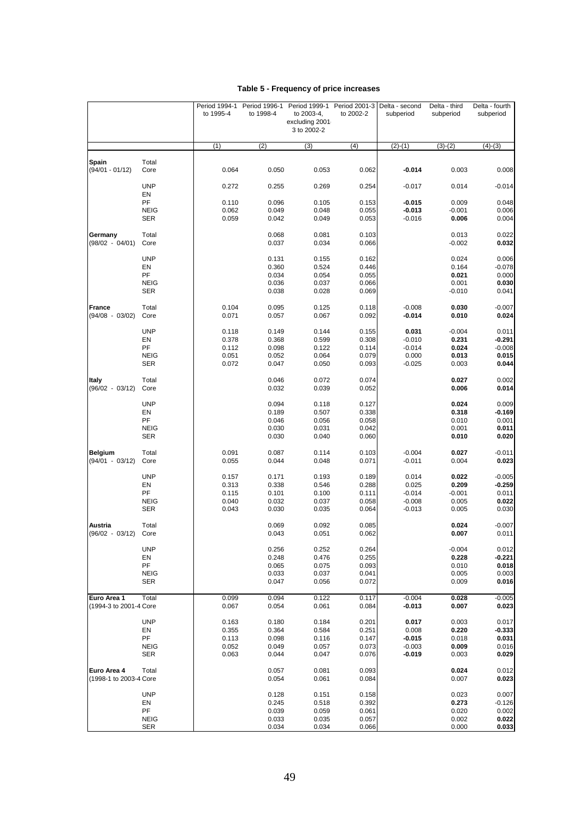### **Table 5 - Frequency of price increases**

|                                       |                           | to 1995-4      | to 1998-4      | Period 1994-1 Period 1996-1 Period 1999-1 Period 2001-3 Delta - second<br>to 2003-4, | to 2002-2      |                      | Delta - third<br>subperiod | Delta - fourth<br>subperiod |
|---------------------------------------|---------------------------|----------------|----------------|--------------------------------------------------------------------------------------|----------------|----------------------|----------------------------|-----------------------------|
|                                       |                           |                |                | excluding 2001<br>3 to 2002-2                                                        |                | subperiod            |                            |                             |
|                                       |                           | (1)            | (2)            | (3)                                                                                  | (4)            | $(2)-(1)$            | $(3)-(2)$                  | $(4)-(3)$                   |
| Spain                                 | Total                     |                |                |                                                                                      |                |                      |                            |                             |
| $(94/01 - 01/12)$                     | Core                      | 0.064          | 0.050          | 0.053                                                                                | 0.062          | $-0.014$             | 0.003                      | 0.008                       |
|                                       | <b>UNP</b>                | 0.272          | 0.255          | 0.269                                                                                | 0.254          | $-0.017$             | 0.014                      | $-0.014$                    |
|                                       | EN<br>PF                  | 0.110          | 0.096          | 0.105                                                                                | 0.153          | $-0.015$             | 0.009                      | 0.048                       |
|                                       | <b>NEIG</b>               | 0.062          | 0.049          | 0.048                                                                                | 0.055          | $-0.013$             | $-0.001$                   | 0.006                       |
|                                       | <b>SER</b>                | 0.059          | 0.042          | 0.049                                                                                | 0.053          | $-0.016$             | 0.006                      | 0.004                       |
| Germany                               | Total                     |                | 0.068          | 0.081                                                                                | 0.103          |                      | 0.013                      | 0.022                       |
| $(98/02 - 04/01)$                     | Core                      |                | 0.037          | 0.034                                                                                | 0.066          |                      | $-0.002$                   | 0.032                       |
|                                       | <b>UNP</b>                |                | 0.131          | 0.155                                                                                | 0.162          |                      | 0.024                      | 0.006                       |
|                                       | EN<br>PF                  |                | 0.360<br>0.034 | 0.524<br>0.054                                                                       | 0.446<br>0.055 |                      | 0.164<br>0.021             | $-0.078$<br>0.000           |
|                                       | <b>NEIG</b>               |                | 0.036          | 0.037                                                                                | 0.066          |                      | 0.001                      | 0.030                       |
|                                       | <b>SER</b>                |                | 0.038          | 0.028                                                                                | 0.069          |                      | $-0.010$                   | 0.041                       |
| <b>France</b>                         | Total                     | 0.104          | 0.095          | 0.125                                                                                | 0.118          | $-0.008$             | 0.030                      | $-0.007$                    |
| $(94/08 - 03/02)$                     | Core                      | 0.071          | 0.057          | 0.067                                                                                | 0.092          | -0.014               | 0.010                      | 0.024                       |
|                                       | <b>UNP</b>                | 0.118          | 0.149          | 0.144                                                                                | 0.155          | 0.031                | $-0.004$                   | 0.011                       |
|                                       | EN                        | 0.378          | 0.368          | 0.599                                                                                | 0.308          | $-0.010$             | 0.231                      | $-0.291$                    |
|                                       | PF                        | 0.112          | 0.098          | 0.122                                                                                | 0.114          | $-0.014$             | 0.024                      | $-0.008$                    |
|                                       | <b>NEIG</b>               | 0.051          | 0.052          | 0.064                                                                                | 0.079          | 0.000                | 0.013                      | 0.015                       |
|                                       | <b>SER</b>                | 0.072          | 0.047          | 0.050                                                                                | 0.093          | $-0.025$             | 0.003                      | 0.044                       |
| Italy<br>$(96/02 - 03/12)$            | Total<br>Core             |                | 0.046<br>0.032 | 0.072<br>0.039                                                                       | 0.074<br>0.052 |                      | 0.027<br>0.006             | 0.002<br>0.014              |
|                                       |                           |                |                |                                                                                      |                |                      |                            |                             |
|                                       | <b>UNP</b><br>EN          |                | 0.094<br>0.189 | 0.118<br>0.507                                                                       | 0.127<br>0.338 |                      | 0.024<br>0.318             | 0.009<br>$-0.169$           |
|                                       | PF                        |                | 0.046          | 0.056                                                                                | 0.058          |                      | 0.010                      | 0.001                       |
|                                       | <b>NEIG</b>               |                | 0.030          | 0.031                                                                                | 0.042          |                      | 0.001                      | 0.011                       |
|                                       | <b>SER</b>                |                | 0.030          | 0.040                                                                                | 0.060          |                      | 0.010                      | 0.020                       |
| Belgium                               | Total                     | 0.091          | 0.087          | 0.114                                                                                | 0.103          | $-0.004$             | 0.027                      | $-0.011$                    |
| (94/01 - 03/12)                       | Core                      | 0.055          | 0.044          | 0.048                                                                                | 0.071          | $-0.011$             | 0.004                      | 0.023                       |
|                                       | <b>UNP</b>                | 0.157          | 0.171          | 0.193                                                                                | 0.189          | 0.014                | 0.022                      | $-0.005$                    |
|                                       | EN                        | 0.313          | 0.338          | 0.546                                                                                | 0.288          | 0.025                | 0.209                      | $-0.259$                    |
|                                       | PF<br><b>NEIG</b>         | 0.115<br>0.040 | 0.101<br>0.032 | 0.100<br>0.037                                                                       | 0.111<br>0.058 | $-0.014$<br>$-0.008$ | $-0.001$<br>0.005          | 0.011<br>0.022              |
|                                       | <b>SER</b>                | 0.043          | 0.030          | 0.035                                                                                | 0.064          | $-0.013$             | 0.005                      | 0.030                       |
| Austria                               | Total                     |                | 0.069          | 0.092                                                                                | 0.085          |                      | 0.024                      | $-0.007$                    |
| (96/02 - 03/12)                       | Core                      |                | 0.043          | 0.051                                                                                | 0.062          |                      | 0.007                      | 0.011                       |
|                                       | <b>UNP</b>                |                | 0.256          | 0.252                                                                                | 0.264          |                      | $-0.004$                   | 0.012                       |
|                                       | EN                        |                | 0.248          | 0.476                                                                                | 0.255          |                      | 0.228                      | $-0.221$                    |
|                                       | PF                        |                | 0.065          | 0.075                                                                                | 0.093          |                      | 0.010                      | 0.018                       |
|                                       | <b>NEIG</b><br><b>SER</b> |                | 0.033<br>0.047 | 0.037<br>0.056                                                                       | 0.041<br>0.072 |                      | 0.005<br>0.009             | 0.003<br>0.016              |
| Euro Area 1                           | Total                     | 0.099          | 0.094          | 0.122                                                                                | 0.117          | $-0.004$             | 0.028                      | $-0.005$                    |
| (1994-3 to 2001-4 Core                |                           | 0.067          | 0.054          | 0.061                                                                                | 0.084          | $-0.013$             | 0.007                      | 0.023                       |
|                                       | <b>UNP</b>                | 0.163          | 0.180          | 0.184                                                                                | 0.201          | 0.017                | 0.003                      | 0.017                       |
|                                       | EN                        | 0.355          | 0.364          | 0.584                                                                                | 0.251          | 0.008                | 0.220                      | $-0.333$                    |
|                                       | PF                        | 0.113          | 0.098          | 0.116                                                                                | 0.147          | $-0.015$             | 0.018                      | 0.031                       |
|                                       | <b>NEIG</b><br>SER        | 0.052<br>0.063 | 0.049<br>0.044 | 0.057<br>0.047                                                                       | 0.073<br>0.076 | $-0.003$<br>-0.019   | 0.009<br>0.003             | 0.016<br>0.029              |
|                                       |                           |                |                |                                                                                      |                |                      |                            |                             |
| Euro Area 4<br>(1998-1 to 2003-4 Core | Total                     |                | 0.057<br>0.054 | 0.081<br>0.061                                                                       | 0.093<br>0.084 |                      | 0.024<br>0.007             | 0.012<br>0.023              |
|                                       | <b>UNP</b>                |                | 0.128          | 0.151                                                                                | 0.158          |                      | 0.023                      | 0.007                       |
|                                       | EN                        |                | 0.245          | 0.518                                                                                | 0.392          |                      | 0.273                      | $-0.126$                    |
|                                       | PF                        |                | 0.039          | 0.059                                                                                | 0.061          |                      | 0.020                      | 0.002                       |
|                                       | <b>NEIG</b>               |                | 0.033          | 0.035                                                                                | 0.057          |                      | 0.002                      | 0.022                       |
|                                       | <b>SER</b>                |                | 0.034          | 0.034                                                                                | 0.066          |                      | 0.000                      | 0.033                       |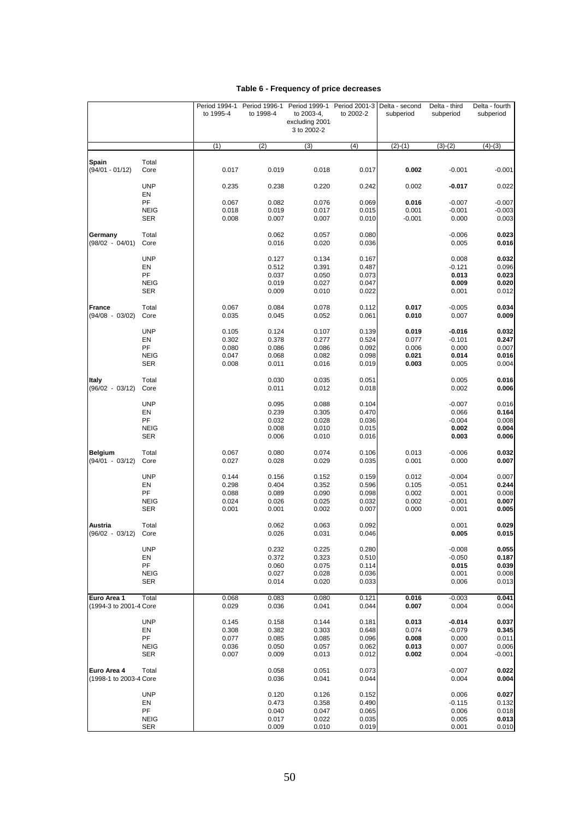### **Table 6 - Frequency of price decreases**

|                                       |                           | to 1995-4      | to 1998-4      | Period 1994-1 Period 1996-1 Period 1999-1 Period 2001-3 Delta - second<br>to 2003-4, | to 2002-2      |                | Delta - third     | Delta - fourth<br>subperiod |
|---------------------------------------|---------------------------|----------------|----------------|--------------------------------------------------------------------------------------|----------------|----------------|-------------------|-----------------------------|
|                                       |                           |                |                | excluding 2001.<br>3 to 2002-2                                                       |                | subperiod      | subperiod         |                             |
|                                       |                           | (1)            | (2)            | (3)                                                                                  | (4)            | $(2)-(1)$      | $(3)-(2)$         | $(4)-(3)$                   |
| Spain                                 | Total                     |                |                |                                                                                      |                |                |                   |                             |
| $(94/01 - 01/12)$                     | Core                      | 0.017          | 0.019          | 0.018                                                                                | 0.017          | 0.002          | $-0.001$          | $-0.001$                    |
|                                       | <b>UNP</b><br>EN          | 0.235          | 0.238          | 0.220                                                                                | 0.242          | 0.002          | $-0.017$          | 0.022                       |
|                                       | PF                        | 0.067          | 0.082          | 0.076                                                                                | 0.069          | 0.016          | $-0.007$          | $-0.007$                    |
|                                       | <b>NEIG</b>               | 0.018          | 0.019          | 0.017                                                                                | 0.015          | 0.001          | $-0.001$          | $-0.003$                    |
|                                       | <b>SER</b>                | 0.008          | 0.007          | 0.007                                                                                | 0.010          | $-0.001$       | 0.000             | 0.003                       |
| Germany<br>$(98/02 - 04/01)$          | Total<br>Core             |                | 0.062<br>0.016 | 0.057<br>0.020                                                                       | 0.080<br>0.036 |                | $-0.006$<br>0.005 | 0.023<br>0.016              |
|                                       | <b>UNP</b>                |                | 0.127          | 0.134                                                                                | 0.167          |                | 0.008             | 0.032                       |
|                                       | EN                        |                | 0.512          | 0.391                                                                                | 0.487          |                | $-0.121$          | 0.096                       |
|                                       | PF                        |                | 0.037          | 0.050                                                                                | 0.073          |                | 0.013             | 0.023                       |
|                                       | <b>NEIG</b>               |                | 0.019          | 0.027                                                                                | 0.047          |                | 0.009             | 0.020                       |
|                                       | <b>SER</b>                |                | 0.009          | 0.010                                                                                | 0.022          |                | 0.001             | 0.012                       |
| France                                | Total                     | 0.067          | 0.084          | 0.078                                                                                | 0.112          | 0.017          | $-0.005$          | 0.034                       |
| $(94/08 - 03/02)$                     | Core                      | 0.035          | 0.045          | 0.052                                                                                | 0.061          | 0.010          | 0.007             | 0.009                       |
|                                       | <b>UNP</b>                | 0.105          | 0.124          | 0.107                                                                                | 0.139          | 0.019          | $-0.016$          | 0.032                       |
|                                       | EN                        | 0.302          | 0.378          | 0.277                                                                                | 0.524          | 0.077          | $-0.101$          | 0.247                       |
|                                       | PF                        | 0.080          | 0.086          | 0.086                                                                                | 0.092          | 0.006          | 0.000             | 0.007                       |
|                                       | <b>NEIG</b>               | 0.047          | 0.068          | 0.082                                                                                | 0.098          | 0.021          | 0.014             | 0.016                       |
|                                       | <b>SER</b>                | 0.008          | 0.011          | 0.016                                                                                | 0.019          | 0.003          | 0.005             | 0.004                       |
| Italy<br>$(96/02 - 03/12)$            | Total<br>Core             |                | 0.030<br>0.011 | 0.035<br>0.012                                                                       | 0.051<br>0.018 |                | 0.005<br>0.002    | 0.016<br>0.006              |
|                                       | <b>UNP</b>                |                | 0.095          | 0.088                                                                                | 0.104          |                | $-0.007$          | 0.016                       |
|                                       | EN                        |                | 0.239          | 0.305                                                                                | 0.470          |                | 0.066             | 0.164                       |
|                                       | PF                        |                | 0.032          | 0.028                                                                                | 0.036          |                | $-0.004$          | 0.008                       |
|                                       | <b>NEIG</b><br><b>SER</b> |                | 0.008<br>0.006 | 0.010<br>0.010                                                                       | 0.015<br>0.016 |                | 0.002<br>0.003    | 0.004<br>0.006              |
| Belgium                               | Total                     | 0.067          | 0.080          | 0.074                                                                                | 0.106          | 0.013          | $-0.006$          | 0.032                       |
| $(94/01 - 03/12)$                     | Core                      | 0.027          | 0.028          | 0.029                                                                                | 0.035          | 0.001          | 0.000             | 0.007                       |
|                                       | <b>UNP</b>                | 0.144          | 0.156          | 0.152                                                                                | 0.159          | 0.012          | $-0.004$          | 0.007                       |
|                                       | EN<br>PF                  | 0.298          | 0.404          | 0.352                                                                                | 0.596          | 0.105          | $-0.051$          | 0.244                       |
|                                       | <b>NEIG</b>               | 0.088<br>0.024 | 0.089<br>0.026 | 0.090<br>0.025                                                                       | 0.098<br>0.032 | 0.002<br>0.002 | 0.001<br>$-0.001$ | 0.008<br>0.007              |
|                                       | <b>SER</b>                | 0.001          | 0.001          | 0.002                                                                                | 0.007          | 0.000          | 0.001             | 0.005                       |
| Austria                               | Total                     |                | 0.062          | 0.063                                                                                | 0.092          |                | 0.001             | 0.029                       |
| $(96/02 - 03/12)$                     | Core                      |                | 0.026          | 0.031                                                                                | 0.046          |                | 0.005             | 0.015                       |
|                                       | <b>UNP</b>                |                | 0.232          | 0.225                                                                                | 0.280          |                | $-0.008$          | 0.055                       |
|                                       | EN                        |                | 0.372          | 0.323                                                                                | 0.510          |                | $-0.050$          | 0.187                       |
|                                       | PF                        |                | 0.060          | 0.075                                                                                | 0.114          |                | 0.015             | 0.039                       |
|                                       | <b>NEIG</b>               |                | 0.027          | 0.028                                                                                | 0.036          |                | 0.001             | 0.008                       |
|                                       | <b>SER</b>                |                | 0.014          | 0.020                                                                                | 0.033          |                | 0.006             | 0.013                       |
| Euro Area 1<br>(1994-3 to 2001-4 Core | Total                     | 0.068<br>0.029 | 0.083<br>0.036 | 0.080<br>0.041                                                                       | 0.121<br>0.044 | 0.016<br>0.007 | $-0.003$<br>0.004 | 0.041<br>0.004              |
|                                       |                           |                |                |                                                                                      |                |                |                   |                             |
|                                       | <b>UNP</b>                | 0.145          | 0.158          | 0.144                                                                                | 0.181          | 0.013          | $-0.014$          | 0.037                       |
|                                       | EN<br>PF                  | 0.308          | 0.382          | 0.303                                                                                | 0.648          | 0.074          | $-0.079$          | 0.345                       |
|                                       | <b>NEIG</b>               | 0.077<br>0.036 | 0.085<br>0.050 | 0.085<br>0.057                                                                       | 0.096<br>0.062 | 0.008<br>0.013 | 0.000<br>0.007    | 0.011<br>0.006              |
|                                       | <b>SER</b>                | 0.007          | 0.009          | 0.013                                                                                | 0.012          | 0.002          | 0.004             | $-0.001$                    |
|                                       |                           |                | 0.058          | 0.051                                                                                | 0.073          |                | $-0.007$          | 0.022                       |
|                                       | Total                     |                |                |                                                                                      |                |                |                   |                             |
|                                       |                           |                | 0.036          | 0.041                                                                                | 0.044          |                | 0.004             |                             |
| Euro Area 4<br>(1998-1 to 2003-4 Core | <b>UNP</b>                |                | 0.120          | 0.126                                                                                | 0.152          |                | 0.006             | 0.004<br>0.027              |
|                                       | EN                        |                | 0.473          | 0.358                                                                                | 0.490          |                | $-0.115$          | 0.132                       |
|                                       | PF<br><b>NEIG</b>         |                | 0.040<br>0.017 | 0.047<br>0.022                                                                       | 0.065<br>0.035 |                | 0.006<br>0.005    | 0.018<br>0.013              |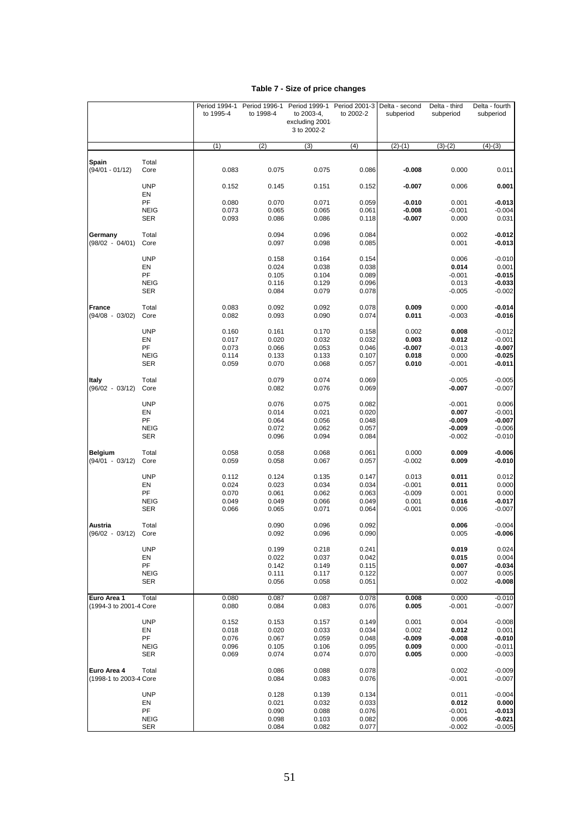| Table 7 - Size of price changes |  |
|---------------------------------|--|
|---------------------------------|--|

|                                       |                           | to 1995-4      | to 1998-4      | Period 1994-1 Period 1996-1 Period 1999-1 Period 2001-3 | to 2002-2      | Delta - second       | Delta - third        | Delta - fourth       |
|---------------------------------------|---------------------------|----------------|----------------|---------------------------------------------------------|----------------|----------------------|----------------------|----------------------|
|                                       |                           |                |                | to 2003-4,<br>excluding 2001.                           |                | subperiod            | subperiod            | subperiod            |
|                                       |                           |                |                | 3 to 2002-2                                             |                |                      |                      |                      |
|                                       |                           | (1)            | (2)            | (3)                                                     | (4)            | $(2)-(1)$            | $(3)-(2)$            | $(4)-(3)$            |
| Spain                                 | Total                     |                |                |                                                         |                |                      |                      |                      |
| $(94/01 - 01/12)$                     | Core                      | 0.083          | 0.075          | 0.075                                                   | 0.086          | $-0.008$             | 0.000                | 0.011                |
|                                       | <b>UNP</b><br>EN          | 0.152          | 0.145          | 0.151                                                   | 0.152          | $-0.007$             | 0.006                | 0.001                |
|                                       | PF                        | 0.080          | 0.070          | 0.071                                                   | 0.059          | $-0.010$             | 0.001                | $-0.013$             |
|                                       | <b>NEIG</b><br><b>SER</b> | 0.073<br>0.093 | 0.065<br>0.086 | 0.065<br>0.086                                          | 0.061<br>0.118 | $-0.008$<br>$-0.007$ | $-0.001$<br>0.000    | $-0.004$<br>0.031    |
|                                       |                           |                |                |                                                         |                |                      |                      |                      |
| Germany<br>$(98/02 - 04/01)$          | Total<br>Core             |                | 0.094<br>0.097 | 0.096<br>0.098                                          | 0.084<br>0.085 |                      | 0.002<br>0.001       | $-0.012$<br>$-0.013$ |
|                                       | <b>UNP</b>                |                | 0.158          | 0.164                                                   | 0.154          |                      | 0.006                | $-0.010$             |
|                                       | EN                        |                | 0.024          | 0.038                                                   | 0.038          |                      | 0.014                | 0.001                |
|                                       | PF                        |                | 0.105          | 0.104                                                   | 0.089          |                      | $-0.001$             | $-0.015$             |
|                                       | <b>NEIG</b>               |                | 0.116          | 0.129                                                   | 0.096          |                      | 0.013                | $-0.033$             |
|                                       | <b>SER</b>                |                | 0.084          | 0.079                                                   | 0.078          |                      | $-0.005$             | $-0.002$             |
| <b>France</b><br>$(94/08 - 03/02)$    | Total<br>Core             | 0.083<br>0.082 | 0.092<br>0.093 | 0.092<br>0.090                                          | 0.078<br>0.074 | 0.009<br>0.011       | 0.000<br>$-0.003$    | $-0.014$<br>$-0.016$ |
|                                       | <b>UNP</b>                |                | 0.161          |                                                         | 0.158          | 0.002                | 0.008                | $-0.012$             |
|                                       | EN                        | 0.160<br>0.017 | 0.020          | 0.170<br>0.032                                          | 0.032          | 0.003                | 0.012                | $-0.001$             |
|                                       | PF                        | 0.073          | 0.066          | 0.053                                                   | 0.046          | $-0.007$             | $-0.013$             | $-0.007$             |
|                                       | <b>NEIG</b>               | 0.114          | 0.133          | 0.133                                                   | 0.107          | 0.018                | 0.000                | $-0.025$             |
|                                       | <b>SER</b>                | 0.059          | 0.070          | 0.068                                                   | 0.057          | 0.010                | $-0.001$             | $-0.011$             |
| Italy                                 | Total                     |                | 0.079          | 0.074                                                   | 0.069          |                      | $-0.005$             | $-0.005$             |
| $(96/02 - 03/12)$                     | Core                      |                | 0.082          | 0.076                                                   | 0.069          |                      | $-0.007$             | $-0.007$             |
|                                       | <b>UNP</b>                |                | 0.076          | 0.075                                                   | 0.082          |                      | $-0.001$             | 0.006                |
|                                       | EN                        |                | 0.014          | 0.021                                                   | 0.020          |                      | 0.007                | $-0.001$             |
|                                       | PF                        |                | 0.064          | 0.056                                                   | 0.048          |                      | -0.009               | $-0.007$             |
|                                       | <b>NEIG</b><br><b>SER</b> |                | 0.072<br>0.096 | 0.062<br>0.094                                          | 0.057<br>0.084 |                      | $-0.009$<br>$-0.002$ | $-0.006$<br>$-0.010$ |
| <b>Belgium</b>                        | Total                     | 0.058          | 0.058          | 0.068                                                   | 0.061          | 0.000                | 0.009                | $-0.006$             |
| $(94/01 - 03/12)$                     | Core                      | 0.059          | 0.058          | 0.067                                                   | 0.057          | $-0.002$             | 0.009                | $-0.010$             |
|                                       | <b>UNP</b>                | 0.112          | 0.124          | 0.135                                                   | 0.147          | 0.013                | 0.011                | 0.012                |
|                                       | EN                        | 0.024          | 0.023          | 0.034                                                   | 0.034          | $-0.001$             | 0.011                | 0.000                |
|                                       | PF                        | 0.070          | 0.061          | 0.062                                                   | 0.063          | $-0.009$             | 0.001                | 0.000                |
|                                       | <b>NEIG</b><br><b>SER</b> | 0.049<br>0.066 | 0.049<br>0.065 | 0.066<br>0.071                                          | 0.049<br>0.064 | 0.001<br>$-0.001$    | 0.016<br>0.006       | $-0.017$<br>$-0.007$ |
| Austria                               | Total                     |                | 0.090          | 0.096                                                   | 0.092          |                      | 0.006                | $-0.004$             |
| $(96/02 - 03/12)$                     | Core                      |                | 0.092          | 0.096                                                   | 0.090          |                      | 0.005                | $-0.006$             |
|                                       | <b>UNP</b>                |                | 0.199          | 0.218                                                   | 0.241          |                      | 0.019                | 0.024                |
|                                       | EN                        |                | 0.022          | 0.037                                                   | 0.042          |                      | 0.015                | 0.004                |
|                                       | PF                        |                | 0.142          | 0.149                                                   | 0.115          |                      | 0.007                | $-0.034$             |
|                                       | <b>NEIG</b><br><b>SER</b> |                | 0.111<br>0.056 | 0.117<br>0.058                                          | 0.122<br>0.051 |                      | 0.007<br>0.002       | 0.005<br>$-0.008$    |
|                                       |                           |                |                |                                                         |                |                      |                      |                      |
| Euro Area 1<br>(1994-3 to 2001-4 Core | Total                     | 0.080<br>0.080 | 0.087<br>0.084 | 0.087<br>0.083                                          | 0.078<br>0.076 | 0.008<br>0.005       | 0.000<br>$-0.001$    | $-0.010$<br>$-0.007$ |
|                                       | <b>UNP</b>                | 0.152          | 0.153          | 0.157                                                   | 0.149          | 0.001                | 0.004                | $-0.008$             |
|                                       | EN                        | 0.018          | 0.020          | 0.033                                                   | 0.034          | 0.002                | 0.012                | 0.001                |
|                                       | PF                        | 0.076          | 0.067          | 0.059                                                   | 0.048          | $-0.009$             | $-0.008$             | $-0.010$             |
|                                       | <b>NEIG</b><br>SER        | 0.096<br>0.069 | 0.105<br>0.074 | 0.106<br>0.074                                          | 0.095<br>0.070 | 0.009<br>0.005       | 0.000<br>0.000       | $-0.011$<br>$-0.003$ |
| Euro Area 4                           | Total                     |                | 0.086          | 0.088                                                   | 0.078          |                      | 0.002                | $-0.009$             |
| (1998-1 to 2003-4 Core                |                           |                | 0.084          | 0.083                                                   | 0.076          |                      | $-0.001$             | $-0.007$             |
|                                       | <b>UNP</b>                |                | 0.128          | 0.139                                                   | 0.134          |                      | 0.011                | $-0.004$             |
|                                       | EN                        |                | 0.021          | 0.032                                                   | 0.033          |                      | 0.012                | 0.000                |
|                                       | PF                        |                | 0.090          | 0.088                                                   | 0.076          |                      | $-0.001$             | $-0.013$             |
|                                       | <b>NEIG</b>               |                | 0.098          | 0.103                                                   | 0.082          |                      | 0.006                | $-0.021$             |
|                                       | <b>SER</b>                |                | 0.084          | 0.082                                                   | 0.077          |                      | $-0.002$             | $-0.005$             |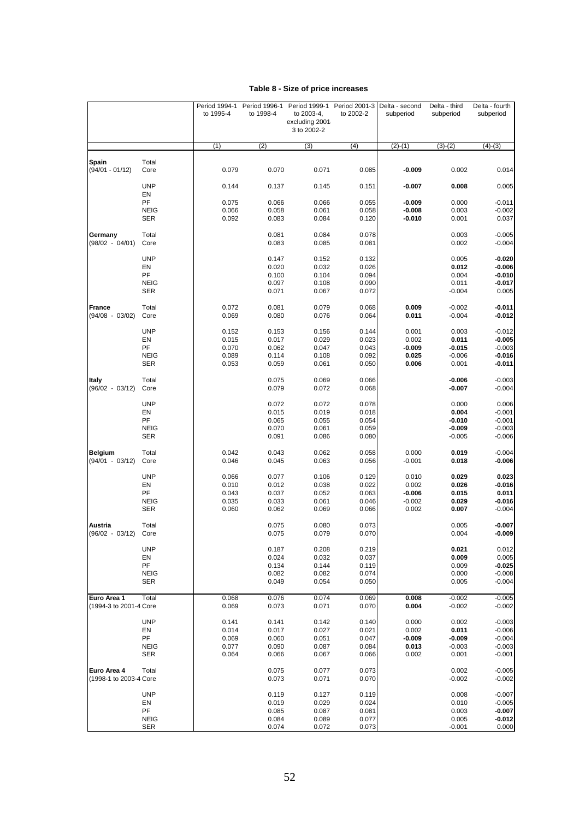### **Table 8 - Size of price increases**

|                                     |                           | Period 1994-1  | Period 1996-1  | Period 1999-1  | Period 2001-3  | Delta - second    | Delta - third     | Delta - fourth       |
|-------------------------------------|---------------------------|----------------|----------------|----------------|----------------|-------------------|-------------------|----------------------|
|                                     |                           | to 1995-4      | to 1998-4      | to 2003-4,     | to 2002-2      | subperiod         | subperiod         | subperiod            |
|                                     |                           |                |                | excluding 2001 |                |                   |                   |                      |
|                                     |                           |                |                | 3 to 2002-2    |                |                   |                   |                      |
|                                     |                           | (1)            | (2)            | (3)            | (4)            | $(2)-(1)$         | $(3)-(2)$         | $(4)-(3)$            |
|                                     |                           |                |                |                |                |                   |                   |                      |
| <b>Spain</b>                        | Total                     |                |                |                |                |                   |                   |                      |
| $(94/01 - 01/12)$                   | Core                      | 0.079          | 0.070          | 0.071          | 0.085          | $-0.009$          | 0.002             | 0.014                |
|                                     |                           |                |                |                |                |                   |                   |                      |
|                                     | <b>UNP</b>                | 0.144          | 0.137          | 0.145          | 0.151          | $-0.007$          | 0.008             | 0.005                |
|                                     | EN                        |                |                |                |                | $-0.009$          |                   |                      |
|                                     | PF<br><b>NEIG</b>         | 0.075<br>0.066 | 0.066<br>0.058 | 0.066<br>0.061 | 0.055<br>0.058 | $-0.008$          | 0.000<br>0.003    | $-0.011$<br>$-0.002$ |
|                                     | <b>SER</b>                | 0.092          | 0.083          | 0.084          | 0.120          | $-0.010$          | 0.001             | 0.037                |
|                                     |                           |                |                |                |                |                   |                   |                      |
| Germany                             | Total                     |                | 0.081          | 0.084          | 0.078          |                   | 0.003             | $-0.005$             |
| $(98/02 - 04/01)$                   | Core                      |                | 0.083          | 0.085          | 0.081          |                   | 0.002             | $-0.004$             |
|                                     |                           |                |                |                |                |                   |                   |                      |
|                                     | <b>UNP</b>                |                | 0.147          | 0.152          | 0.132          |                   | 0.005             | $-0.020$             |
|                                     | EN                        |                | 0.020          | 0.032          | 0.026          |                   | 0.012             | $-0.006$             |
|                                     | PF                        |                | 0.100          | 0.104          | 0.094          |                   | 0.004             | $-0.010$             |
|                                     | <b>NEIG</b><br><b>SER</b> |                | 0.097<br>0.071 | 0.108<br>0.067 | 0.090<br>0.072 |                   | 0.011<br>$-0.004$ | $-0.017$<br>0.005    |
|                                     |                           |                |                |                |                |                   |                   |                      |
| France                              | Total                     | 0.072          | 0.081          | 0.079          | 0.068          | 0.009             | $-0.002$          | $-0.011$             |
| $(94/08 - 03/02)$                   | Core                      | 0.069          | 0.080          | 0.076          | 0.064          | 0.011             | $-0.004$          | $-0.012$             |
|                                     |                           |                |                |                |                |                   |                   |                      |
|                                     | <b>UNP</b>                | 0.152          | 0.153          | 0.156          | 0.144          | 0.001             | 0.003             | $-0.012$             |
|                                     | EN                        | 0.015          | 0.017          | 0.029          | 0.023          | 0.002             | 0.011             | $-0.005$             |
|                                     | PF                        | 0.070          | 0.062          | 0.047          | 0.043          | $-0.009$          | $-0.015$          | $-0.003$             |
|                                     | <b>NEIG</b>               | 0.089          | 0.114          | 0.108          | 0.092          | 0.025             | $-0.006$          | $-0.016$             |
|                                     | <b>SER</b>                | 0.053          | 0.059          | 0.061          | 0.050          | 0.006             | 0.001             | $-0.011$             |
| <b>Italy</b>                        | Total                     |                | 0.075          | 0.069          | 0.066          |                   | $-0.006$          | $-0.003$             |
| $(96/02 - 03/12)$                   | Core                      |                | 0.079          | 0.072          | 0.068          |                   | $-0.007$          | $-0.004$             |
|                                     |                           |                |                |                |                |                   |                   |                      |
|                                     | <b>UNP</b>                |                | 0.072          | 0.072          | 0.078          |                   | 0.000             | 0.006                |
|                                     | EN                        |                | 0.015          | 0.019          | 0.018          |                   | 0.004             | $-0.001$             |
|                                     | PF                        |                | 0.065          | 0.055          | 0.054          |                   | $-0.010$          | $-0.001$             |
|                                     | <b>NEIG</b>               |                | 0.070          | 0.061          | 0.059          |                   | $-0.009$          | $-0.003$             |
|                                     | <b>SER</b>                |                | 0.091          | 0.086          | 0.080          |                   | $-0.005$          | $-0.006$             |
|                                     |                           |                |                |                |                |                   |                   |                      |
| <b>Belgium</b><br>$(94/01 - 03/12)$ | Total<br>Core             | 0.042<br>0.046 | 0.043<br>0.045 | 0.062<br>0.063 | 0.058<br>0.056 | 0.000<br>$-0.001$ | 0.019<br>0.018    | $-0.004$<br>$-0.006$ |
|                                     |                           |                |                |                |                |                   |                   |                      |
|                                     | <b>UNP</b>                | 0.066          | 0.077          | 0.106          | 0.129          | 0.010             | 0.029             | 0.023                |
|                                     | EN                        | 0.010          | 0.012          | 0.038          | 0.022          | 0.002             | 0.026             | $-0.016$             |
|                                     | PF                        | 0.043          | 0.037          | 0.052          | 0.063          | $-0.006$          | 0.015             | 0.011                |
|                                     | <b>NEIG</b>               | 0.035          | 0.033          | 0.061          | 0.046          | $-0.002$          | 0.029             | $-0.016$             |
|                                     | <b>SER</b>                | 0.060          | 0.062          | 0.069          | 0.066          | 0.002             | 0.007             | $-0.004$             |
|                                     |                           |                |                |                |                |                   |                   |                      |
| <b>Austria</b>                      | Total                     |                | 0.075          | 0.080          | 0.073          |                   | 0.005             | $-0.007$             |
| $(96/02 - 03/12)$                   | Core                      |                | 0.075          | 0.079          | 0.070          |                   | 0.004             | $-0.009$             |
|                                     | <b>UNP</b>                |                | 0.187          | 0.208          | 0.219          |                   | 0.021             | 0.012                |
|                                     | EN                        |                | 0.024          | 0.032          | 0.037          |                   | 0.009             | 0.005                |
|                                     | PF                        |                | 0.134          | 0.144          | 0.119          |                   | 0.009             | $-0.025$             |
|                                     | <b>NEIG</b>               |                | 0.082          | 0.082          | 0.074          |                   | 0.000             | $-0.008$             |
|                                     | SER                       |                | 0.049          | 0.054          | 0.050          |                   | 0.005             | $-0.004$             |
|                                     |                           |                |                |                |                |                   |                   |                      |
| Euro Area 1                         | Total                     | 0.068          | 0.076          | 0.074          | 0.069          | 0.008             | $-0.002$          | $-0.005$             |
| (1994-3 to 2001-4 Core              |                           | 0.069          | 0.073          | 0.071          | 0.070          | 0.004             | $-0.002$          | $-0.002$             |
|                                     | <b>UNP</b>                | 0.141          | 0.141          | 0.142          | 0.140          | 0.000             | 0.002             | $-0.003$             |
|                                     | EN                        | 0.014          | 0.017          | 0.027          | 0.021          | 0.002             | 0.011             | $-0.006$             |
|                                     | PF                        | 0.069          | 0.060          | 0.051          | 0.047          | $-0.009$          | $-0.009$          | $-0.004$             |
|                                     | <b>NEIG</b>               | 0.077          | 0.090          | 0.087          | 0.084          | 0.013             | $-0.003$          | $-0.003$             |
|                                     | SER                       | 0.064          | 0.066          | 0.067          | 0.066          | 0.002             | 0.001             | $-0.001$             |
|                                     |                           |                |                |                |                |                   |                   |                      |
| Euro Area 4                         | Total                     |                | 0.075          | 0.077          | 0.073          |                   | 0.002             | $-0.005$             |
| (1998-1 to 2003-4 Core              |                           |                | 0.073          | 0.071          | 0.070          |                   | $-0.002$          | $-0.002$             |
|                                     |                           |                |                |                |                |                   |                   |                      |
|                                     | <b>UNP</b>                |                | 0.119          | 0.127          | 0.119          |                   | 0.008             | $-0.007$             |
|                                     | EN<br>PF                  |                | 0.019<br>0.085 | 0.029          | 0.024<br>0.081 |                   | 0.010             | $-0.005$<br>$-0.007$ |
|                                     | <b>NEIG</b>               |                | 0.084          | 0.087<br>0.089 | 0.077          |                   | 0.003<br>0.005    | $-0.012$             |
|                                     | <b>SER</b>                |                | 0.074          | 0.072          | 0.073          |                   | $-0.001$          | 0.000                |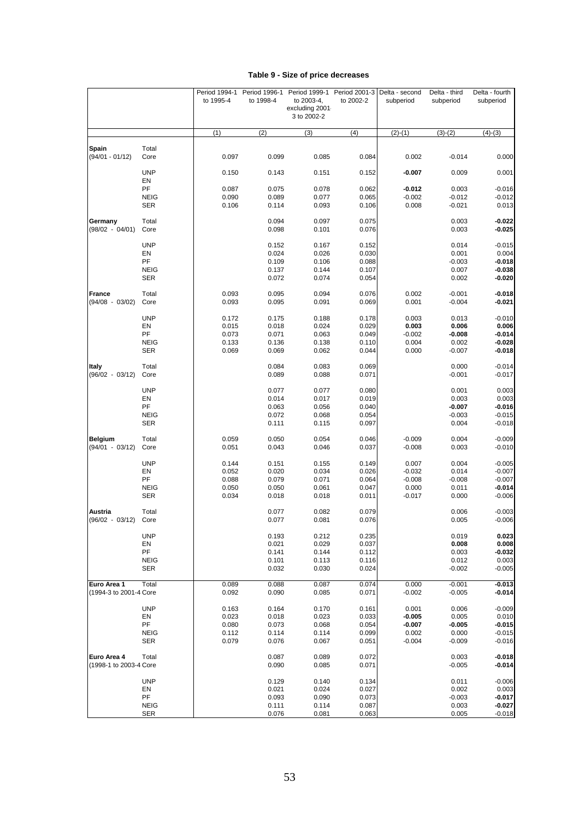### **Table 9 - Size of price decreases**

|                                       |                           | to 1995-4      | to 1998-4      | Period 1994-1 Period 1996-1 Period 1999-1 Period 2001-3 Delta - second | to 2002-2      |                      | Delta - third        | Delta - fourth       |
|---------------------------------------|---------------------------|----------------|----------------|------------------------------------------------------------------------|----------------|----------------------|----------------------|----------------------|
|                                       |                           |                |                | to 2003-4,<br>excluding 2001.<br>3 to 2002-2                           |                | subperiod            | subperiod            | subperiod            |
|                                       |                           | (1)            | (2)            | (3)                                                                    | (4)            | $(2)-(1)$            | $(3)-(2)$            | $(4)-(3)$            |
| Spain                                 | Total                     |                |                |                                                                        |                |                      |                      |                      |
| $(94/01 - 01/12)$                     | Core                      | 0.097          | 0.099          | 0.085                                                                  | 0.084          | 0.002                | $-0.014$             | 0.000                |
|                                       | <b>UNP</b><br>EN          | 0.150          | 0.143          | 0.151                                                                  | 0.152          | -0.007               | 0.009                | 0.001                |
|                                       | PF<br><b>NEIG</b>         | 0.087<br>0.090 | 0.075<br>0.089 | 0.078<br>0.077                                                         | 0.062<br>0.065 | $-0.012$<br>$-0.002$ | 0.003<br>$-0.012$    | $-0.016$<br>$-0.012$ |
|                                       | <b>SER</b>                | 0.106          | 0.114          | 0.093                                                                  | 0.106          | 0.008                | $-0.021$             | 0.013                |
| Germany<br>$(98/02 - 04/01)$          | Total<br>Core             |                | 0.094<br>0.098 | 0.097<br>0.101                                                         | 0.075<br>0.076 |                      | 0.003<br>0.003       | $-0.022$<br>$-0.025$ |
|                                       | <b>UNP</b>                |                | 0.152          | 0.167                                                                  | 0.152          |                      | 0.014                | $-0.015$             |
|                                       | EN                        |                | 0.024          | 0.026                                                                  | 0.030          |                      | 0.001                | 0.004                |
|                                       | PF                        |                | 0.109          | 0.106                                                                  | 0.088          |                      | $-0.003$             | $-0.018$             |
|                                       | <b>NEIG</b>               |                | 0.137          | 0.144                                                                  | 0.107          |                      | 0.007                | $-0.038$             |
|                                       | <b>SER</b>                |                | 0.072          | 0.074                                                                  | 0.054          |                      | 0.002                | $-0.020$             |
| <b>France</b><br>$(94/08 - 03/02)$    | Total<br>Core             | 0.093<br>0.093 | 0.095<br>0.095 | 0.094<br>0.091                                                         | 0.076<br>0.069 | 0.002<br>0.001       | $-0.001$<br>$-0.004$ | $-0.018$<br>$-0.021$ |
|                                       | <b>UNP</b>                | 0.172          | 0.175          | 0.188                                                                  | 0.178          | 0.003                | 0.013                | $-0.010$             |
|                                       | EN                        | 0.015          | 0.018          | 0.024                                                                  | 0.029          | 0.003                | 0.006                | 0.006                |
|                                       | PF                        | 0.073          | 0.071          | 0.063                                                                  | 0.049          | $-0.002$             | $-0.008$             | $-0.014$             |
|                                       | <b>NEIG</b>               | 0.133          | 0.136          | 0.138                                                                  | 0.110          | 0.004                | 0.002                | $-0.028$             |
|                                       | <b>SER</b>                | 0.069          | 0.069          | 0.062                                                                  | 0.044          | 0.000                | $-0.007$             | $-0.018$             |
| <b>Italy</b><br>$(96/02 - 03/12)$     | Total<br>Core             |                | 0.084<br>0.089 | 0.083<br>0.088                                                         | 0.069<br>0.071 |                      | 0.000<br>$-0.001$    | $-0.014$<br>$-0.017$ |
|                                       | <b>UNP</b>                |                | 0.077          | 0.077                                                                  | 0.080          |                      | 0.001                | 0.003                |
|                                       | EN                        |                | 0.014          | 0.017                                                                  | 0.019          |                      | 0.003                | 0.003                |
|                                       | PF                        |                | 0.063          | 0.056                                                                  | 0.040          |                      | $-0.007$             | $-0.016$             |
|                                       | <b>NEIG</b><br><b>SER</b> |                | 0.072<br>0.111 | 0.068<br>0.115                                                         | 0.054<br>0.097 |                      | $-0.003$<br>0.004    | $-0.015$<br>$-0.018$ |
| <b>Belgium</b>                        | Total                     | 0.059          | 0.050          | 0.054                                                                  | 0.046          | $-0.009$             | 0.004                | $-0.009$             |
| $(94/01 - 03/12)$                     | Core                      | 0.051          | 0.043          | 0.046                                                                  | 0.037          | $-0.008$             | 0.003                | $-0.010$             |
|                                       | <b>UNP</b>                | 0.144          | 0.151          | 0.155                                                                  | 0.149          | 0.007                | 0.004                | $-0.005$             |
|                                       | EN<br>PF                  | 0.052<br>0.088 | 0.020<br>0.079 | 0.034<br>0.071                                                         | 0.026<br>0.064 | $-0.032$<br>$-0.008$ | 0.014<br>$-0.008$    | $-0.007$<br>$-0.007$ |
|                                       | <b>NEIG</b>               | 0.050          | 0.050          | 0.061                                                                  | 0.047          | 0.000                | 0.011                | $-0.014$             |
|                                       | <b>SER</b>                | 0.034          | 0.018          | 0.018                                                                  | 0.011          | $-0.017$             | 0.000                | $-0.006$             |
| <b>Austria</b><br>$(96/02 - 03/12)$   | Total<br>Core             |                | 0.077<br>0.077 | 0.082<br>0.081                                                         | 0.079<br>0.076 |                      | 0.006<br>0.005       | $-0.003$<br>$-0.006$ |
|                                       | <b>UNP</b>                |                | 0.193          | 0.212                                                                  | 0.235          |                      | 0.019                | 0.023                |
|                                       | EN                        |                | 0.021          | 0.029                                                                  | 0.037          |                      | 0.008                | 0.008                |
|                                       | PF                        |                | 0.141          | 0.144                                                                  | 0.112          |                      | 0.003                | $-0.032$             |
|                                       | <b>NEIG</b>               |                | 0.101          | 0.113                                                                  | 0.116          |                      | 0.012                | 0.003                |
|                                       | SER                       |                | 0.032          | 0.030                                                                  | 0.024          |                      | $-0.002$             | $-0.005$             |
| Euro Area 1<br>(1994-3 to 2001-4 Core | Total                     | 0.089<br>0.092 | 0.088<br>0.090 | 0.087<br>0.085                                                         | 0.074<br>0.071 | 0.000<br>$-0.002$    | $-0.001$<br>$-0.005$ | $-0.013$<br>$-0.014$ |
|                                       |                           |                |                |                                                                        |                |                      |                      |                      |
|                                       | <b>UNP</b><br>EN          | 0.163<br>0.023 | 0.164<br>0.018 | 0.170<br>0.023                                                         | 0.161<br>0.033 | 0.001<br>$-0.005$    | 0.006<br>0.005       | $-0.009$<br>0.010    |
|                                       | PF                        | 0.080          | 0.073          | 0.068                                                                  | 0.054          | $-0.007$             | $-0.005$             | $-0.015$             |
|                                       | <b>NEIG</b>               | 0.112          | 0.114          | 0.114                                                                  | 0.099          | 0.002                | 0.000                | $-0.015$             |
|                                       | SER                       | 0.079          | 0.076          | 0.067                                                                  | 0.051          | $-0.004$             | $-0.009$             | $-0.016$             |
| Euro Area 4<br>(1998-1 to 2003-4 Core | Total                     |                | 0.087<br>0.090 | 0.089<br>0.085                                                         | 0.072<br>0.071 |                      | 0.003<br>$-0.005$    | $-0.018$<br>$-0.014$ |
|                                       | <b>UNP</b>                |                | 0.129          | 0.140                                                                  | 0.134          |                      | 0.011                | $-0.006$             |
|                                       | EN                        |                | 0.021          | 0.024                                                                  | 0.027          |                      | 0.002                | 0.003                |
|                                       | PF                        |                | 0.093          | 0.090                                                                  | 0.073          |                      | $-0.003$             | $-0.017$             |
|                                       | <b>NEIG</b>               |                | 0.111          | 0.114                                                                  | 0.087          |                      | 0.003                | $-0.027$             |
|                                       | <b>SER</b>                |                | 0.076          | 0.081                                                                  | 0.063          |                      | 0.005                | $-0.018$             |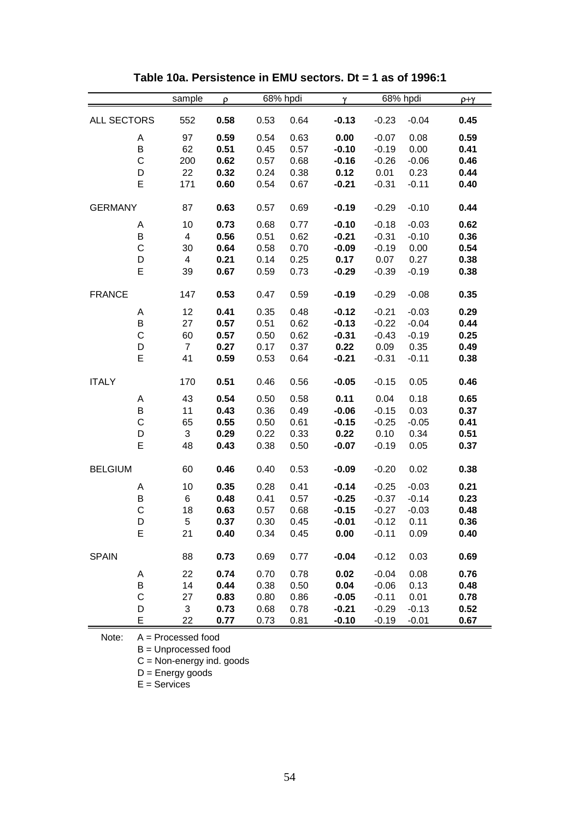|                | sample         | $\rho$ |      | 68% hpdi | γ       | $p + \gamma$ |         |      |
|----------------|----------------|--------|------|----------|---------|--------------|---------|------|
| ALL SECTORS    | 552            | 0.58   | 0.53 | 0.64     | $-0.13$ | $-0.23$      | $-0.04$ | 0.45 |
| A              | 97             | 0.59   | 0.54 | 0.63     | 0.00    | $-0.07$      | 0.08    | 0.59 |
| B              | 62             | 0.51   | 0.45 | 0.57     | $-0.10$ | $-0.19$      | 0.00    | 0.41 |
| $\mathsf C$    | 200            | 0.62   | 0.57 | 0.68     | $-0.16$ | $-0.26$      | $-0.06$ | 0.46 |
| D              | 22             | 0.32   | 0.24 | 0.38     | 0.12    | 0.01         | 0.23    | 0.44 |
| E              | 171            | 0.60   | 0.54 | 0.67     | $-0.21$ | $-0.31$      | $-0.11$ | 0.40 |
| <b>GERMANY</b> | 87             | 0.63   | 0.57 | 0.69     | $-0.19$ | $-0.29$      | $-0.10$ | 0.44 |
| Α              | 10             | 0.73   | 0.68 | 0.77     | $-0.10$ | $-0.18$      | $-0.03$ | 0.62 |
| B              | 4              | 0.56   | 0.51 | 0.62     | $-0.21$ | $-0.31$      | $-0.10$ | 0.36 |
| $\mathsf C$    | 30             | 0.64   | 0.58 | 0.70     | $-0.09$ | $-0.19$      | 0.00    | 0.54 |
| D              | 4              | 0.21   | 0.14 | 0.25     | 0.17    | 0.07         | 0.27    | 0.38 |
| E              | 39             | 0.67   | 0.59 | 0.73     | $-0.29$ | $-0.39$      | $-0.19$ | 0.38 |
| <b>FRANCE</b>  | 147            | 0.53   | 0.47 | 0.59     | $-0.19$ | $-0.29$      | $-0.08$ | 0.35 |
| A              | 12             | 0.41   | 0.35 | 0.48     | $-0.12$ | $-0.21$      | $-0.03$ | 0.29 |
| B              | 27             | 0.57   | 0.51 | 0.62     | $-0.13$ | $-0.22$      | $-0.04$ | 0.44 |
| $\mathsf C$    | 60             | 0.57   | 0.50 | 0.62     | $-0.31$ | $-0.43$      | $-0.19$ | 0.25 |
| D              | $\overline{7}$ | 0.27   | 0.17 | 0.37     | 0.22    | 0.09         | 0.35    | 0.49 |
| E              | 41             | 0.59   | 0.53 | 0.64     | $-0.21$ | $-0.31$      | $-0.11$ | 0.38 |
| <b>ITALY</b>   | 170            | 0.51   | 0.46 | 0.56     | $-0.05$ | $-0.15$      | 0.05    | 0.46 |
| Α              | 43             | 0.54   | 0.50 | 0.58     | 0.11    | 0.04         | 0.18    | 0.65 |
| B              | 11             | 0.43   | 0.36 | 0.49     | $-0.06$ | $-0.15$      | 0.03    | 0.37 |
| $\mathsf C$    | 65             | 0.55   | 0.50 | 0.61     | $-0.15$ | $-0.25$      | $-0.05$ | 0.41 |
| D              | 3              | 0.29   | 0.22 | 0.33     | 0.22    | 0.10         | 0.34    | 0.51 |
| E              | 48             | 0.43   | 0.38 | 0.50     | $-0.07$ | $-0.19$      | 0.05    | 0.37 |
| <b>BELGIUM</b> | 60             | 0.46   | 0.40 | 0.53     | $-0.09$ | $-0.20$      | 0.02    | 0.38 |
| Α              | 10             | 0.35   | 0.28 | 0.41     | $-0.14$ | $-0.25$      | $-0.03$ | 0.21 |
| B              | 6              | 0.48   | 0.41 | 0.57     | $-0.25$ | $-0.37$      | $-0.14$ | 0.23 |
| $\mathsf C$    | 18             | 0.63   | 0.57 | 0.68     | $-0.15$ | $-0.27$      | $-0.03$ | 0.48 |
| D              | 5              | 0.37   | 0.30 | 0.45     | $-0.01$ | $-0.12$      | 0.11    | 0.36 |
| Е              | 21             | 0.40   | 0.34 | 0.45     | 0.00    | $-0.11$      | 0.09    | 0.40 |
| <b>SPAIN</b>   | 88             | 0.73   | 0.69 | 0.77     | $-0.04$ | $-0.12$      | 0.03    | 0.69 |
| Α              | 22             | 0.74   | 0.70 | 0.78     | 0.02    | $-0.04$      | 0.08    | 0.76 |
| $\sf B$        | 14             | 0.44   | 0.38 | 0.50     | 0.04    | $-0.06$      | 0.13    | 0.48 |
| $\mathsf C$    | 27             | 0.83   | 0.80 | 0.86     | $-0.05$ | $-0.11$      | 0.01    | 0.78 |
| D              | 3              | 0.73   | 0.68 | 0.78     | $-0.21$ | $-0.29$      | $-0.13$ | 0.52 |
| E              | 22             | 0.77   | 0.73 | 0.81     | $-0.10$ | $-0.19$      | $-0.01$ | 0.67 |

**Table 10a. Persistence in EMU sectors. Dt = 1 as of 1996:1**

B = Unprocessed food

C = Non-energy ind. goods

D = Energy goods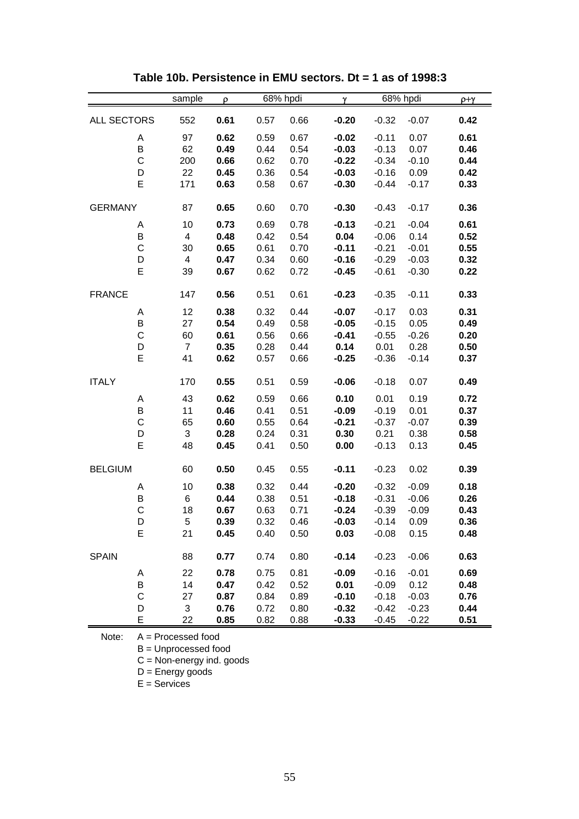|                | sample         | ρ    | 68% hpdi | γ    | 68% hpdi | p+y     |         |      |
|----------------|----------------|------|----------|------|----------|---------|---------|------|
| ALL SECTORS    | 552            | 0.61 | 0.57     | 0.66 | $-0.20$  | $-0.32$ | $-0.07$ | 0.42 |
| Α              | 97             | 0.62 | 0.59     | 0.67 | $-0.02$  | $-0.11$ | 0.07    | 0.61 |
| B              | 62             | 0.49 | 0.44     | 0.54 | $-0.03$  | $-0.13$ | 0.07    | 0.46 |
| $\mathsf C$    | 200            | 0.66 | 0.62     | 0.70 | $-0.22$  | $-0.34$ | $-0.10$ | 0.44 |
| D              | 22             | 0.45 | 0.36     | 0.54 | $-0.03$  | $-0.16$ | 0.09    | 0.42 |
| E              | 171            | 0.63 | 0.58     | 0.67 | $-0.30$  | $-0.44$ | $-0.17$ | 0.33 |
| <b>GERMANY</b> | 87             | 0.65 | 0.60     | 0.70 | $-0.30$  | $-0.43$ | $-0.17$ | 0.36 |
| Α              | 10             | 0.73 | 0.69     | 0.78 | $-0.13$  | $-0.21$ | $-0.04$ | 0.61 |
| B              | 4              | 0.48 | 0.42     | 0.54 | 0.04     | $-0.06$ | 0.14    | 0.52 |
| $\mathsf C$    | 30             | 0.65 | 0.61     | 0.70 | $-0.11$  | $-0.21$ | $-0.01$ | 0.55 |
| D              | 4              | 0.47 | 0.34     | 0.60 | $-0.16$  | $-0.29$ | $-0.03$ | 0.32 |
| E              | 39             | 0.67 | 0.62     | 0.72 | $-0.45$  | $-0.61$ | $-0.30$ | 0.22 |
| <b>FRANCE</b>  | 147            | 0.56 | 0.51     | 0.61 | $-0.23$  | $-0.35$ | $-0.11$ | 0.33 |
| A              | 12             | 0.38 | 0.32     | 0.44 | $-0.07$  | $-0.17$ | 0.03    | 0.31 |
| B              | 27             | 0.54 | 0.49     | 0.58 | $-0.05$  | $-0.15$ | 0.05    | 0.49 |
| $\mathsf C$    | 60             | 0.61 | 0.56     | 0.66 | $-0.41$  | $-0.55$ | $-0.26$ | 0.20 |
| D              | $\overline{7}$ | 0.35 | 0.28     | 0.44 | 0.14     | 0.01    | 0.28    | 0.50 |
| E              | 41             | 0.62 | 0.57     | 0.66 | $-0.25$  | $-0.36$ | $-0.14$ | 0.37 |
| <b>ITALY</b>   | 170            | 0.55 | 0.51     | 0.59 | $-0.06$  | $-0.18$ | 0.07    | 0.49 |
| Α              | 43             | 0.62 | 0.59     | 0.66 | 0.10     | 0.01    | 0.19    | 0.72 |
| B              | 11             | 0.46 | 0.41     | 0.51 | $-0.09$  | $-0.19$ | 0.01    | 0.37 |
| $\mathsf C$    | 65             | 0.60 | 0.55     | 0.64 | $-0.21$  | $-0.37$ | $-0.07$ | 0.39 |
| D              | 3              | 0.28 | 0.24     | 0.31 | 0.30     | 0.21    | 0.38    | 0.58 |
| E              | 48             | 0.45 | 0.41     | 0.50 | 0.00     | $-0.13$ | 0.13    | 0.45 |
| <b>BELGIUM</b> | 60             | 0.50 | 0.45     | 0.55 | $-0.11$  | $-0.23$ | 0.02    | 0.39 |
| Α              | 10             | 0.38 | 0.32     | 0.44 | $-0.20$  | $-0.32$ | $-0.09$ | 0.18 |
| B              | 6              | 0.44 | 0.38     | 0.51 | $-0.18$  | $-0.31$ | $-0.06$ | 0.26 |
| $\mathsf{C}$   | 18             | 0.67 | 0.63     | 0.71 | $-0.24$  | $-0.39$ | $-0.09$ | 0.43 |
| D              | 5              | 0.39 | 0.32     | 0.46 | $-0.03$  | $-0.14$ | 0.09    | 0.36 |
| E              | 21             | 0.45 | 0.40     | 0.50 | 0.03     | $-0.08$ | 0.15    | 0.48 |
| <b>SPAIN</b>   | 88             | 0.77 | 0.74     | 0.80 | $-0.14$  | $-0.23$ | $-0.06$ | 0.63 |
| А              | 22             | 0.78 | 0.75     | 0.81 | $-0.09$  | $-0.16$ | $-0.01$ | 0.69 |
| B              | 14             | 0.47 | 0.42     | 0.52 | 0.01     | $-0.09$ | 0.12    | 0.48 |
| $\mathsf C$    | 27             | 0.87 | 0.84     | 0.89 | $-0.10$  | $-0.18$ | $-0.03$ | 0.76 |
| D              | 3              | 0.76 | 0.72     | 0.80 | $-0.32$  | $-0.42$ | $-0.23$ | 0.44 |
| E              | 22             | 0.85 | 0.82     | 0.88 | $-0.33$  | $-0.45$ | $-0.22$ | 0.51 |

**Table 10b. Persistence in EMU sectors. Dt = 1 as of 1998:3**

B = Unprocessed food

C = Non-energy ind. goods

D = Energy goods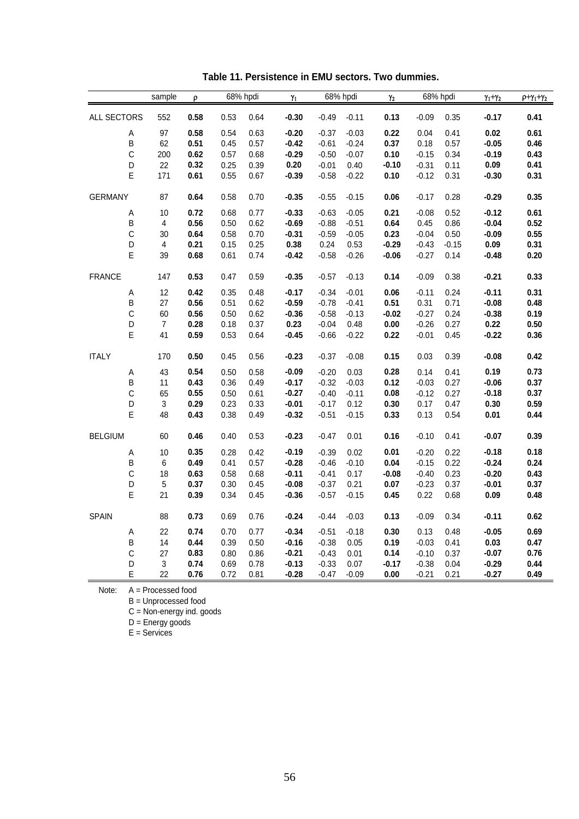|                  | sample                    | ρ    |      | 68% hpdi | $\pmb{\gamma}_1$   |         | 68% hpdi | $\gamma_2$   | 68% hpdi |         | $\gamma_1+\gamma_2$ | $p + \gamma_1 + \gamma_2$ |
|------------------|---------------------------|------|------|----------|--------------------|---------|----------|--------------|----------|---------|---------------------|---------------------------|
| ALL SECTORS      | 552                       | 0.58 | 0.53 | 0.64     | $-0.30$            | $-0.49$ | $-0.11$  | 0.13         | $-0.09$  | 0.35    | $-0.17$             | 0.41                      |
| A                | 97                        | 0.58 | 0.54 | 0.63     | $-0.20$            | $-0.37$ | $-0.03$  | 0.22         | 0.04     | 0.41    | 0.02                | 0.61                      |
| $\sf B$          | 62                        | 0.51 | 0.45 | 0.57     | $-0.42$            | $-0.61$ | $-0.24$  | 0.37         | 0.18     | 0.57    | $-0.05$             | 0.46                      |
| $\mathsf C$      | 200                       | 0.62 | 0.57 | 0.68     | $-0.29$            | $-0.50$ | $-0.07$  | 0.10         | $-0.15$  | 0.34    | $-0.19$             | 0.43                      |
| D                | 22                        | 0.32 | 0.25 | 0.39     | 0.20               | $-0.01$ | 0.40     | $-0.10$      | $-0.31$  | 0.11    | 0.09                | 0.41                      |
| E                | 171                       | 0.61 | 0.55 | 0.67     | $-0.39$            | $-0.58$ | $-0.22$  | 0.10         | $-0.12$  | 0.31    | $-0.30$             | 0.31                      |
| <b>GERMANY</b>   | 87                        | 0.64 | 0.58 | 0.70     | $-0.35$            | $-0.55$ | $-0.15$  | 0.06         | $-0.17$  | 0.28    | $-0.29$             | 0.35                      |
| A                | 10                        | 0.72 | 0.68 | 0.77     | $-0.33$            | $-0.63$ | $-0.05$  | 0.21         | $-0.08$  | 0.52    | $-0.12$             | 0.61                      |
| B                | $\overline{\mathbf{4}}$   | 0.56 | 0.50 | 0.62     | $-0.69$            | $-0.88$ | $-0.51$  | 0.64         | 0.45     | 0.86    | $-0.04$             | 0.52                      |
| $\mathsf{C}$     | 30                        | 0.64 | 0.58 | 0.70     | $-0.31$            | $-0.59$ | $-0.05$  | 0.23         | -0.04    | 0.50    | $-0.09$             | 0.55                      |
| D                | $\overline{\mathbf{4}}$   | 0.21 | 0.15 | 0.25     | 0.38               | 0.24    | 0.53     | $-0.29$      | $-0.43$  | $-0.15$ | 0.09                | 0.31                      |
| E                | 39                        | 0.68 | 0.61 | 0.74     | $-0.42$            | $-0.58$ | $-0.26$  | $-0.06$      | $-0.27$  | 0.14    | $-0.48$             | 0.20                      |
| <b>FRANCE</b>    | 147                       | 0.53 | 0.47 | 0.59     | $-0.35$            | $-0.57$ | $-0.13$  | 0.14         | $-0.09$  | 0.38    | $-0.21$             | 0.33                      |
| A                | 12                        | 0.42 | 0.35 | 0.48     | $-0.17$            | $-0.34$ | $-0.01$  | 0.06         | $-0.11$  | 0.24    | $-0.11$             | 0.31                      |
| B                | 27                        | 0.56 | 0.51 | 0.62     | $-0.59$            | $-0.78$ | $-0.41$  | 0.51         | 0.31     | 0.71    | $-0.08$             | 0.48                      |
| $\mathbf C$      | 60                        | 0.56 | 0.50 | 0.62     | $-0.36$            | $-0.58$ | $-0.13$  | $-0.02$      | $-0.27$  | 0.24    | $-0.38$             | 0.19                      |
| D                | $\overline{7}$            | 0.28 | 0.18 | 0.37     | 0.23               | $-0.04$ | 0.48     | 0.00         | $-0.26$  | 0.27    | 0.22                | 0.50                      |
| E                | 41                        | 0.59 | 0.53 | 0.64     | $-0.45$            | $-0.66$ | $-0.22$  | 0.22         | $-0.01$  | 0.45    | $-0.22$             | 0.36                      |
| <b>ITALY</b>     | 170                       | 0.50 | 0.45 | 0.56     | $-0.23$            | $-0.37$ | $-0.08$  | 0.15         | 0.03     | 0.39    | $-0.08$             | 0.42                      |
|                  | 43                        | 0.54 | 0.50 | 0.58     | $-0.09$            | $-0.20$ | 0.03     | 0.28         | 0.14     | 0.41    | 0.19                | 0.73                      |
| A                |                           | 0.43 |      | 0.49     |                    | $-0.32$ | $-0.03$  |              | $-0.03$  | 0.27    | $-0.06$             | 0.37                      |
| B<br>$\mathbf C$ | 11                        | 0.55 | 0.36 |          | $-0.17$<br>$-0.27$ |         |          | 0.12<br>0.08 |          | 0.27    |                     | 0.37                      |
|                  | 65                        |      | 0.50 | 0.61     |                    | $-0.40$ | $-0.11$  |              | $-0.12$  |         | $-0.18$             |                           |
| D                | $\ensuremath{\mathsf{3}}$ | 0.29 | 0.23 | 0.33     | $-0.01$            | $-0.17$ | 0.12     | 0.30         | 0.17     | 0.47    | 0.30                | 0.59                      |
| E                | 48                        | 0.43 | 0.38 | 0.49     | $-0.32$            | $-0.51$ | $-0.15$  | 0.33         | 0.13     | 0.54    | 0.01                | 0.44                      |
| <b>BELGIUM</b>   | 60                        | 0.46 | 0.40 | 0.53     | $-0.23$            | $-0.47$ | 0.01     | 0.16         | $-0.10$  | 0.41    | $-0.07$             | 0.39                      |
| Α                | 10                        | 0.35 | 0.28 | 0.42     | $-0.19$            | $-0.39$ | 0.02     | 0.01         | $-0.20$  | 0.22    | $-0.18$             | 0.18                      |
| B                | 6                         | 0.49 | 0.41 | 0.57     | $-0.28$            | $-0.46$ | $-0.10$  | 0.04         | $-0.15$  | 0.22    | $-0.24$             | 0.24                      |
| $\mathsf{C}$     | 18                        | 0.63 | 0.58 | 0.68     | $-0.11$            | $-0.41$ | 0.17     | $-0.08$      | $-0.40$  | 0.23    | $-0.20$             | 0.43                      |
| D                | 5                         | 0.37 | 0.30 | 0.45     | $-0.08$            | $-0.37$ | 0.21     | 0.07         | $-0.23$  | 0.37    | $-0.01$             | 0.37                      |
| E                | 21                        | 0.39 | 0.34 | 0.45     | $-0.36$            | $-0.57$ | $-0.15$  | 0.45         | 0.22     | 0.68    | 0.09                | 0.48                      |
| <b>SPAIN</b>     | 88                        | 0.73 | 0.69 | 0.76     | $-0.24$            | $-0.44$ | $-0.03$  | 0.13         | $-0.09$  | 0.34    | $-0.11$             | 0.62                      |
| A                | 22                        | 0.74 | 0.70 | 0.77     | $-0.34$            | $-0.51$ | $-0.18$  | 0.30         | 0.13     | 0.48    | $-0.05$             | 0.69                      |
| $\sf B$          | 14                        | 0.44 | 0.39 | 0.50     | $-0.16$            | $-0.38$ | 0.05     | 0.19         | $-0.03$  | 0.41    | 0.03                | 0.47                      |
| $\mathsf{C}$     | 27                        | 0.83 | 0.80 | 0.86     | $-0.21$            | $-0.43$ | 0.01     | 0.14         | $-0.10$  | 0.37    | $-0.07$             | 0.76                      |
| D                | $\ensuremath{\mathsf{3}}$ | 0.74 | 0.69 | 0.78     | $-0.13$            | $-0.33$ | 0.07     | $-0.17$      | $-0.38$  | 0.04    | $-0.29$             | 0.44                      |
| E                | 22                        | 0.76 | 0.72 | 0.81     | $-0.28$            | $-0.47$ | $-0.09$  | 0.00         | $-0.21$  | 0.21    | $-0.27$             | 0.49                      |

**Table 11. Persistence in EMU sectors. Two dummies.**

B = Unprocessed food

C = Non-energy ind. goods

D = Energy goods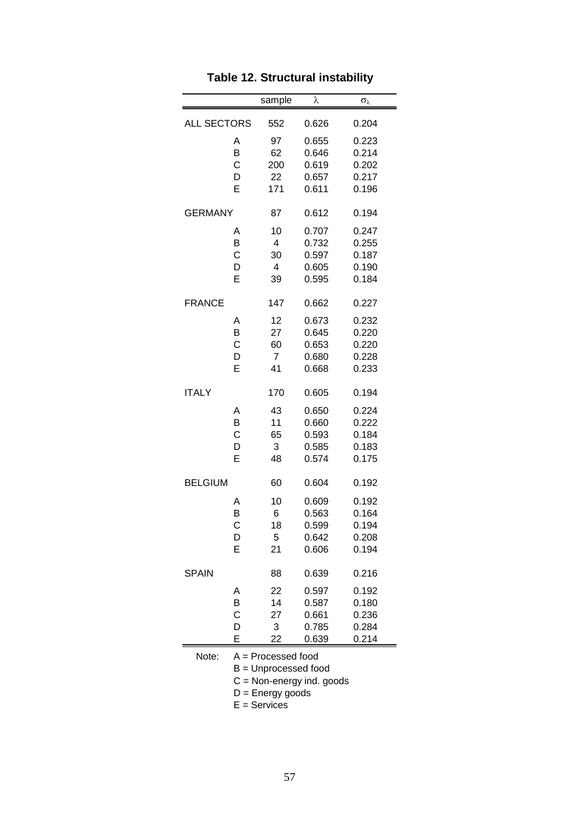|                    |   | sample | λ     | $\sigma_{\lambda}$ |
|--------------------|---|--------|-------|--------------------|
| <b>ALL SECTORS</b> |   | 552    | 0.626 | 0.204              |
|                    | Α | 97     | 0.655 | 0.223              |
|                    | B | 62     | 0.646 | 0.214              |
|                    | C | 200    | 0.619 | 0.202              |
|                    | D | 22     | 0.657 | 0.217              |
|                    | E | 171    | 0.611 | 0.196              |
| <b>GERMANY</b>     |   | 87     | 0.612 | 0.194              |
|                    | Α | 10     | 0.707 | 0.247              |
|                    | B | 4      | 0.732 | 0.255              |
|                    | C | 30     | 0.597 | 0.187              |
|                    | D | 4      | 0.605 | 0.190              |
|                    | E | 39     | 0.595 | 0.184              |
| <b>FRANCE</b>      |   | 147    | 0.662 | 0.227              |
|                    | Α | 12     | 0.673 | 0.232              |
|                    | B | 27     | 0.645 | 0.220              |
|                    | C | 60     | 0.653 | 0.220              |
|                    | D | 7      | 0.680 | 0.228              |
|                    | E | 41     | 0.668 | 0.233              |
| <b>ITALY</b>       |   | 170    | 0.605 | 0.194              |
|                    | Α | 43     | 0.650 | 0.224              |
|                    | B | 11     | 0.660 | 0.222              |
|                    | C | 65     | 0.593 | 0.184              |
|                    | D | 3      | 0.585 | 0.183              |
|                    | Ė | 48     | 0.574 | 0.175              |
| <b>BELGIUM</b>     |   | 60     | 0.604 | 0.192              |
|                    | Α | 10     | 0.609 | 0.192              |
|                    | B | 6      | 0.563 | 0.164              |
|                    | С | 18     | 0.599 | 0.194              |
|                    | D | 5      | 0.642 | 0.208              |
|                    | Ė | 21     | 0.606 | 0.194              |
| <b>SPAIN</b>       |   | 88     | 0.639 | 0.216              |
|                    | Α | 22     | 0.597 | 0.192              |
|                    | B | 14     | 0.587 | 0.180              |
|                    | Ċ | 27     | 0.661 | 0.236              |
|                    | D | 3      | 0.785 | 0.284              |
|                    | E | 22     | 0.639 | 0.214              |

|  |  | Table 12. Structural instability |  |  |
|--|--|----------------------------------|--|--|
|--|--|----------------------------------|--|--|

B = Unprocessed food

C = Non-energy ind. goods

D = Energy goods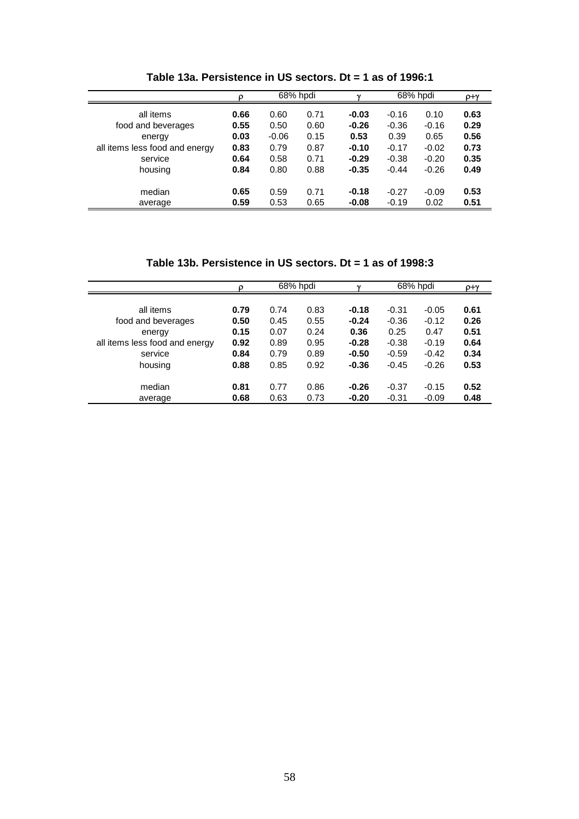|                                | ρ    | 68% hpdi |      | $\sim$  | 68% hpdi |         | $\rho + \gamma$ |
|--------------------------------|------|----------|------|---------|----------|---------|-----------------|
| all items                      | 0.66 | 0.60     | 0.71 | $-0.03$ | $-0.16$  | 0.10    | 0.63            |
| food and beverages             | 0.55 | 0.50     | 0.60 | $-0.26$ | $-0.36$  | $-0.16$ | 0.29            |
| energy                         | 0.03 | $-0.06$  | 0.15 | 0.53    | 0.39     | 0.65    | 0.56            |
| all items less food and energy | 0.83 | 0.79     | 0.87 | $-0.10$ | $-0.17$  | $-0.02$ | 0.73            |
| service                        | 0.64 | 0.58     | 0.71 | $-0.29$ | $-0.38$  | $-0.20$ | 0.35            |
| housing                        | 0.84 | 0.80     | 0.88 | $-0.35$ | $-0.44$  | $-0.26$ | 0.49            |
| median                         | 0.65 | 0.59     | 0.71 | $-0.18$ | $-0.27$  | $-0.09$ | 0.53            |
| average                        | 0.59 | 0.53     | 0.65 | $-0.08$ | $-0.19$  | 0.02    | 0.51            |

**Table 13a. Persistence in US sectors. Dt = 1 as of 1996:1** 

**Table 13b. Persistence in US sectors. Dt = 1 as of 1998:3** 

|                                           | o            |              | 68% hpdi     | $\mathbf v$        |                    | 68% hpdi           | $p + y$      |
|-------------------------------------------|--------------|--------------|--------------|--------------------|--------------------|--------------------|--------------|
|                                           |              |              |              |                    |                    |                    |              |
| all items                                 | 0.79<br>0.50 | 0.74         | 0.83         | $-0.18$<br>$-0.24$ | $-0.31$<br>$-0.36$ | $-0.05$<br>$-0.12$ | 0.61<br>0.26 |
| food and beverages                        | 0.15         | 0.45         | 0.55<br>0.24 |                    |                    | 0.47               | 0.51         |
| energy                                    | 0.92         | 0.07<br>0.89 | 0.95         | 0.36<br>$-0.28$    | 0.25<br>$-0.38$    | $-0.19$            | 0.64         |
| all items less food and energy<br>service | 0.84         | 0.79         | 0.89         | $-0.50$            | $-0.59$            | $-0.42$            | 0.34         |
| housing                                   | 0.88         | 0.85         | 0.92         | $-0.36$            | $-0.45$            | $-0.26$            | 0.53         |
|                                           |              |              |              |                    |                    |                    |              |
| median                                    | 0.81         | 0.77         | 0.86         | $-0.26$            | $-0.37$            | $-0.15$            | 0.52         |
| average                                   | 0.68         | 0.63         | 0.73         | $-0.20$            | $-0.31$            | $-0.09$            | 0.48         |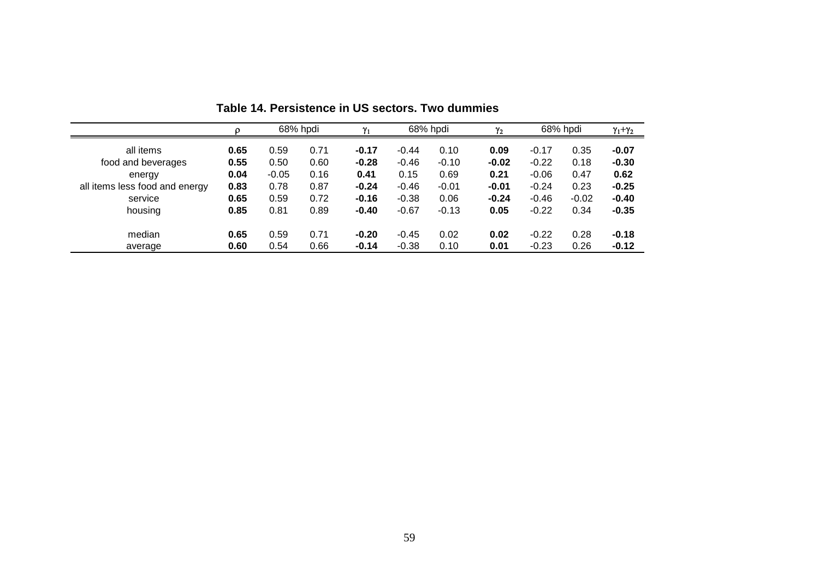|                                | Ω    | 68% hpdi |      | $\gamma_1$ | 68% hpdi |         | $\gamma_2$ | 68% hpdi |         | $\gamma_1+\gamma_2$ |
|--------------------------------|------|----------|------|------------|----------|---------|------------|----------|---------|---------------------|
| all items                      | 0.65 | 0.59     | 0.71 | $-0.17$    | $-0.44$  | 0.10    | 0.09       | $-0.17$  | 0.35    | $-0.07$             |
| food and beverages             | 0.55 | 0.50     | 0.60 | $-0.28$    | $-0.46$  | $-0.10$ | $-0.02$    | $-0.22$  | 0.18    | $-0.30$             |
| energy                         | 0.04 | $-0.05$  | 0.16 | 0.41       | 0.15     | 0.69    | 0.21       | $-0.06$  | 0.47    | 0.62                |
| all items less food and energy | 0.83 | 0.78     | 0.87 | $-0.24$    | $-0.46$  | $-0.01$ | $-0.01$    | $-0.24$  | 0.23    | $-0.25$             |
| service                        | 0.65 | 0.59     | 0.72 | $-0.16$    | $-0.38$  | 0.06    | $-0.24$    | $-0.46$  | $-0.02$ | $-0.40$             |
| housing                        | 0.85 | 0.81     | 0.89 | $-0.40$    | $-0.67$  | $-0.13$ | 0.05       | $-0.22$  | 0.34    | $-0.35$             |
| median                         | 0.65 | 0.59     | 0.71 | $-0.20$    | $-0.45$  | 0.02    | 0.02       | $-0.22$  | 0.28    | $-0.18$             |
| average                        | 0.60 | 0.54     | 0.66 | $-0.14$    | $-0.38$  | 0.10    | 0.01       | $-0.23$  | 0.26    | $-0.12$             |

**Table 14. Persistence in US sectors. Two dummies**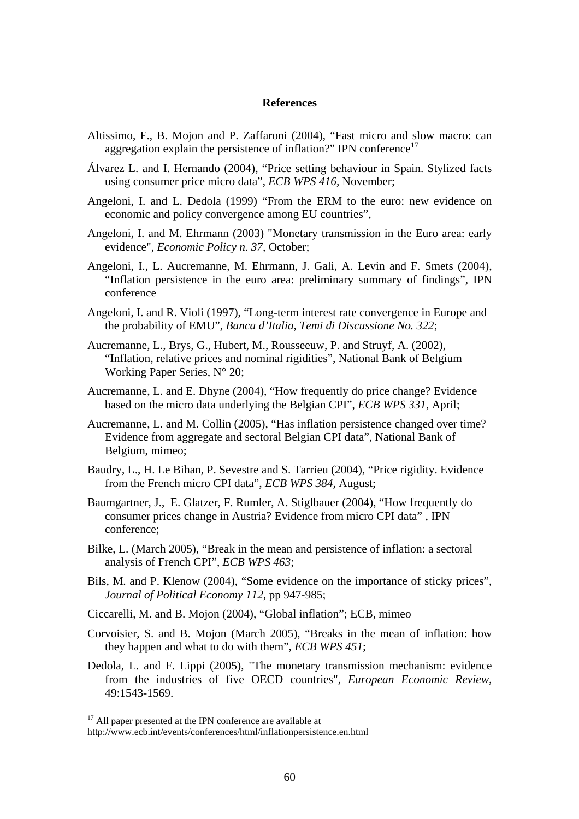### **References**

- Altissimo, F., B. Mojon and P. Zaffaroni (2004), "Fast micro and slow macro: can aggregation explain the persistence of inflation?" IPN conference<sup>[17](#page-59-0)</sup>
- Álvarez L. and I. Hernando (2004), "Price setting behaviour in Spain. Stylized facts using consumer price micro data", *ECB WPS 416,* November;
- Angeloni, I. and L. Dedola (1999) "From the ERM to the euro: new evidence on economic and policy convergence among EU countries",
- Angeloni, I. and M. Ehrmann (2003) "Monetary transmission in the Euro area: early evidence", *Economic Policy n. 37,* October;
- Angeloni, I., L. Aucremanne, M. Ehrmann, J. Gali, A. Levin and F. Smets (2004), "Inflation persistence in the euro area: preliminary summary of findings", IPN conference
- Angeloni, I. and R. Violi (1997), "Long-term interest rate convergence in Europe and the probability of EMU", *Banca d'Italia, Temi di Discussione No. 322*;
- Aucremanne, L., Brys, G., Hubert, M., Rousseeuw, P. and Struyf, A. (2002), "Inflation, relative prices and nominal rigidities", National Bank of Belgium Working Paper Series, N° 20;
- Aucremanne, L. and E. Dhyne (2004), "How frequently do price change? Evidence based on the micro data underlying the Belgian CPI", *ECB WPS 331,* April;
- Aucremanne, L. and M. Collin (2005), "Has inflation persistence changed over time? Evidence from aggregate and sectoral Belgian CPI data", National Bank of Belgium, mimeo;
- Baudry, L., H. Le Bihan, P. Sevestre and S. Tarrieu (2004), "Price rigidity. Evidence from the French micro CPI data", *ECB WPS 384,* August;
- Baumgartner, J., E. Glatzer, F. Rumler, A. Stiglbauer (2004), "How frequently do consumer prices change in Austria? Evidence from micro CPI data" , IPN conference;
- Bilke, L. (March 2005), "Break in the mean and persistence of inflation: a sectoral analysis of French CPI", *ECB WPS 463*;
- Bils, M. and P. Klenow (2004), "Some evidence on the importance of sticky prices", *Journal of Political Economy 112*, pp 947-985;
- Ciccarelli, M. and B. Mojon (2004), "Global inflation"; ECB, mimeo
- Corvoisier, S. and B. Mojon (March 2005), "Breaks in the mean of inflation: how they happen and what to do with them", *ECB WPS 451*;
- Dedola, L. and F. Lippi (2005), "The monetary transmission mechanism: evidence from the industries of five OECD countries", *European Economic Review,* 49:1543-1569.

<span id="page-59-0"></span> $17$  All paper presented at the IPN conference are available at

http://www.ecb.int/events/conferences/html/inflationpersistence.en.html